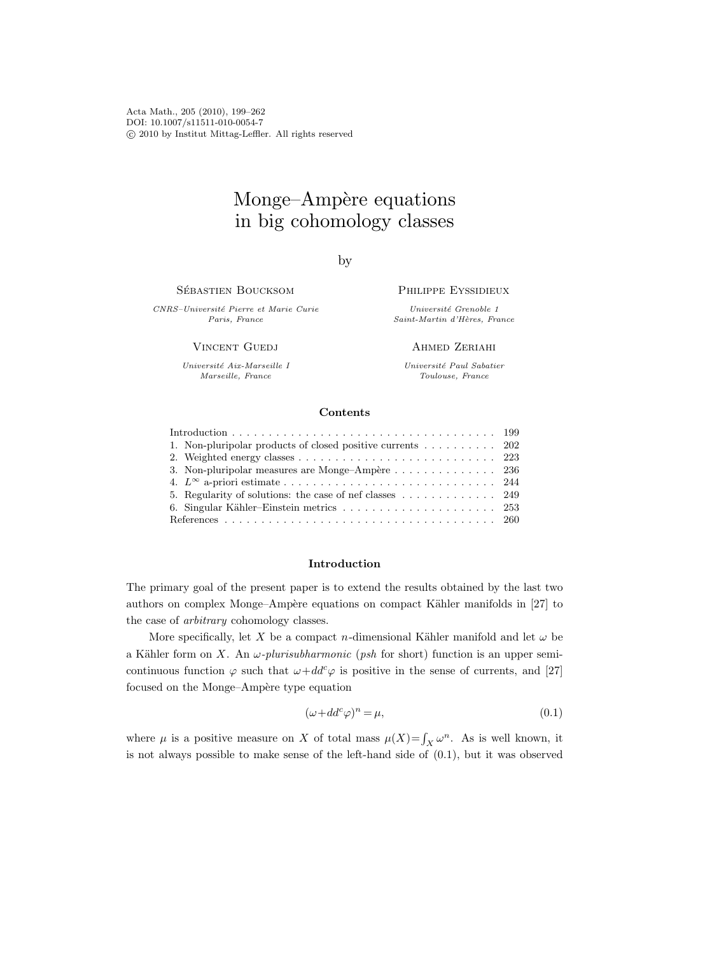Acta Math., 205 (2010), 199–262 DOI: 10.1007/s11511-010-0054-7 c 2010 by Institut Mittag-Leffler. All rights reserved

# Monge–Ampère equations in big cohomology classes

by

SÉBASTIEN BOUCKSOM

CNRS–Universit´e Pierre et Marie Curie Paris, France

**VINCENT GUEDJ** 

Université Aix-Marseille I Marseille, France

Philippe Eyssidieux

Université Grenoble 1 Saint-Martin d'Hères, France

Ahmed Zeriahi

Université Paul Sabatier Toulouse, France

## Contents

| 1. Non-pluripolar products of closed positive currents 202                        |  |
|-----------------------------------------------------------------------------------|--|
|                                                                                   |  |
| 3. Non-pluripolar measures are Monge-Ampère 236                                   |  |
|                                                                                   |  |
| 5. Regularity of solutions: the case of nef classes $\dots \dots \dots \dots$ 249 |  |
|                                                                                   |  |
|                                                                                   |  |
|                                                                                   |  |

## Introduction

The primary goal of the present paper is to extend the results obtained by the last two authors on complex Monge–Ampère equations on compact Kähler manifolds in [27] to the case of arbitrary cohomology classes.

More specifically, let X be a compact n-dimensional Kähler manifold and let  $\omega$  be a Kähler form on X. An  $\omega$ -plurisubharmonic (psh for short) function is an upper semicontinuous function  $\varphi$  such that  $\omega+dd^c\varphi$  is positive in the sense of currents, and [27] focused on the Monge–Ampère type equation

$$
(\omega + dd^c \varphi)^n = \mu,\tag{0.1}
$$

where  $\mu$  is a positive measure on X of total mass  $\mu(X) = \int_X \omega^n$ . As is well known, it is not always possible to make sense of the left-hand side of (0.1), but it was observed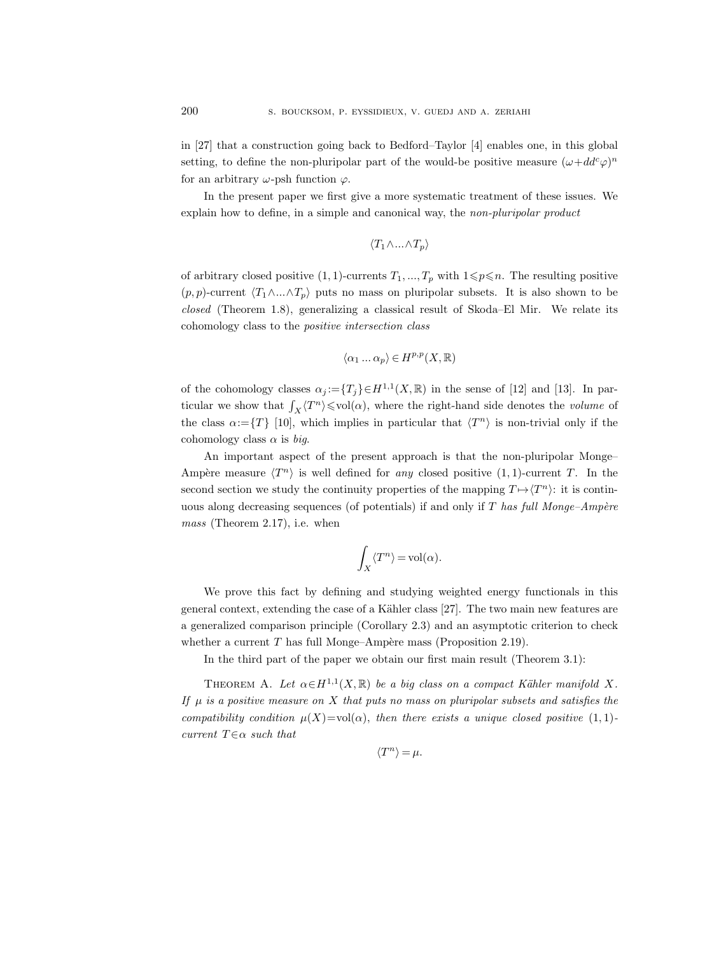in [27] that a construction going back to Bedford–Taylor [4] enables one, in this global setting, to define the non-pluripolar part of the would-be positive measure  $(\omega + dd^c \varphi)^n$ for an arbitrary  $\omega$ -psh function  $\varphi$ .

In the present paper we first give a more systematic treatment of these issues. We explain how to define, in a simple and canonical way, the non-pluripolar product

$$
\langle T_1 \wedge ... \wedge T_p \rangle
$$

of arbitrary closed positive  $(1, 1)$ -currents  $T_1, ..., T_p$  with  $1 \leq p \leq n$ . The resulting positive  $(p, p)$ -current  $\langle T_1 \wedge ... \wedge T_p \rangle$  puts no mass on pluripolar subsets. It is also shown to be closed (Theorem 1.8), generalizing a classical result of Skoda–El Mir. We relate its cohomology class to the positive intersection class

$$
\langle \alpha_1 \ldots \alpha_p \rangle \in H^{p,p}(X, \mathbb{R})
$$

of the cohomology classes  $\alpha_j := \{T_j\} \in H^{1,1}(X,\mathbb{R})$  in the sense of [12] and [13]. In particular we show that  $\int_X \langle T^n \rangle \leq \text{vol}(\alpha)$ , where the right-hand side denotes the *volume* of the class  $\alpha := \{T\}$  [10], which implies in particular that  $\langle T^n \rangle$  is non-trivial only if the cohomology class  $\alpha$  is big.

An important aspect of the present approach is that the non-pluripolar Monge– Ampère measure  $\langle T^n \rangle$  is well defined for any closed positive  $(1, 1)$ -current T. In the second section we study the continuity properties of the mapping  $T \mapsto \langle T^n \rangle$ : it is continuous along decreasing sequences (of potentials) if and only if  $T$  has full Monge–Ampère mass (Theorem 2.17), i.e. when

$$
\int_X \langle T^n \rangle = \mathrm{vol}(\alpha).
$$

We prove this fact by defining and studying weighted energy functionals in this general context, extending the case of a Kähler class [27]. The two main new features are a generalized comparison principle (Corollary 2.3) and an asymptotic criterion to check whether a current  $T$  has full Monge–Ampère mass (Proposition 2.19).

In the third part of the paper we obtain our first main result (Theorem 3.1):

THEOREM A. Let  $\alpha \in H^{1,1}(X,\mathbb{R})$  be a big class on a compact Kähler manifold X. If  $\mu$  is a positive measure on X that puts no mass on pluripolar subsets and satisfies the compatibility condition  $\mu(X)=\text{vol}(\alpha)$ , then there exists a unique closed positive  $(1,1)$ current  $T \in \alpha$  such that

$$
\langle T^n\rangle=\mu.
$$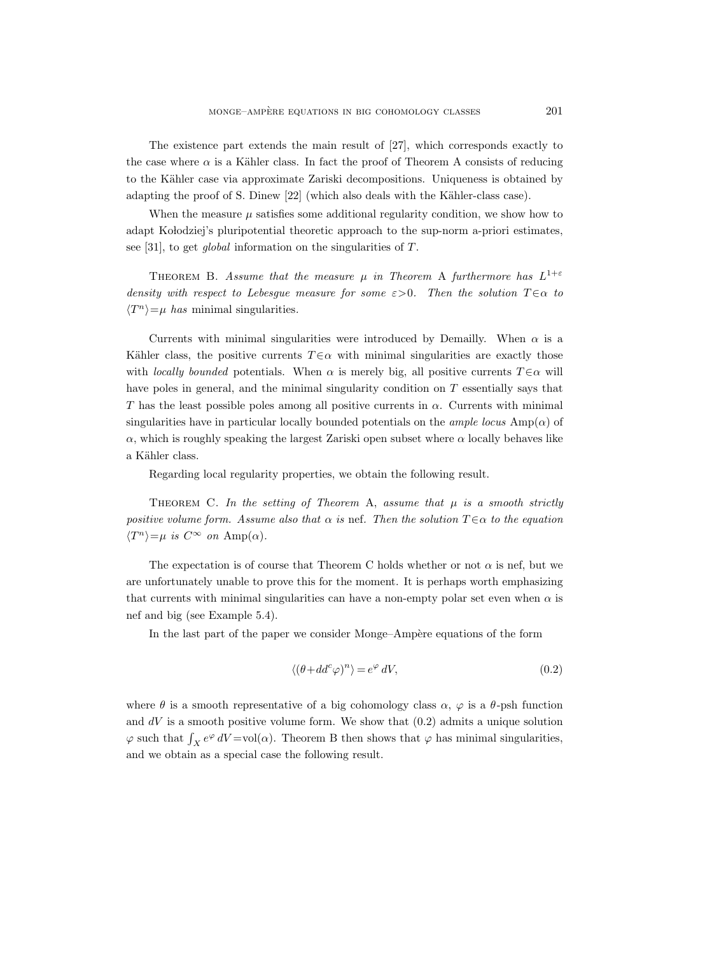The existence part extends the main result of [27], which corresponds exactly to the case where  $\alpha$  is a Kähler class. In fact the proof of Theorem A consists of reducing to the Kähler case via approximate Zariski decompositions. Uniqueness is obtained by adapting the proof of S. Dinew [22] (which also deals with the Kähler-class case).

When the measure  $\mu$  satisfies some additional regularity condition, we show how to adapt Kolodziej's pluripotential theoretic approach to the sup-norm a-priori estimates, see [31], to get global information on the singularities of T.

THEOREM B. Assume that the measure  $\mu$  in Theorem A furthermore has  $L^{1+\varepsilon}$ density with respect to Lebesgue measure for some  $\varepsilon > 0$ . Then the solution  $T \in \alpha$  to  $\langle T^n \rangle = \mu$  has minimal singularities.

Currents with minimal singularities were introduced by Demailly. When  $\alpha$  is a Kähler class, the positive currents  $T \in \alpha$  with minimal singularities are exactly those with locally bounded potentials. When  $\alpha$  is merely big, all positive currents  $T \in \alpha$  will have poles in general, and the minimal singularity condition on  $T$  essentially says that T has the least possible poles among all positive currents in  $\alpha$ . Currents with minimal singularities have in particular locally bounded potentials on the *ample locus* Amp( $\alpha$ ) of  $\alpha$ , which is roughly speaking the largest Zariski open subset where  $\alpha$  locally behaves like a Kähler class.

Regarding local regularity properties, we obtain the following result.

THEOREM C. In the setting of Theorem A, assume that  $\mu$  is a smooth strictly positive volume form. Assume also that  $\alpha$  is nef. Then the solution  $T \in \alpha$  to the equation  $\langle T^n \rangle = \mu$  is  $C^{\infty}$  on  $\text{Amp}(\alpha)$ .

The expectation is of course that Theorem C holds whether or not  $\alpha$  is nef, but we are unfortunately unable to prove this for the moment. It is perhaps worth emphasizing that currents with minimal singularities can have a non-empty polar set even when  $\alpha$  is nef and big (see Example 5.4).

In the last part of the paper we consider Monge–Ampère equations of the form

$$
\langle (\theta + dd^c \varphi)^n \rangle = e^{\varphi} \, dV,\tag{0.2}
$$

where  $\theta$  is a smooth representative of a big cohomology class  $\alpha$ ,  $\varphi$  is a  $\theta$ -psh function and  $dV$  is a smooth positive volume form. We show that  $(0.2)$  admits a unique solution  $\varphi$  such that  $\int_X e^{\varphi} dV = vol(\alpha)$ . Theorem B then shows that  $\varphi$  has minimal singularities, and we obtain as a special case the following result.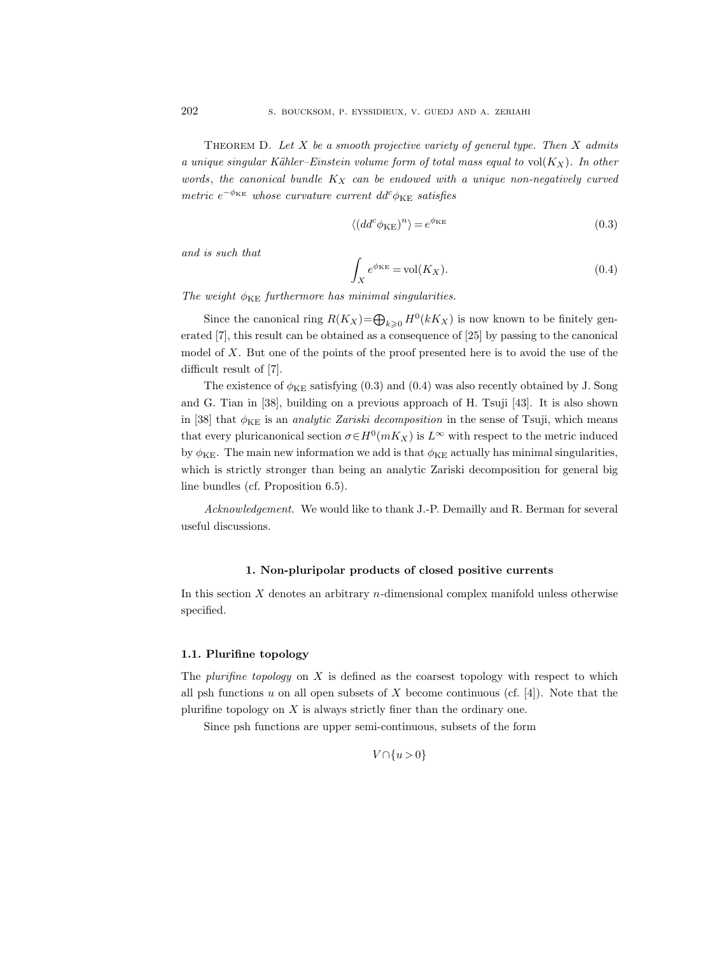THEOREM D. Let X be a smooth projective variety of general type. Then X admits a unique singular Kähler–Einstein volume form of total mass equal to vol $(K_X)$ . In other words, the canonical bundle  $K_X$  can be endowed with a unique non-negatively curved  $metric e^{-\phi_{KE}}$  whose curvature current  $dd^c \phi_{KE}$  satisfies

$$
\langle (dd^c \phi_{KE})^n \rangle = e^{\phi_{KE}} \tag{0.3}
$$

and is such that

$$
\int_{X} e^{\phi_{KE}} = \text{vol}(K_X). \tag{0.4}
$$

The weight  $\phi_{KE}$  furthermore has minimal singularities.

Since the canonical ring  $R(K_X)=\bigoplus_{k\geqslant 0} H^0(kK_X)$  is now known to be finitely generated [7], this result can be obtained as a consequence of [25] by passing to the canonical model of  $X$ . But one of the points of the proof presented here is to avoid the use of the difficult result of [7].

The existence of  $\phi_{KE}$  satisfying (0.3) and (0.4) was also recently obtained by J. Song and G. Tian in [38], building on a previous approach of H. Tsuji [43]. It is also shown in [38] that  $\phi_{KE}$  is an *analytic Zariski decomposition* in the sense of Tsuji, which means that every pluricanonical section  $\sigma \in H^0(mK_X)$  is  $L^{\infty}$  with respect to the metric induced by  $\phi_{KE}$ . The main new information we add is that  $\phi_{KE}$  actually has minimal singularities, which is strictly stronger than being an analytic Zariski decomposition for general big line bundles (cf. Proposition 6.5).

Acknowledgement. We would like to thank J.-P. Demailly and R. Berman for several useful discussions.

## 1. Non-pluripolar products of closed positive currents

In this section  $X$  denotes an arbitrary  $n$ -dimensional complex manifold unless otherwise specified.

#### 1.1. Plurifine topology

The plurifine topology on  $X$  is defined as the coarsest topology with respect to which all psh functions u on all open subsets of X become continuous (cf.  $[4]$ ). Note that the plurifine topology on  $X$  is always strictly finer than the ordinary one.

Since psh functions are upper semi-continuous, subsets of the form

$$
V \cap \{u > 0\}
$$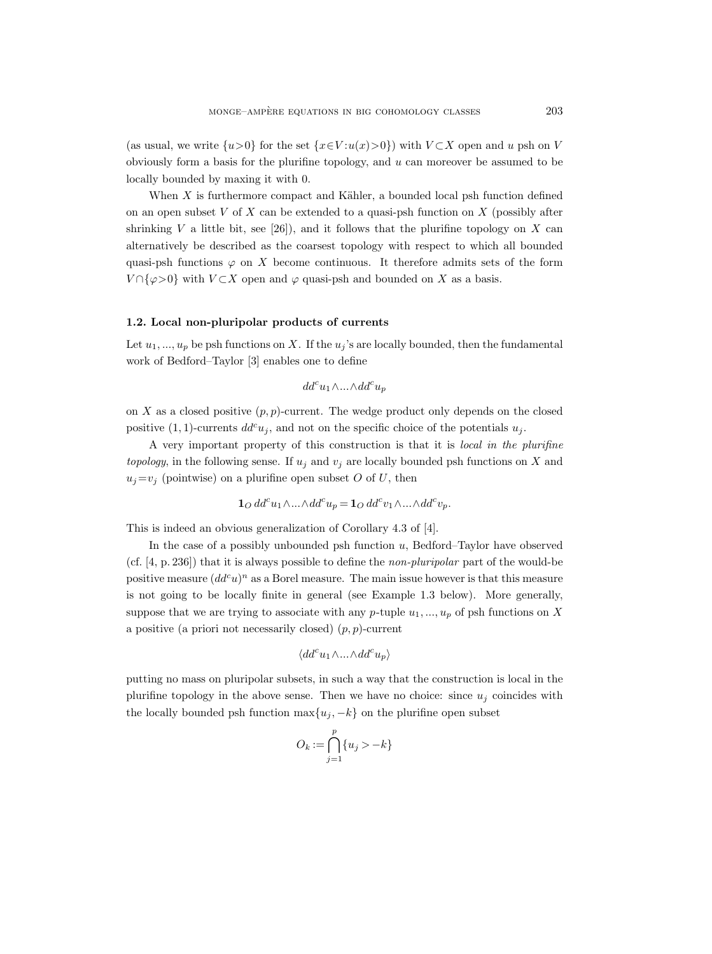(as usual, we write  $\{u>0\}$  for the set  $\{x\in V : u(x)>0\}$ ) with  $V\subset X$  open and u psh on V obviously form a basis for the plurifine topology, and  $u$  can moreover be assumed to be locally bounded by maxing it with 0.

When  $X$  is furthermore compact and Kähler, a bounded local psh function defined on an open subset  $V$  of  $X$  can be extended to a quasi-psh function on  $X$  (possibly after shrinking V a little bit, see [26]), and it follows that the plurifine topology on X can alternatively be described as the coarsest topology with respect to which all bounded quasi-psh functions  $\varphi$  on X become continuous. It therefore admits sets of the form  $V \cap {\varphi > 0}$  with  $V \subset X$  open and  $\varphi$  quasi-psh and bounded on X as a basis.

## 1.2. Local non-pluripolar products of currents

Let  $u_1, ..., u_p$  be psh functions on X. If the  $u_i$ 's are locally bounded, then the fundamental work of Bedford–Taylor [3] enables one to define

$$
dd^cu_1\wedge...\wedge dd^cu_p
$$

on X as a closed positive  $(p, p)$ -current. The wedge product only depends on the closed positive (1, 1)-currents  $dd^c u_j$ , and not on the specific choice of the potentials  $u_j$ .

A very important property of this construction is that it is local in the plurifine topology, in the following sense. If  $u_j$  and  $v_j$  are locally bounded psh functions on X and  $u_i=v_i$  (pointwise) on a plurifine open subset O of U, then

$$
\mathbf{1}_O \, dd^c u_1 \wedge \ldots \wedge dd^c u_p = \mathbf{1}_O \, dd^c v_1 \wedge \ldots \wedge dd^c v_p.
$$

This is indeed an obvious generalization of Corollary 4.3 of [4].

In the case of a possibly unbounded psh function  $u$ , Bedford–Taylor have observed (cf. [4, p. 236]) that it is always possible to define the non-pluripolar part of the would-be positive measure  $(dd^c u)^n$  as a Borel measure. The main issue however is that this measure is not going to be locally finite in general (see Example 1.3 below). More generally, suppose that we are trying to associate with any p-tuple  $u_1, ..., u_p$  of psh functions on X a positive (a priori not necessarily closed)  $(p, p)$ -current

$$
\langle dd^c u_1 \wedge ... \wedge dd^c u_p \rangle
$$

putting no mass on pluripolar subsets, in such a way that the construction is local in the plurifine topology in the above sense. Then we have no choice: since  $u_j$  coincides with the locally bounded psh function  $\max\{u_j, -k\}$  on the plurifine open subset

$$
O_k := \bigcap_{j=1}^p \{u_j > -k\}
$$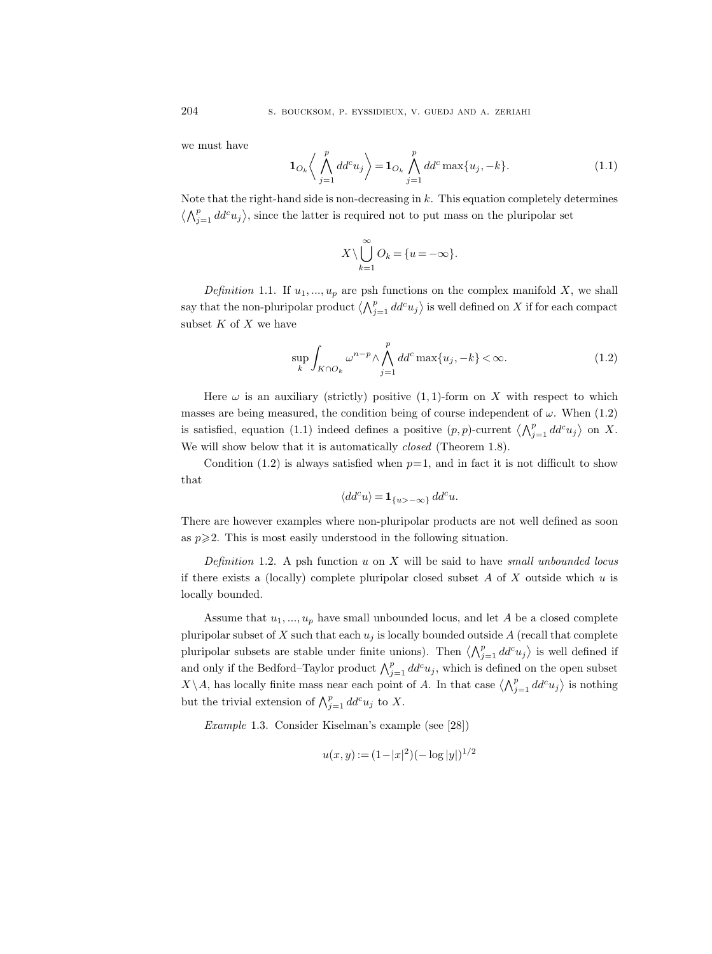we must have

$$
\mathbf{1}_{O_k} \left\langle \bigwedge_{j=1}^p dd^c u_j \right\rangle = \mathbf{1}_{O_k} \bigwedge_{j=1}^p dd^c \max\{u_j, -k\}.
$$
 (1.1)

Note that the right-hand side is non-decreasing in  $k$ . This equation completely determines  $\langle \bigwedge_{j=1}^p dd^c u_j \rangle$ , since the latter is required not to put mass on the pluripolar set

$$
X \setminus \bigcup_{k=1}^{\infty} O_k = \{u = -\infty\}.
$$

Definition 1.1. If  $u_1, ..., u_p$  are psh functions on the complex manifold X, we shall say that the non-pluripolar product  $\langle \bigwedge_{j=1}^p dd^c u_j \rangle$  is well defined on X if for each compact subset  $K$  of  $X$  we have

$$
\sup_{k} \int_{K \cap O_k} \omega^{n-p} \wedge \bigwedge_{j=1}^p dd^c \max\{u_j, -k\} < \infty. \tag{1.2}
$$

Here  $\omega$  is an auxiliary (strictly) positive (1, 1)-form on X with respect to which masses are being measured, the condition being of course independent of  $\omega$ . When (1.2) is satisfied, equation (1.1) indeed defines a positive  $(p, p)$ -current  $\langle \bigwedge_{j=1}^p dd^c u_j \rangle$  on X. We will show below that it is automatically *closed* (Theorem 1.8).

Condition (1.2) is always satisfied when  $p=1$ , and in fact it is not difficult to show that

$$
\langle dd^c u \rangle = \mathbf{1}_{\{u > -\infty\}} dd^c u.
$$

There are however examples where non-pluripolar products are not well defined as soon as  $p \geqslant 2$ . This is most easily understood in the following situation.

Definition 1.2. A psh function  $u$  on  $X$  will be said to have small unbounded locus if there exists a (locally) complete pluripolar closed subset  $A$  of  $X$  outside which  $u$  is locally bounded.

Assume that  $u_1, ..., u_p$  have small unbounded locus, and let A be a closed complete pluripolar subset of X such that each  $u_i$  is locally bounded outside A (recall that complete pluripolar subsets are stable under finite unions). Then  $\langle \bigwedge_{j=1}^p dd^c u_j \rangle$  is well defined if and only if the Bedford–Taylor product  $\bigwedge_{j=1}^p dd^c u_j$ , which is defined on the open subset  $X\setminus A$ , has locally finite mass near each point of A. In that case  $\langle \bigwedge_{j=1}^p dd^c u_j \rangle$  is nothing but the trivial extension of  $\bigwedge_{j=1}^p dd^c u_j$  to X.

Example 1.3. Consider Kiselman's example (see [28])

$$
u(x, y) := (1 - |x|^2)(-\log|y|)^{1/2}
$$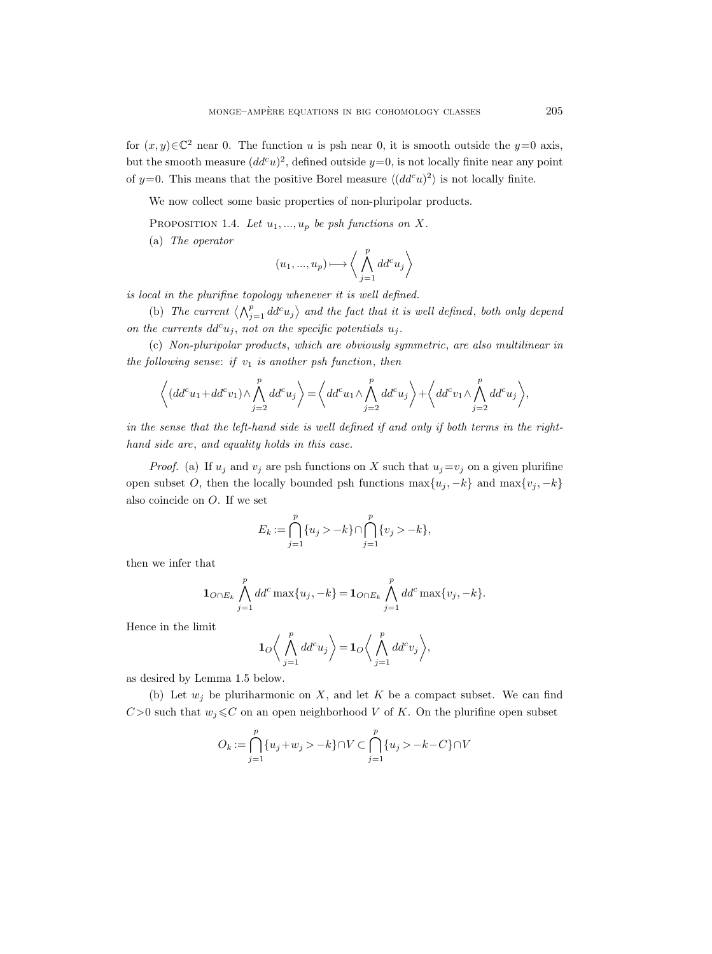for  $(x, y) \in \mathbb{C}^2$  near 0. The function u is psh near 0, it is smooth outside the  $y=0$  axis, but the smooth measure  $(dd^c u)^2$ , defined outside  $y=0$ , is not locally finite near any point of y=0. This means that the positive Borel measure  $\langle (dd^c u)^2 \rangle$  is not locally finite.

We now collect some basic properties of non-pluripolar products.

PROPOSITION 1.4. Let  $u_1, ..., u_p$  be psh functions on X.

(a) The operator

$$
(u_1,...,u_p)\longmapsto \bigg\langle \bigwedge_{j=1}^p dd^cu_j\bigg\rangle
$$

is local in the plurifine topology whenever it is well defined.

(b) The current  $\langle \bigwedge_{j=1}^p dd^c u_j \rangle$  and the fact that it is well defined, both only depend on the currents  $dd^c u_j$ , not on the specific potentials  $u_j$ .

(c) Non-pluripolar products, which are obviously symmetric, are also multilinear in the following sense: if  $v_1$  is another psh function, then

$$
\left\langle (dd^c u_1 + dd^c v_1) \wedge \bigwedge_{j=2}^p dd^c u_j \right\rangle = \left\langle dd^c u_1 \wedge \bigwedge_{j=2}^p dd^c u_j \right\rangle + \left\langle dd^c v_1 \wedge \bigwedge_{j=2}^p dd^c u_j \right\rangle,
$$

in the sense that the left-hand side is well defined if and only if both terms in the righthand side are, and equality holds in this case.

*Proof.* (a) If  $u_j$  and  $v_j$  are psh functions on X such that  $u_j = v_j$  on a given plurifine open subset O, then the locally bounded psh functions  $\max\{u_j, -k\}$  and  $\max\{v_j, -k\}$ also coincide on O. If we set

$$
E_k := \bigcap_{j=1}^p \{u_j > -k\} \cap \bigcap_{j=1}^p \{v_j > -k\},\,
$$

then we infer that

$$
\mathbf{1}_{O \cap E_k} \bigwedge_{j=1}^p dd^c \max\{u_j, -k\} = \mathbf{1}_{O \cap E_k} \bigwedge_{j=1}^p dd^c \max\{v_j, -k\}.
$$

Hence in the limit

$$
\mathbf{1}_O\bigg\langle\bigwedge_{j=1}^p dd^c u_j\bigg\rangle=\mathbf{1}_O\bigg\langle\bigwedge_{j=1}^p dd^c v_j\bigg\rangle,
$$

as desired by Lemma 1.5 below.

(b) Let  $w_i$  be pluriharmonic on X, and let K be a compact subset. We can find  $C>0$  such that  $w_j \leq C$  on an open neighborhood V of K. On the plurifine open subset

$$
O_k := \bigcap_{j=1}^p \{u_j + w_j > -k\} \cap V \subset \bigcap_{j=1}^p \{u_j > -k - C\} \cap V
$$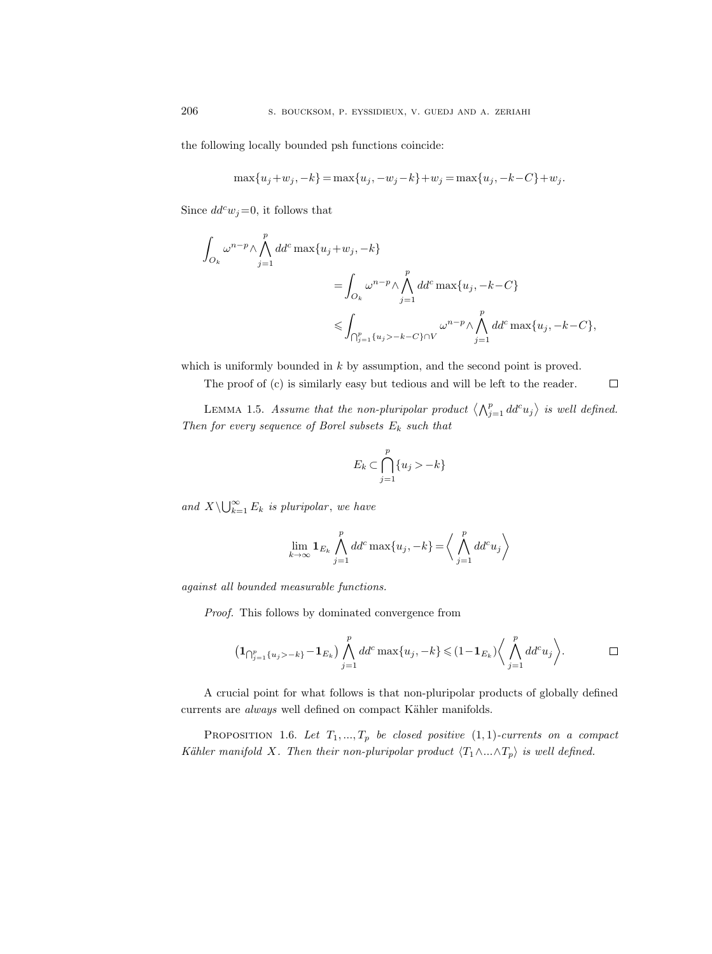the following locally bounded psh functions coincide:

$$
\max\{u_j+w_j,-k\} = \max\{u_j,-w_j-k\} + w_j = \max\{u_j,-k-C\} + w_j.
$$

Since  $dd^c w_j = 0$ , it follows that

$$
\int_{O_k} \omega^{n-p} \wedge \bigwedge_{j=1}^p dd^c \max\{u_j + w_j, -k\}
$$
\n
$$
= \int_{O_k} \omega^{n-p} \wedge \bigwedge_{j=1}^p dd^c \max\{u_j, -k-C\}
$$
\n
$$
\leqslant \int_{\bigcap_{j=1}^p \{u_j > -k-C\} \cap V} \omega^{n-p} \wedge \bigwedge_{j=1}^p dd^c \max\{u_j, -k-C\},
$$

which is uniformly bounded in  $k$  by assumption, and the second point is proved.

The proof of (c) is similarly easy but tedious and will be left to the reader.

LEMMA 1.5. Assume that the non-pluripolar product  $\langle \bigwedge_{j=1}^p dd^c u_j \rangle$  is well defined. Then for every sequence of Borel subsets  $E_k$  such that

 $\Box$ 

$$
E_k \subset \bigcap_{j=1}^p \{u_j > -k\}
$$

and  $X \backslash \bigcup_{k=1}^{\infty} E_k$  is pluripolar, we have

$$
\lim_{k \to \infty} \mathbf{1}_{E_k} \bigwedge_{j=1}^p dd^c \max\{u_j, -k\} = \bigg\langle \bigwedge_{j=1}^p dd^c u_j \bigg\rangle
$$

against all bounded measurable functions.

Proof. This follows by dominated convergence from

$$
\left(\mathbf{1}_{\bigcap_{j=1}^p\{u_j&gt-k\}}-\mathbf{1}_{E_k}\right)\bigwedge_{j=1}^p dd^c\max\{u_j,-k\}\leqslant(1-\mathbf{1}_{E_k})\bigg\langle\bigwedge_{j=1}^p dd^c u_j\bigg\rangle.\qquad \qquad \Box
$$

A crucial point for what follows is that non-pluripolar products of globally defined currents are *always* well defined on compact Kähler manifolds.

PROPOSITION 1.6. Let  $T_1, ..., T_p$  be closed positive  $(1, 1)$ -currents on a compact Kähler manifold X. Then their non-pluripolar product  $\langle T_1 \wedge ... \wedge T_p \rangle$  is well defined.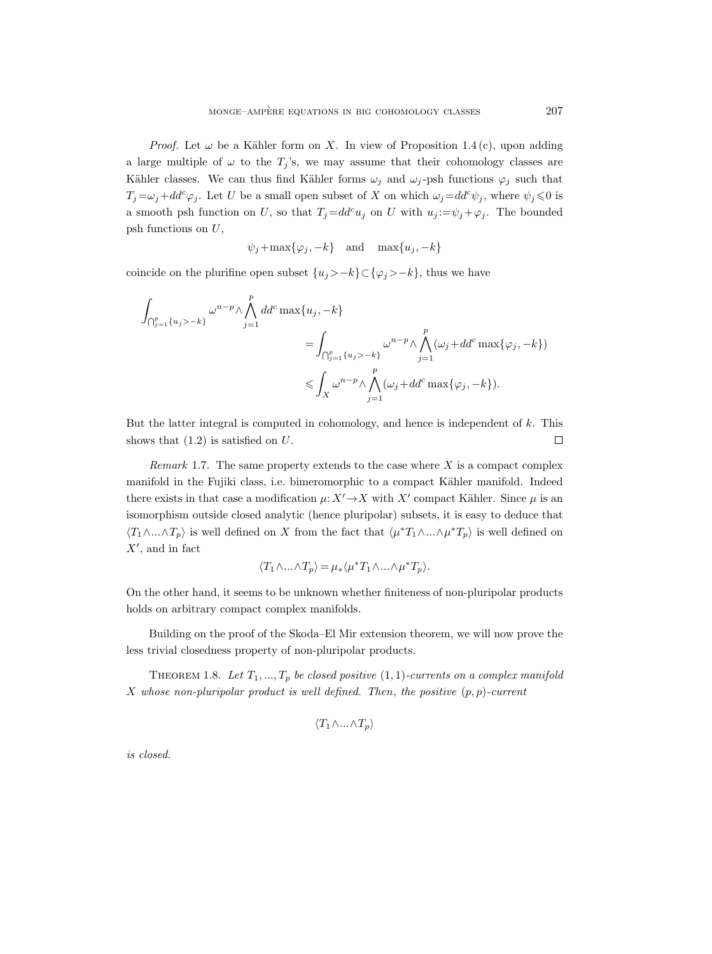*Proof.* Let  $\omega$  be a Kähler form on X. In view of Proposition 1.4 (c), upon adding a large multiple of  $\omega$  to the  $T_j$ 's, we may assume that their cohomology classes are Kähler classes. We can thus find Kähler forms  $\omega_j$  and  $\omega_j$ -psh functions  $\varphi_j$  such that  $T_j = \omega_j + dd^c \varphi_j$ . Let U be a small open subset of X on which  $\omega_j = dd^c \psi_j$ , where  $\psi_j \leq 0$  is a smooth psh function on U, so that  $T_j = dd^c u_j$  on U with  $u_j := \psi_j + \varphi_j$ . The bounded psh functions on  $U$ ,

$$
\psi_j + \max{\lbrace \varphi_j, -k \rbrace}
$$
 and  $\max{\lbrace u_j, -k \rbrace}$ 

coincide on the plurifine open subset  $\{u_j&gt-k\} \subset \{\varphi_j&gt-k\}$ , thus we have

$$
\int_{\bigcap_{j=1}^p \{u_j > -k\}} \omega^{n-p} \wedge \bigwedge_{j=1}^p d d^c \max\{u_j, -k\}
$$
\n
$$
= \int_{\bigcap_{j=1}^p \{u_j > -k\}} \omega^{n-p} \wedge \bigwedge_{j=1}^p (\omega_j + dd^c \max\{\varphi_j, -k\})
$$
\n
$$
\leqslant \int_X \omega^{n-p} \wedge \bigwedge_{j=1}^p (\omega_j + dd^c \max\{\varphi_j, -k\}).
$$

But the latter integral is computed in cohomology, and hence is independent of  $k$ . This shows that  $(1.2)$  is satisfied on  $U$ .  $\Box$ 

Remark 1.7. The same property extends to the case where  $X$  is a compact complex manifold in the Fujiki class, i.e. bimeromorphic to a compact Kähler manifold. Indeed there exists in that case a modification  $\mu: X' \to X$  with X' compact Kähler. Since  $\mu$  is an isomorphism outside closed analytic (hence pluripolar) subsets, it is easy to deduce that  $\langle T_1 \wedge ... \wedge T_p \rangle$  is well defined on X from the fact that  $\langle \mu^* T_1 \wedge ... \wedge \mu^* T_p \rangle$  is well defined on  $X'$ , and in fact

$$
\langle T_1 \wedge \ldots \wedge T_p \rangle = \mu_* \langle \mu^* T_1 \wedge \ldots \wedge \mu^* T_p \rangle.
$$

On the other hand, it seems to be unknown whether finiteness of non-pluripolar products holds on arbitrary compact complex manifolds.

Building on the proof of the Skoda–El Mir extension theorem, we will now prove the less trivial closedness property of non-pluripolar products.

THEOREM 1.8. Let  $T_1, ..., T_p$  be closed positive  $(1, 1)$ -currents on a complex manifold X whose non-pluripolar product is well defined. Then, the positive  $(p, p)$ -current

$$
\langle T_1 \wedge \ldots \wedge T_p \rangle
$$

is closed.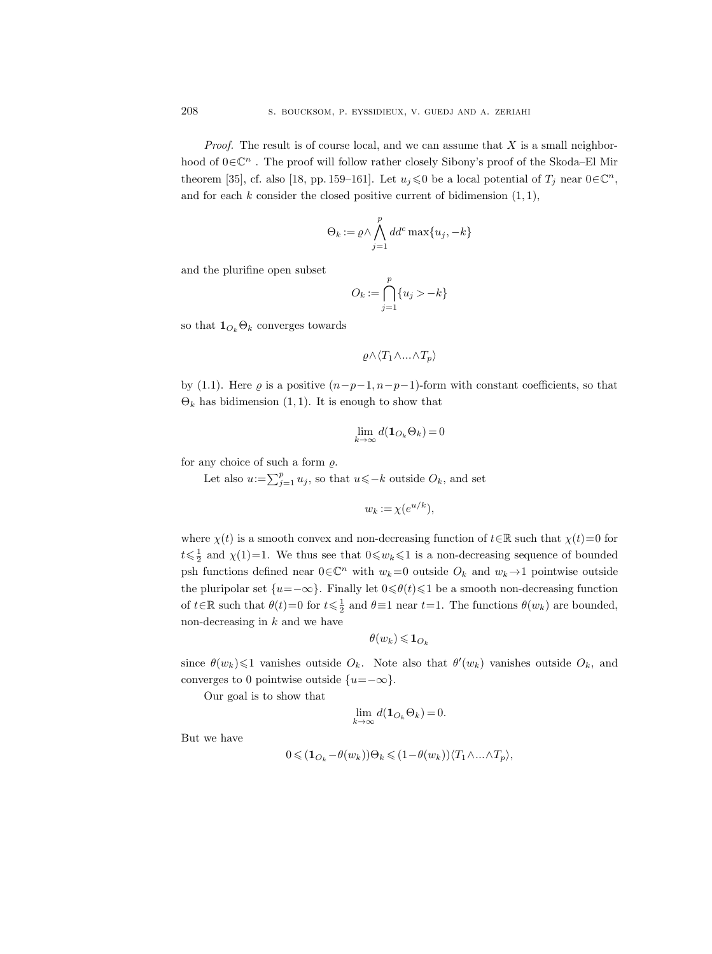*Proof.* The result is of course local, and we can assume that  $X$  is a small neighborhood of  $0 \in \mathbb{C}^n$ . The proof will follow rather closely Sibony's proof of the Skoda–El Mir theorem [35], cf. also [18, pp. 159–161]. Let  $u_j \leq 0$  be a local potential of  $T_j$  near  $0 \in \mathbb{C}^n$ , and for each  $k$  consider the closed positive current of bidimension  $(1, 1)$ ,

$$
\Theta_k := \varrho \wedge \bigwedge_{j=1}^p dd^c \max\{u_j, -k\}
$$

and the plurifine open subset

$$
O_k := \bigcap_{j=1}^p \{u_j > -k\}
$$

so that  $\mathbf{1}_{O_k}\Theta_k$  converges towards

$$
\varrho \wedge \langle T_1 \wedge \ldots \wedge T_p \rangle
$$

by (1.1). Here  $\varrho$  is a positive  $(n-p-1, n-p-1)$ -form with constant coefficients, so that  $\Theta_k$  has bidimension (1, 1). It is enough to show that

$$
\lim_{k \to \infty} d(\mathbf{1}_{O_k} \Theta_k) = 0
$$

for any choice of such a form  $\rho$ .

Let also  $u:=\sum_{j=1}^p u_j$ , so that  $u\leqslant -k$  outside  $O_k$ , and set

$$
w_k := \chi(e^{u/k}),
$$

where  $\chi(t)$  is a smooth convex and non-decreasing function of  $t \in \mathbb{R}$  such that  $\chi(t)=0$  for  $t\leqslant\frac{1}{2}$  and  $\chi(1)=1$ . We thus see that  $0\leqslant w_k\leqslant 1$  is a non-decreasing sequence of bounded psh functions defined near  $0 \in \mathbb{C}^n$  with  $w_k = 0$  outside  $O_k$  and  $w_k \to 1$  pointwise outside the pluripolar set  $\{u=-\infty\}$ . Finally let  $0 \le \theta(t) \le 1$  be a smooth non-decreasing function of  $t \in \mathbb{R}$  such that  $\theta(t) = 0$  for  $t \leq \frac{1}{2}$  and  $\theta \equiv 1$  near  $t = 1$ . The functions  $\theta(w_k)$  are bounded, non-decreasing in  $k$  and we have

$$
\theta(w_k)\leqslant {\bf 1}_{O_k}
$$

since  $\theta(w_k) \leq 1$  vanishes outside  $O_k$ . Note also that  $\theta'(w_k)$  vanishes outside  $O_k$ , and converges to 0 pointwise outside  $\{u=-\infty\}.$ 

Our goal is to show that

$$
\lim_{k \to \infty} d(\mathbf{1}_{O_k} \Theta_k) = 0.
$$

But we have

$$
0\!\leqslant\! (\mathbf{1}_{O_k}\!-\!\theta(w_k)) \Theta_k \!\leqslant\! (1\!-\!\theta(w_k)) \langle T_1\!\wedge\! \dots \!\wedge\! T_p\rangle,
$$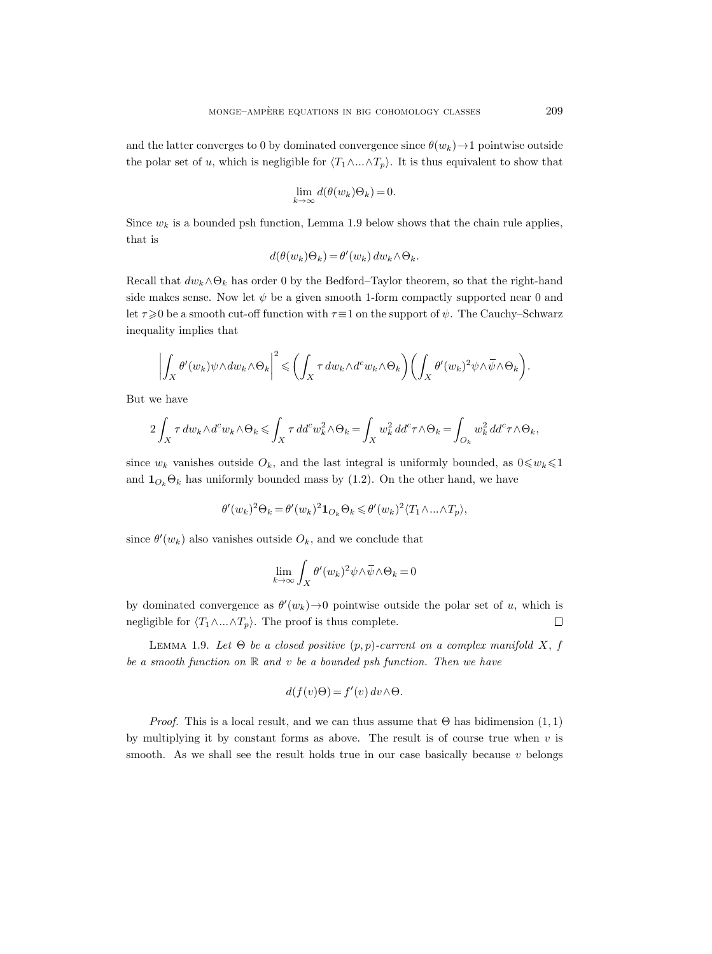and the latter converges to 0 by dominated convergence since  $\theta(w_k) \rightarrow 1$  pointwise outside the polar set of u, which is negligible for  $\langle T_1 \wedge ... \wedge T_p \rangle$ . It is thus equivalent to show that

$$
\lim_{k \to \infty} d(\theta(w_k)\Theta_k) = 0.
$$

Since  $w_k$  is a bounded psh function, Lemma 1.9 below shows that the chain rule applies, that is

$$
d(\theta(w_k)\Theta_k) = \theta'(w_k) \, dw_k \wedge \Theta_k.
$$

Recall that  $dw_k \wedge \Theta_k$  has order 0 by the Bedford–Taylor theorem, so that the right-hand side makes sense. Now let  $\psi$  be a given smooth 1-form compactly supported near 0 and let  $\tau \geq 0$  be a smooth cut-off function with  $\tau \equiv 1$  on the support of  $\psi$ . The Cauchy–Schwarz inequality implies that

$$
\left| \int_X \theta'(w_k) \psi \wedge dw_k \wedge \Theta_k \right|^2 \leqslant \left( \int_X \tau dw_k \wedge d^c w_k \wedge \Theta_k \right) \left( \int_X \theta'(w_k)^2 \psi \wedge \overline{\psi} \wedge \Theta_k \right).
$$

But we have

$$
2\int_X \tau \, dw_k \wedge d^c w_k \wedge \Theta_k \leq \int_X \tau \, dd^c w_k^2 \wedge \Theta_k = \int_X w_k^2 \, dd^c \tau \wedge \Theta_k = \int_{O_k} w_k^2 \, dd^c \tau \wedge \Theta_k,
$$

since  $w_k$  vanishes outside  $O_k$ , and the last integral is uniformly bounded, as  $0 \leq w_k \leq 1$ and  $\mathbf{1}_{O_k}\Theta_k$  has uniformly bounded mass by (1.2). On the other hand, we have

$$
\theta'(w_k)^2 \Theta_k = \theta'(w_k)^2 \mathbf{1}_{O_k} \Theta_k \leqslant \theta'(w_k)^2 \langle T_1 \wedge \ldots \wedge T_p \rangle,
$$

since  $\theta'(w_k)$  also vanishes outside  $O_k$ , and we conclude that

$$
\lim_{k \to \infty} \int_X \theta'(w_k)^2 \psi \wedge \overline{\psi} \wedge \Theta_k = 0
$$

by dominated convergence as  $\theta'(w_k) \to 0$  pointwise outside the polar set of u, which is negligible for  $\langle T_1 \wedge ... \wedge T_p \rangle$ . The proof is thus complete.  $\Box$ 

LEMMA 1.9. Let  $\Theta$  be a closed positive  $(p, p)$ -current on a complex manifold X, f be a smooth function on  $\mathbb R$  and  $v$  be a bounded psh function. Then we have

$$
d(f(v)\Theta) = f'(v) dv \wedge \Theta.
$$

*Proof.* This is a local result, and we can thus assume that  $\Theta$  has bidimension  $(1, 1)$ by multiplying it by constant forms as above. The result is of course true when  $v$  is smooth. As we shall see the result holds true in our case basically because  $v$  belongs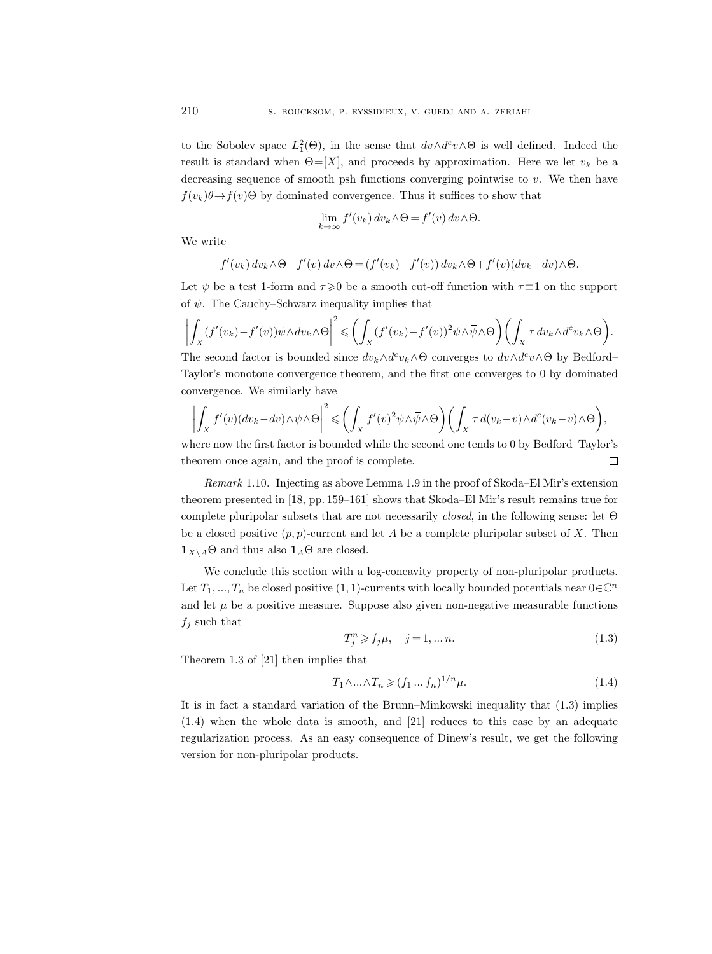to the Sobolev space  $L_1^2(\Theta)$ , in the sense that  $dv \wedge d^c v \wedge \Theta$  is well defined. Indeed the result is standard when  $\Theta = [X]$ , and proceeds by approximation. Here we let  $v_k$  be a decreasing sequence of smooth psh functions converging pointwise to v. We then have  $f(v_k)\theta \rightarrow f(v)\Theta$  by dominated convergence. Thus it suffices to show that

$$
\lim_{k \to \infty} f'(v_k) dv_k \wedge \Theta = f'(v) dv \wedge \Theta.
$$

We write

$$
f'(v_k) dv_k \wedge \Theta - f'(v) dv \wedge \Theta = (f'(v_k) - f'(v)) dv_k \wedge \Theta + f'(v) (dv_k - dv) \wedge \Theta.
$$

Let  $\psi$  be a test 1-form and  $\tau \geq 0$  be a smooth cut-off function with  $\tau \equiv 1$  on the support of  $\psi$ . The Cauchy–Schwarz inequality implies that

$$
\left| \int_X (f'(v_k) - f'(v)) \psi \wedge dv_k \wedge \Theta \right|^2 \leqslant \left( \int_X (f'(v_k) - f'(v))^2 \psi \wedge \overline{\psi} \wedge \Theta \right) \left( \int_X \tau dv_k \wedge d^c v_k \wedge \Theta \right).
$$

The second factor is bounded since  $dv_k \wedge d^c v_k \wedge \Theta$  converges to  $dv \wedge d^c v \wedge \Theta$  by Bedford– Taylor's monotone convergence theorem, and the first one converges to 0 by dominated convergence. We similarly have

$$
\left| \int_X f'(v) (dv_k - dv) \wedge \psi \wedge \Theta \right|^2 \leqslant \left( \int_X f'(v)^2 \psi \wedge \overline{\psi} \wedge \Theta \right) \left( \int_X \tau \, d(v_k - v) \wedge d^c(v_k - v) \wedge \Theta \right),
$$

where now the first factor is bounded while the second one tends to 0 by Bedford–Taylor's theorem once again, and the proof is complete.  $\Box$ 

Remark 1.10. Injecting as above Lemma 1.9 in the proof of Skoda–El Mir's extension theorem presented in [18, pp. 159–161] shows that Skoda–El Mir's result remains true for complete pluripolar subsets that are not necessarily closed, in the following sense: let Θ be a closed positive  $(p, p)$ -current and let A be a complete pluripolar subset of X. Then  $\mathbf{1}_{X\setminus A}\Theta$  and thus also  $\mathbf{1}_A\Theta$  are closed.

We conclude this section with a log-concavity property of non-pluripolar products. Let  $T_1, ..., T_n$  be closed positive  $(1, 1)$ -currents with locally bounded potentials near  $0 \in \mathbb{C}^n$ and let  $\mu$  be a positive measure. Suppose also given non-negative measurable functions  $f_j$  such that

$$
T_j^n \ge f_j \mu, \quad j = 1, \dots n. \tag{1.3}
$$

Theorem 1.3 of [21] then implies that

$$
T_1 \wedge \ldots \wedge T_n \ge (f_1 \ldots f_n)^{1/n} \mu. \tag{1.4}
$$

It is in fact a standard variation of the Brunn–Minkowski inequality that (1.3) implies (1.4) when the whole data is smooth, and [21] reduces to this case by an adequate regularization process. As an easy consequence of Dinew's result, we get the following version for non-pluripolar products.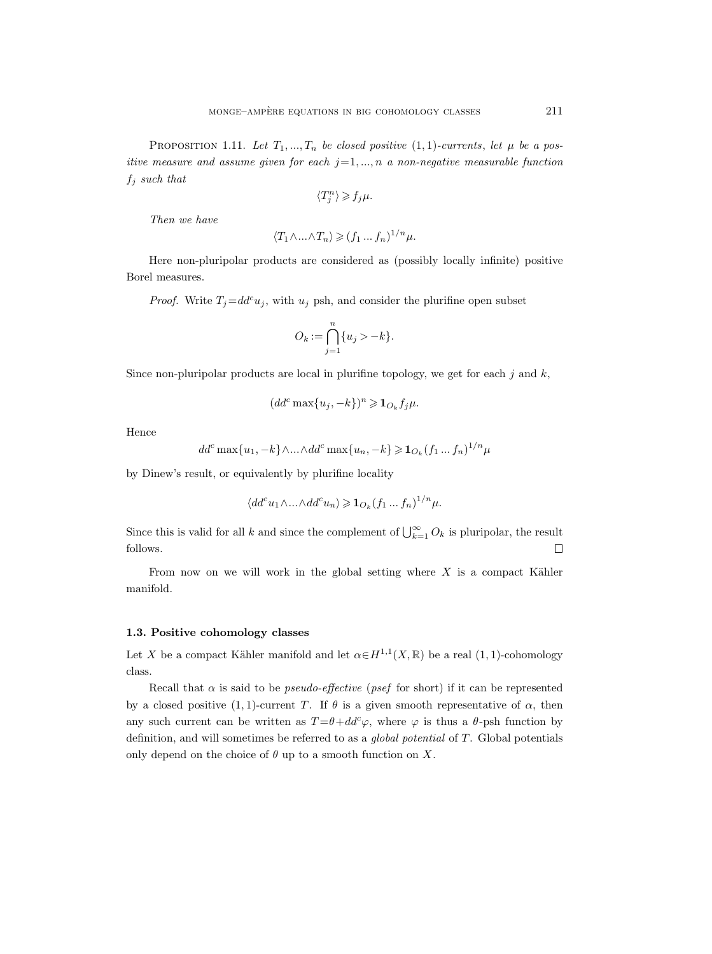PROPOSITION 1.11. Let  $T_1, ..., T_n$  be closed positive  $(1, 1)$ -currents, let  $\mu$  be a positive measure and assume given for each  $j=1,...,n$  a non-negative measurable function  $f_i$  such that

$$
\langle T_j^n\rangle\geqslant f_j\mu.
$$

Then we have

$$
\langle T_1 \wedge \ldots \wedge T_n \rangle \geqslant (f_1 \ldots f_n)^{1/n} \mu.
$$

Here non-pluripolar products are considered as (possibly locally infinite) positive Borel measures.

*Proof.* Write  $T_j = dd^c u_j$ , with  $u_j$  psh, and consider the plurifine open subset

$$
O_k := \bigcap_{j=1}^n \{u_j > -k\}.
$$

Since non-pluripolar products are local in plurifine topology, we get for each  $j$  and  $k$ ,

$$
(dd^c\max\{u_j,-k\})^n\geqslant {\bf 1}_{O_k}f_j\mu.
$$

Hence

$$
dd^c \max\{u_1, -k\} \wedge \ldots \wedge dd^c \max\{u_n, -k\} \geq \mathbf{1}_{O_k}(f_1 \ldots f_n)^{1/n} \mu
$$

by Dinew's result, or equivalently by plurifine locality

$$
\langle dd^c u_1 \wedge \ldots \wedge dd^c u_n \rangle \geqslant \mathbf{1}_{O_k}(f_1 \ldots f_n)^{1/n} \mu.
$$

Since this is valid for all k and since the complement of  $\bigcup_{k=1}^{\infty} O_k$  is pluripolar, the result follows.  $\Box$ 

From now on we will work in the global setting where  $X$  is a compact Kähler manifold.

## 1.3. Positive cohomology classes

Let X be a compact Kähler manifold and let  $\alpha \in H^{1,1}(X,\mathbb{R})$  be a real  $(1,1)$ -cohomology class.

Recall that  $\alpha$  is said to be *pseudo-effective* (*psef* for short) if it can be represented by a closed positive (1, 1)-current T. If  $\theta$  is a given smooth representative of  $\alpha$ , then any such current can be written as  $T = \theta + dd^c \varphi$ , where  $\varphi$  is thus a  $\theta$ -psh function by definition, and will sometimes be referred to as a global potential of T. Global potentials only depend on the choice of  $\theta$  up to a smooth function on X.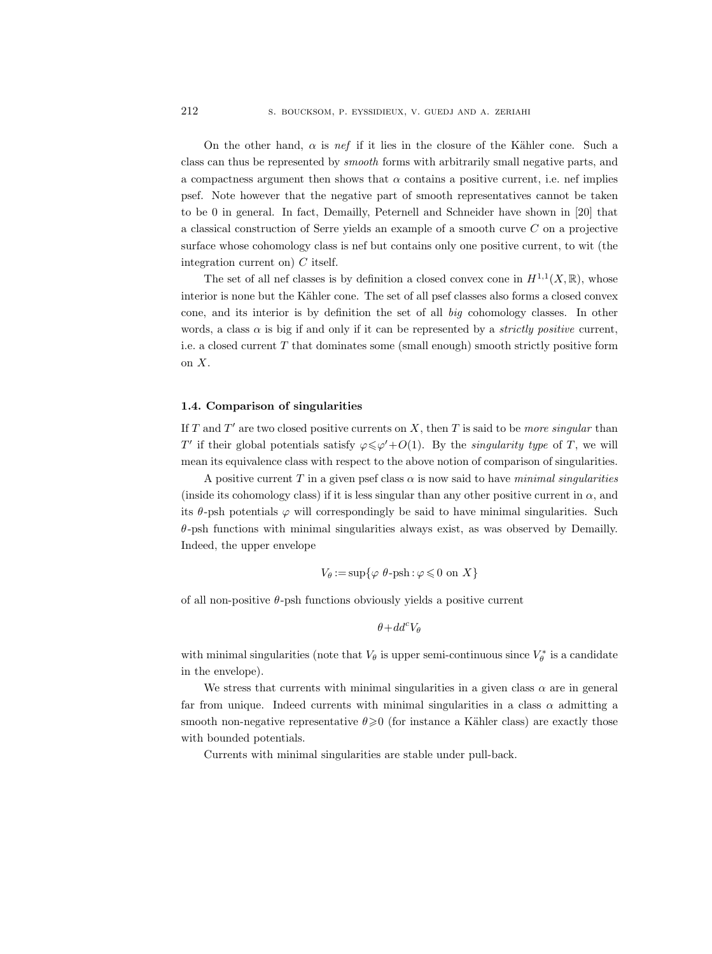On the other hand,  $\alpha$  is nef if it lies in the closure of the Kähler cone. Such a class can thus be represented by smooth forms with arbitrarily small negative parts, and a compactness argument then shows that  $\alpha$  contains a positive current, i.e. nef implies psef. Note however that the negative part of smooth representatives cannot be taken to be 0 in general. In fact, Demailly, Peternell and Schneider have shown in [20] that a classical construction of Serre yields an example of a smooth curve C on a projective surface whose cohomology class is nef but contains only one positive current, to wit (the integration current on)  $C$  itself.

The set of all nef classes is by definition a closed convex cone in  $H^{1,1}(X,\mathbb{R})$ , whose interior is none but the Kähler cone. The set of all psef classes also forms a closed convex cone, and its interior is by definition the set of all big cohomology classes. In other words, a class  $\alpha$  is big if and only if it can be represented by a *strictly positive* current, i.e. a closed current T that dominates some (small enough) smooth strictly positive form on  $X$ .

#### 1.4. Comparison of singularities

If T and T' are two closed positive currents on X, then T is said to be more singular than T' if their global potentials satisfy  $\varphi \leq \varphi' + O(1)$ . By the *singularity type* of T, we will mean its equivalence class with respect to the above notion of comparison of singularities.

A positive current T in a given psef class  $\alpha$  is now said to have minimal singularities (inside its cohomology class) if it is less singular than any other positive current in  $\alpha$ , and its  $\theta$ -psh potentials  $\varphi$  will correspondingly be said to have minimal singularities. Such  $\theta$ -psh functions with minimal singularities always exist, as was observed by Demailly. Indeed, the upper envelope

$$
V_{\theta} := \sup \{ \varphi \, \theta\text{-psh} : \varphi \leq 0 \text{ on } X \}
$$

of all non-positive  $\theta$ -psh functions obviously yields a positive current

$$
\theta+dd^c V_\theta
$$

with minimal singularities (note that  $V_{\theta}$  is upper semi-continuous since  $V_{\theta}^*$  is a candidate in the envelope).

We stress that currents with minimal singularities in a given class  $\alpha$  are in general far from unique. Indeed currents with minimal singularities in a class  $\alpha$  admitting a smooth non-negative representative  $\theta \geqslant 0$  (for instance a Kähler class) are exactly those with bounded potentials.

Currents with minimal singularities are stable under pull-back.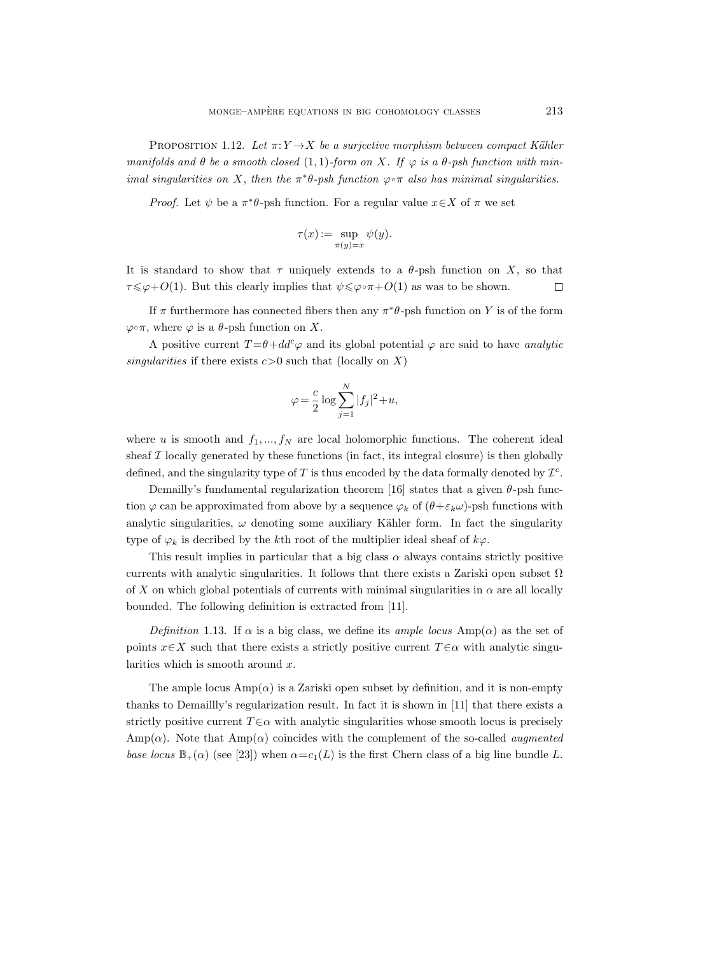PROPOSITION 1.12. Let  $\pi: Y \to X$  be a surjective morphism between compact Kähler manifolds and  $\theta$  be a smooth closed (1, 1)-form on X. If  $\varphi$  is a  $\theta$ -psh function with minimal singularities on X, then the  $\pi^*\theta$ -psh function  $\varphi \circ \pi$  also has minimal singularities.

*Proof.* Let  $\psi$  be a  $\pi^*\theta$ -psh function. For a regular value  $x \in X$  of  $\pi$  we set

$$
\tau(x):=\sup_{\pi(y)=x}\psi(y).
$$

It is standard to show that  $\tau$  uniquely extends to a  $\theta$ -psh function on X, so that  $\tau \leq \varphi+O(1)$ . But this clearly implies that  $\psi \leq \varphi \circ \pi+O(1)$  as was to be shown.  $\Box$ 

If  $\pi$  furthermore has connected fibers then any  $\pi^*\theta$ -psh function on Y is of the form  $\varphi \circ \pi$ , where  $\varphi$  is a  $\theta$ -psh function on X.

A positive current  $T = \theta + dd^c \varphi$  and its global potential  $\varphi$  are said to have analytic singularities if there exists  $c>0$  such that (locally on X)

$$
\varphi = \frac{c}{2} \log \sum_{j=1}^{N} |f_j|^2 + u,
$$

where u is smooth and  $f_1, ..., f_N$  are local holomorphic functions. The coherent ideal sheaf  $\mathcal I$  locally generated by these functions (in fact, its integral closure) is then globally defined, and the singularity type of T is thus encoded by the data formally denoted by  $\mathcal{I}^c$ .

Demailly's fundamental regularization theorem [16] states that a given  $\theta$ -psh function  $\varphi$  can be approximated from above by a sequence  $\varphi_k$  of  $(\theta + \varepsilon_k \omega)$ -psh functions with analytic singularities,  $\omega$  denoting some auxiliary Kähler form. In fact the singularity type of  $\varphi_k$  is decribed by the kth root of the multiplier ideal sheaf of  $k\varphi$ .

This result implies in particular that a big class  $\alpha$  always contains strictly positive currents with analytic singularities. It follows that there exists a Zariski open subset  $\Omega$ of X on which global potentials of currents with minimal singularities in  $\alpha$  are all locally bounded. The following definition is extracted from [11].

Definition 1.13. If  $\alpha$  is a big class, we define its ample locus Amp( $\alpha$ ) as the set of points  $x \in X$  such that there exists a strictly positive current  $T \in \alpha$  with analytic singularities which is smooth around  $x$ .

The ample locus  $\text{Amp}(\alpha)$  is a Zariski open subset by definition, and it is non-empty thanks to Demaillly's regularization result. In fact it is shown in [11] that there exists a strictly positive current  $T \in \alpha$  with analytic singularities whose smooth locus is precisely  $\text{Amp}(\alpha)$ . Note that  $\text{Amp}(\alpha)$  coincides with the complement of the so-called *augmented* base locus  $\mathbb{B}_+(\alpha)$  (see [23]) when  $\alpha = c_1(L)$  is the first Chern class of a big line bundle L.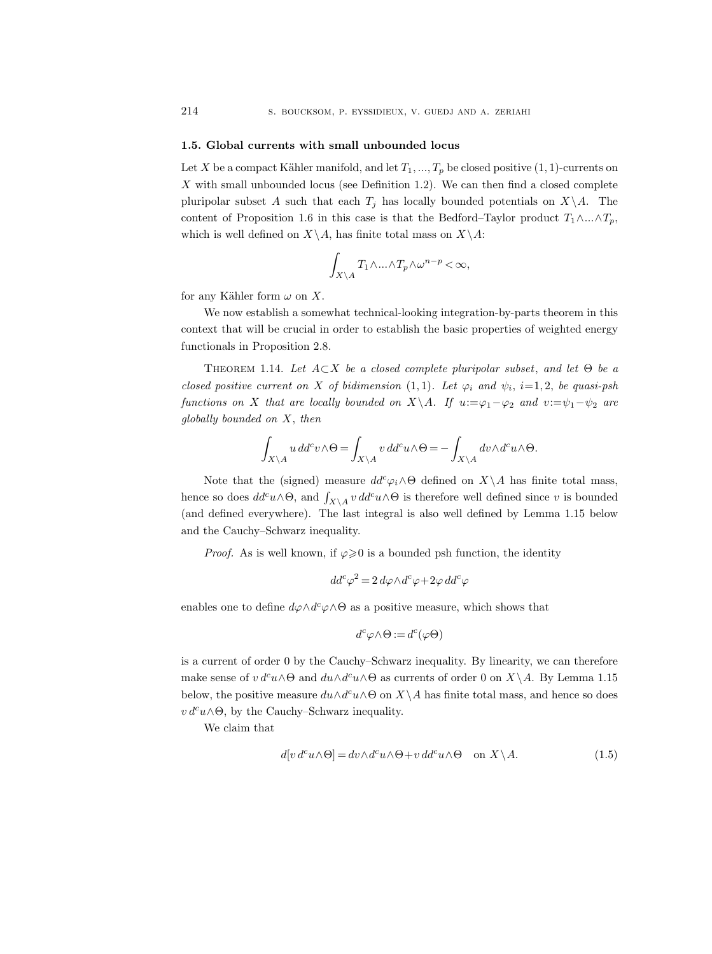#### 1.5. Global currents with small unbounded locus

Let X be a compact Kähler manifold, and let  $T_1, ..., T_p$  be closed positive  $(1, 1)$ -currents on  $X$  with small unbounded locus (see Definition 1.2). We can then find a closed complete pluripolar subset A such that each  $T_j$  has locally bounded potentials on  $X\setminus A$ . The content of Proposition 1.6 in this case is that the Bedford–Taylor product  $T_1 \wedge ... \wedge T_p$ , which is well defined on  $X\backslash A$ , has finite total mass on  $X\backslash A$ :

$$
\int_{X\setminus A} T_1 \wedge \ldots \wedge T_p \wedge \omega^{n-p} < \infty,
$$

for any Kähler form  $\omega$  on X.

We now establish a somewhat technical-looking integration-by-parts theorem in this context that will be crucial in order to establish the basic properties of weighted energy functionals in Proposition 2.8.

THEOREM 1.14. Let  $A \subset X$  be a closed complete pluripolar subset, and let  $\Theta$  be a closed positive current on X of bidimension  $(1,1)$ . Let  $\varphi_i$  and  $\psi_i$ ,  $i=1,2$ , be quasi-psh functions on X that are locally bounded on  $X\setminus A$ . If  $u:=\varphi_1-\varphi_2$  and  $v:=\psi_1-\psi_2$  are globally bounded on X, then

$$
\int_{X\backslash A} u\,dd^c v \wedge \Theta = \int_{X\backslash A} v\,dd^c u \wedge \Theta = -\int_{X\backslash A} dv \wedge d^c u \wedge \Theta.
$$

Note that the (signed) measure  $dd^c\varphi_i\wedge\Theta$  defined on  $X\setminus A$  has finite total mass, hence so does  $dd^c u \wedge \Theta$ , and  $\int_{X\setminus A} v \, dd^c u \wedge \Theta$  is therefore well defined since v is bounded (and defined everywhere). The last integral is also well defined by Lemma 1.15 below and the Cauchy–Schwarz inequality.

*Proof.* As is well known, if  $\varphi \geq 0$  is a bounded psh function, the identity

$$
dd^c \varphi^2 = 2 d\varphi \wedge d^c \varphi + 2\varphi dd^c \varphi
$$

enables one to define  $d\varphi \wedge d^c\varphi \wedge \Theta$  as a positive measure, which shows that

$$
d^c \varphi \wedge \Theta := d^c(\varphi \Theta)
$$

is a current of order 0 by the Cauchy–Schwarz inequality. By linearity, we can therefore make sense of  $v d^c u \wedge \Theta$  and  $du \wedge d^c u \wedge \Theta$  as currents of order 0 on  $X \setminus A$ . By Lemma 1.15 below, the positive measure  $du \wedge d^c u \wedge \Theta$  on  $X\setminus A$  has finite total mass, and hence so does  $v d^c u \wedge \Theta$ , by the Cauchy–Schwarz inequality.

We claim that

$$
d[v d^c u \wedge \Theta] = dv \wedge d^c u \wedge \Theta + v d d^c u \wedge \Theta \quad \text{on } X \backslash A. \tag{1.5}
$$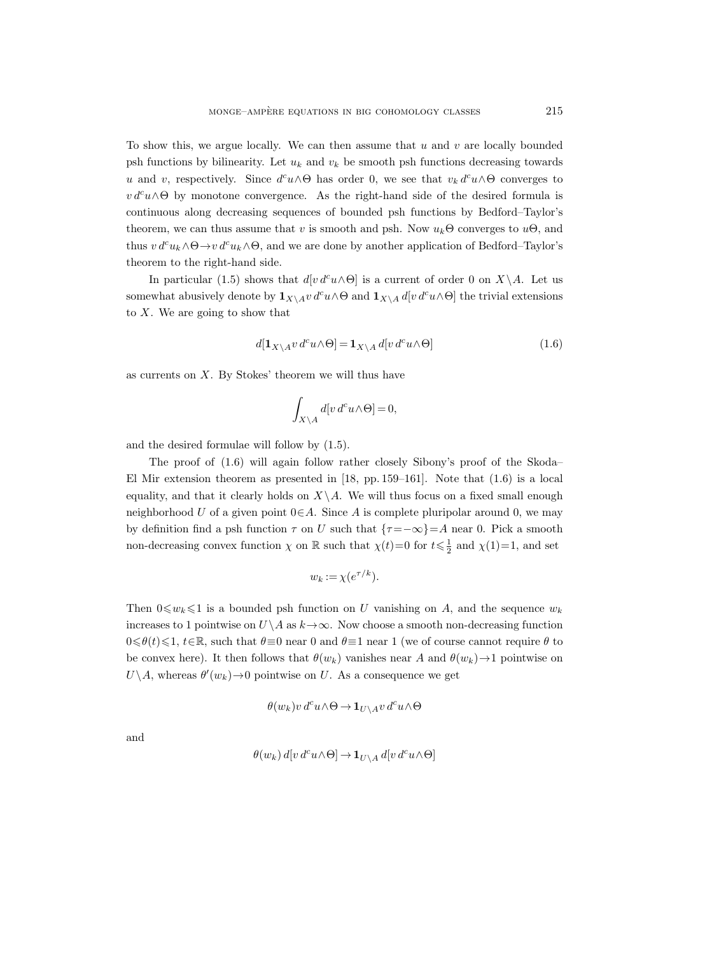To show this, we argue locally. We can then assume that  $u$  and  $v$  are locally bounded psh functions by bilinearity. Let  $u_k$  and  $v_k$  be smooth psh functions decreasing towards u and v, respectively. Since  $d^c u \wedge \Theta$  has order 0, we see that  $v_k d^c u \wedge \Theta$  converges to  $v d^c u \wedge \Theta$  by monotone convergence. As the right-hand side of the desired formula is continuous along decreasing sequences of bounded psh functions by Bedford–Taylor's theorem, we can thus assume that v is smooth and psh. Now  $u_k\Theta$  converges to  $u\Theta$ , and thus  $v d^c u_k \wedge \Theta \to v d^c u_k \wedge \Theta$ , and we are done by another application of Bedford–Taylor's theorem to the right-hand side.

In particular (1.5) shows that  $d[v d^c u \wedge \Theta]$  is a current of order 0 on  $X \setminus A$ . Let us somewhat abusively denote by  $\mathbf{1}_{X\setminus A}v d^c u \wedge \Theta$  and  $\mathbf{1}_{X\setminus A} d[v d^c u \wedge \Theta]$  the trivial extensions to  $X$ . We are going to show that

$$
d[\mathbf{1}_{X\setminus A}v\,d^c u \wedge \Theta] = \mathbf{1}_{X\setminus A} d[v\,d^c u \wedge \Theta]
$$
\n(1.6)

as currents on  $X$ . By Stokes' theorem we will thus have

$$
\int_{X \setminus A} d[v \, d^c u \wedge \Theta] = 0,
$$

and the desired formulae will follow by (1.5).

The proof of (1.6) will again follow rather closely Sibony's proof of the Skoda– El Mir extension theorem as presented in  $[18, pp. 159-161]$ . Note that  $(1.6)$  is a local equality, and that it clearly holds on  $X\backslash A$ . We will thus focus on a fixed small enough neighborhood U of a given point  $0 \in A$ . Since A is complete pluripolar around 0, we may by definition find a psh function  $\tau$  on U such that  $\{\tau = -\infty\} = A$  near 0. Pick a smooth non-decreasing convex function  $\chi$  on  $\mathbb R$  such that  $\chi(t)=0$  for  $t \leq \frac{1}{2}$  and  $\chi(1)=1$ , and set

$$
w_k := \chi(e^{\tau/k}).
$$

Then  $0 \leq w_k \leq 1$  is a bounded psh function on U vanishing on A, and the sequence  $w_k$ increases to 1 pointwise on  $U\setminus A$  as  $k\to\infty$ . Now choose a smooth non-decreasing function  $0 \le \theta(t) \le 1$ ,  $t \in \mathbb{R}$ , such that  $\theta \equiv 0$  near 0 and  $\theta \equiv 1$  near 1 (we of course cannot require  $\theta$  to be convex here). It then follows that  $\theta(w_k)$  vanishes near A and  $\theta(w_k) \rightarrow 1$  pointwise on  $U \backslash A$ , whereas  $\theta'(w_k) \rightarrow 0$  pointwise on U. As a consequence we get

$$
\theta(w_k)v\,d^cu\wedge\Theta\to\mathbf{1}_{U\backslash A}v\,d^cu\wedge\Theta
$$

and

$$
\theta(w_k) d[v d^c u \wedge \Theta] \to \mathbf{1}_{U \setminus A} d[v d^c u \wedge \Theta]
$$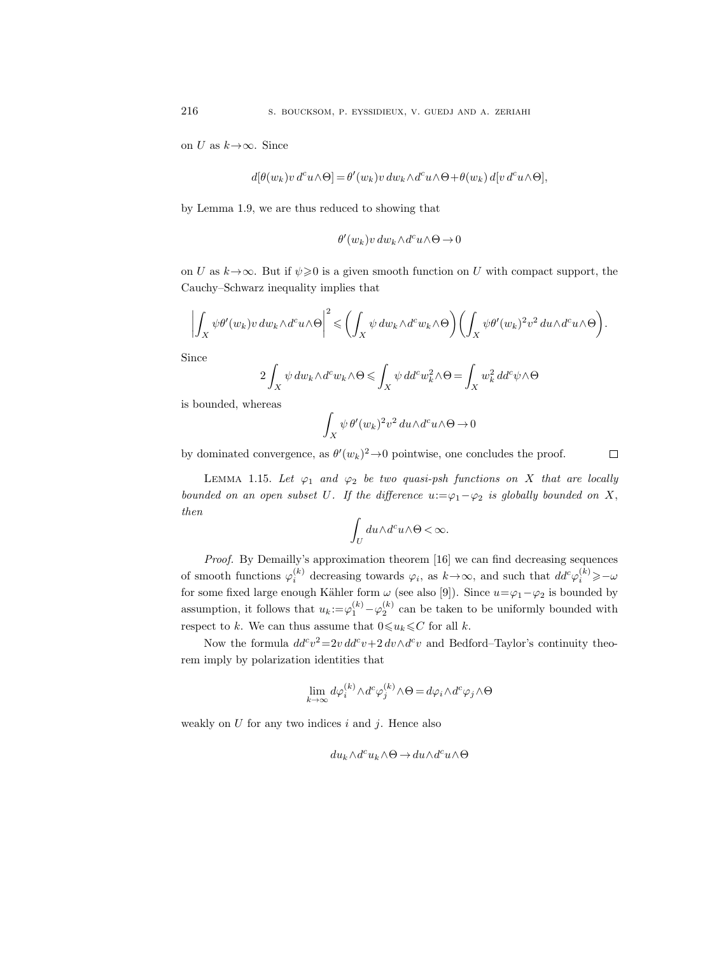on U as  $k \rightarrow \infty$ . Since

$$
d[\theta(w_k)v d^c u \wedge \Theta] = \theta'(w_k)v dw_k \wedge d^c u \wedge \Theta + \theta(w_k) d[v d^c u \wedge \Theta],
$$

by Lemma 1.9, we are thus reduced to showing that

$$
\theta'(w_k)v \, dw_k \wedge d^c u \wedge \Theta \to 0
$$

on U as  $k \rightarrow \infty$ . But if  $\psi \geq 0$  is a given smooth function on U with compact support, the Cauchy–Schwarz inequality implies that

$$
\left| \int_X \psi \theta'(w_k) v \, dw_k \wedge d^c u \wedge \Theta \right|^2 \leqslant \left( \int_X \psi \, dw_k \wedge d^c w_k \wedge \Theta \right) \left( \int_X \psi \theta'(w_k)^2 v^2 \, du \wedge d^c u \wedge \Theta \right).
$$

Since

$$
2\int_X \psi \, dw_k \wedge d^c w_k \wedge \Theta \leq \int_X \psi \, dd^c w_k^2 \wedge \Theta = \int_X w_k^2 \, dd^c \psi \wedge \Theta
$$

is bounded, whereas

$$
\int_X \psi \, \theta'(w_k)^2 v^2 \, du \wedge d^c u \wedge \Theta \to 0
$$

by dominated convergence, as  $\theta'(w_k)^2 \to 0$  pointwise, one concludes the proof.

 $\Box$ 

LEMMA 1.15. Let  $\varphi_1$  and  $\varphi_2$  be two quasi-psh functions on X that are locally bounded on an open subset U. If the difference  $u:=\varphi_1-\varphi_2$  is globally bounded on X, then

$$
\int_U du \wedge d^c u \wedge \Theta < \infty.
$$

Proof. By Demailly's approximation theorem [16] we can find decreasing sequences of smooth functions  $\varphi_i^{(k)}$  decreasing towards  $\varphi_i$ , as  $k \to \infty$ , and such that  $dd^c \varphi_i^{(k)} \geqslant -\omega$ for some fixed large enough Kähler form  $\omega$  (see also [9]). Since  $u=\varphi_1-\varphi_2$  is bounded by assumption, it follows that  $u_k := \varphi_1^{(k)} - \varphi_2^{(k)}$  can be taken to be uniformly bounded with respect to k. We can thus assume that  $0 \le u_k \le C$  for all k.

Now the formula  $dd^c v^2 = 2v dd^c v + 2 dv \wedge d^c v$  and Bedford–Taylor's continuity theorem imply by polarization identities that

$$
\lim_{k \to \infty} d\varphi_i^{(k)} \wedge d^c \varphi_j^{(k)} \wedge \Theta = d\varphi_i \wedge d^c \varphi_j \wedge \Theta
$$

weakly on  $U$  for any two indices  $i$  and  $j$ . Hence also

$$
du_k\wedge d^cu_k\wedge\Theta\to du\wedge d^cu\wedge\Theta
$$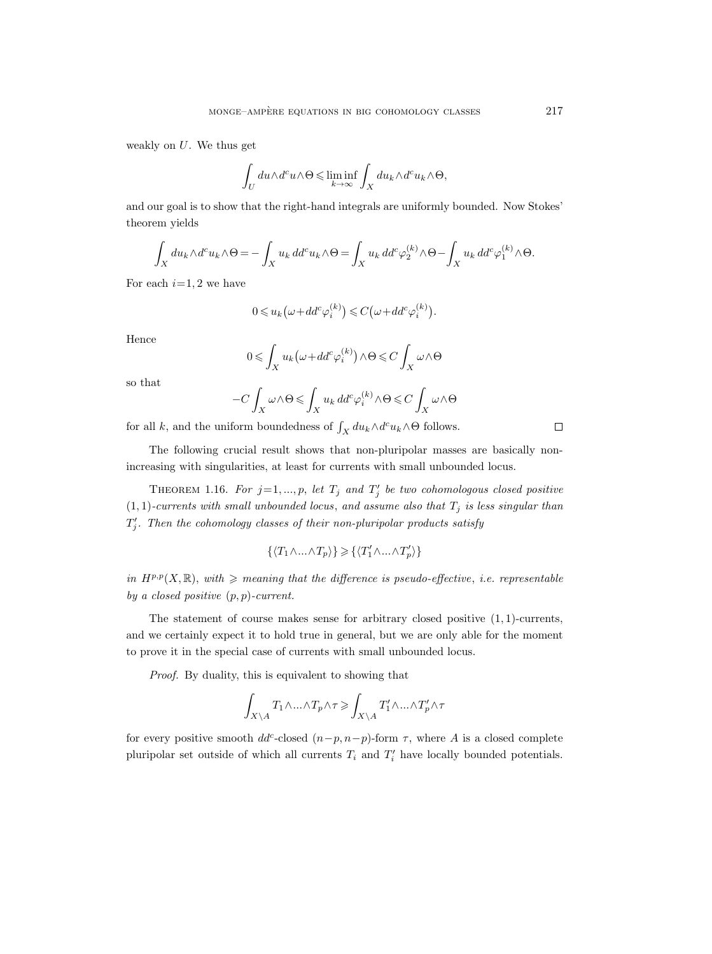weakly on  $U$ . We thus get

$$
\int_U du \wedge d^c u \wedge \Theta \leqslant \liminf_{k\to\infty} \int_X du_k \wedge d^c u_k \wedge \Theta,
$$

and our goal is to show that the right-hand integrals are uniformly bounded. Now Stokes' theorem yields

$$
\int_X du_k \wedge d^c u_k \wedge \Theta = -\int_X u_k \, dd^c u_k \wedge \Theta = \int_X u_k \, dd^c \varphi_2^{(k)} \wedge \Theta - \int_X u_k \, dd^c \varphi_1^{(k)} \wedge \Theta.
$$

For each  $i=1, 2$  we have

$$
0 \leq u_k(\omega + dd^c \varphi_i^{(k)}) \leq C(\omega + dd^c \varphi_i^{(k)}).
$$

Hence

$$
0 \leqslant \int_X u_k \big( \omega + dd^c \varphi_i^{(k)} \big) \wedge \Theta \leqslant C \int_X \omega \wedge \Theta
$$

so that

$$
-C\int_X \omega \wedge \Theta \leqslant \int_X u_k \, dd^c \varphi_i^{(k)} \wedge \Theta \leqslant C\int_X \omega \wedge \Theta
$$

for all k, and the uniform boundedness of  $\int_X du_k \wedge d^c u_k \wedge \Theta$  follows.

The following crucial result shows that non-pluripolar masses are basically nonincreasing with singularities, at least for currents with small unbounded locus.

THEOREM 1.16. For  $j=1,...,p$ , let  $T_j$  and  $T'_j$  be two cohomologous closed positive  $(1, 1)$ -currents with small unbounded locus, and assume also that  $T_j$  is less singular than  $T'_{j}$ . Then the cohomology classes of their non-pluripolar products satisfy

$$
\{\langle T_1\wedge...\wedge T_p\rangle\}\geqslant \{\langle T'_1\wedge...\wedge T'_p\rangle\}
$$

in  $H^{p,p}(X,\mathbb{R})$ , with  $\geq$  meaning that the difference is pseudo-effective, i.e. representable by a closed positive  $(p, p)$ -current.

The statement of course makes sense for arbitrary closed positive  $(1, 1)$ -currents, and we certainly expect it to hold true in general, but we are only able for the moment to prove it in the special case of currents with small unbounded locus.

Proof. By duality, this is equivalent to showing that

$$
\int_{X\backslash A} T_1\wedge...\wedge T_p \wedge \tau \geqslant \int_{X\backslash A} T'_1\wedge...\wedge T'_p \wedge \tau
$$

for every positive smooth  $dd^c$ -closed  $(n-p, n-p)$ -form  $\tau$ , where A is a closed complete pluripolar set outside of which all currents  $T_i$  and  $T'_i$  have locally bounded potentials.

 $\Box$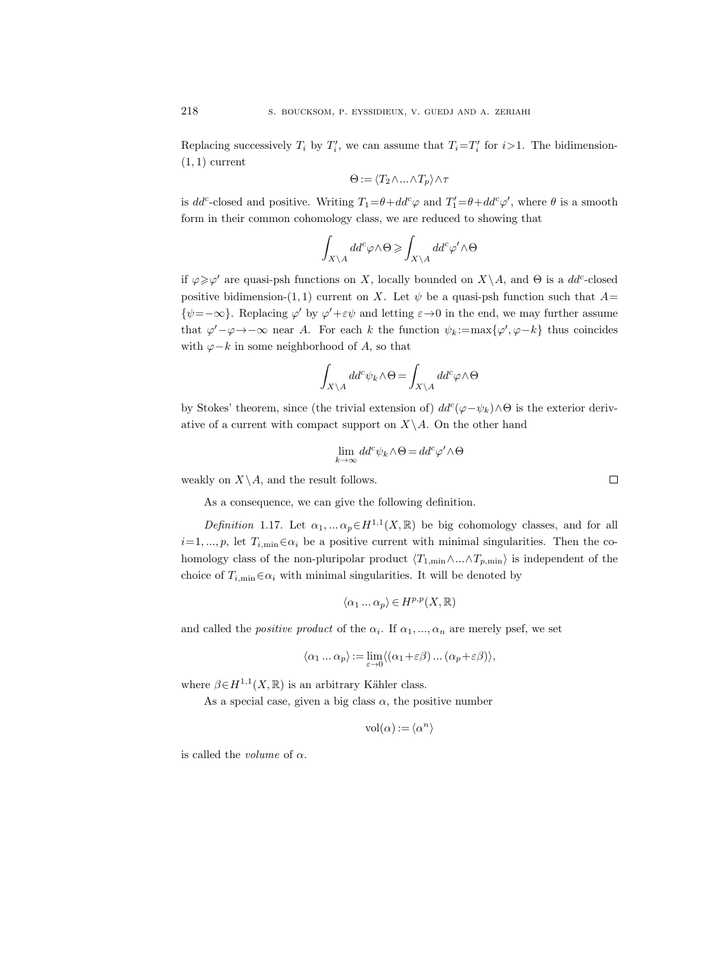Replacing successively  $T_i$  by  $T'_i$ , we can assume that  $T_i = T'_i$  for  $i > 1$ . The bidimension- $(1, 1)$  current

$$
\Theta:=\langle T_2\wedge...\wedge T_p\rangle\wedge \tau
$$

is  $dd^c$ -closed and positive. Writing  $T_1 = \theta + dd^c \varphi$  and  $T_1' = \theta + dd^c \varphi'$ , where  $\theta$  is a smooth form in their common cohomology class, we are reduced to showing that

$$
\int_{X\backslash A} dd^c \varphi \wedge \Theta \geqslant \int_{X\backslash A} dd^c \varphi' \wedge \Theta
$$

if  $\varphi \geq \varphi'$  are quasi-psh functions on X, locally bounded on  $X \setminus A$ , and  $\Theta$  is a  $dd^c$ -closed positive bidimension-(1, 1) current on X. Let  $\psi$  be a quasi-psh function such that  $A=$  $\{\psi = -\infty\}$ . Replacing  $\varphi'$  by  $\varphi' + \varepsilon \psi$  and letting  $\varepsilon \to 0$  in the end, we may further assume that  $\varphi' - \varphi \to -\infty$  near A. For each k the function  $\psi_k := \max{\lbrace \varphi', \varphi - k \rbrace}$  thus coincides with  $\varphi - k$  in some neighborhood of A, so that

$$
\int_{X\backslash A} dd^c \psi_k \wedge \Theta = \int_{X\backslash A} dd^c \varphi \wedge \Theta
$$

by Stokes' theorem, since (the trivial extension of)  $dd^c(\varphi-\psi_k)\wedge\Theta$  is the exterior derivative of a current with compact support on  $X\setminus A$ . On the other hand

$$
\lim_{k \to \infty} dd^c \psi_k \wedge \Theta = dd^c \varphi' \wedge \Theta
$$

weakly on  $X \backslash A$ , and the result follows.

As a consequence, we can give the following definition.

Definition 1.17. Let  $\alpha_1, \dots \alpha_p \in H^{1,1}(X,\mathbb{R})$  be big cohomology classes, and for all  $i=1, ..., p$ , let  $T_{i,\min} \in \alpha_i$  be a positive current with minimal singularities. Then the cohomology class of the non-pluripolar product  $\langle T_{1,\min} \wedge ... \wedge T_{p,\min} \rangle$  is independent of the choice of  $T_{i,\min} \in \alpha_i$  with minimal singularities. It will be denoted by

$$
\langle \alpha_1 \dots \alpha_p \rangle \in H^{p,p}(X,\mathbb{R})
$$

and called the *positive product* of the  $\alpha_i$ . If  $\alpha_1, ..., \alpha_n$  are merely psef, we set

$$
\langle \alpha_1 \ldots \alpha_p \rangle := \lim_{\varepsilon \to 0} \langle (\alpha_1 + \varepsilon \beta) \ldots (\alpha_p + \varepsilon \beta) \rangle,
$$

where  $\beta \in H^{1,1}(X,\mathbb{R})$  is an arbitrary Kähler class.

As a special case, given a big class  $\alpha$ , the positive number

$$
vol(\alpha) := \langle \alpha^n \rangle
$$

is called the *volume* of  $\alpha$ .

| ŗ |  | ۰ |  |
|---|--|---|--|
|   |  |   |  |
|   |  |   |  |
|   |  |   |  |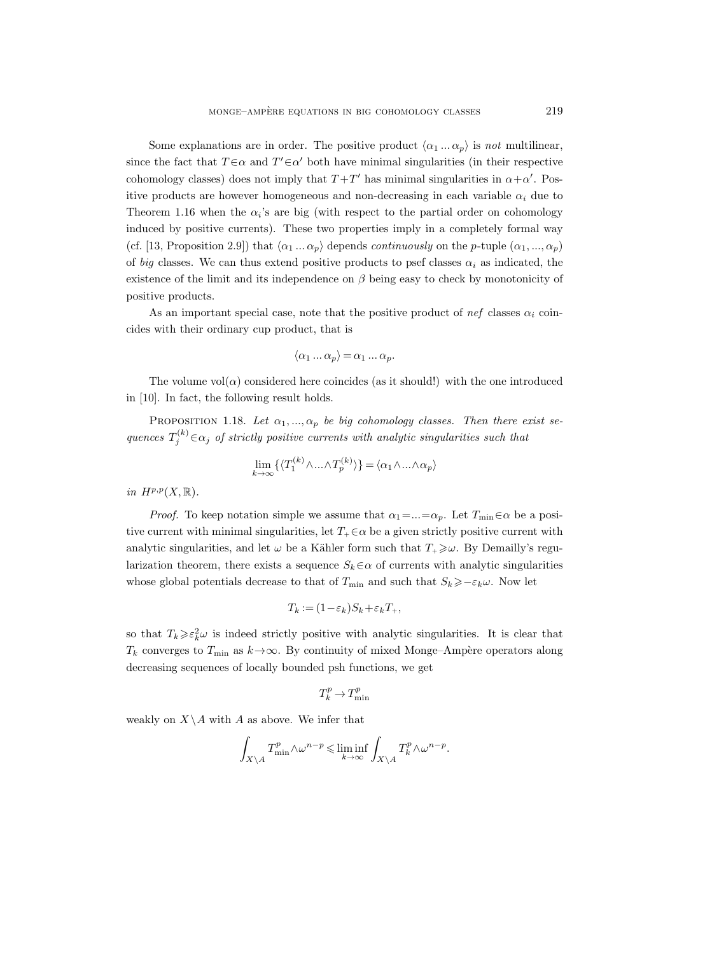Some explanations are in order. The positive product  $\langle \alpha_1 ... \alpha_p \rangle$  is not multilinear, since the fact that  $T \in \alpha$  and  $T' \in \alpha'$  both have minimal singularities (in their respective cohomology classes) does not imply that  $T+T'$  has minimal singularities in  $\alpha+\alpha'$ . Positive products are however homogeneous and non-decreasing in each variable  $\alpha_i$  due to Theorem 1.16 when the  $\alpha_i$ 's are big (with respect to the partial order on cohomology induced by positive currents). These two properties imply in a completely formal way (cf. [13, Proposition 2.9]) that  $\langle \alpha_1 ... \alpha_p \rangle$  depends *continuously* on the p-tuple  $(\alpha_1, ..., \alpha_p)$ of big classes. We can thus extend positive products to psef classes  $\alpha_i$  as indicated, the existence of the limit and its independence on  $\beta$  being easy to check by monotonicity of positive products.

As an important special case, note that the positive product of nef classes  $\alpha_i$  coincides with their ordinary cup product, that is

$$
\langle \alpha_1 \dots \alpha_p \rangle = \alpha_1 \dots \alpha_p.
$$

The volume  $vol(\alpha)$  considered here coincides (as it should!) with the one introduced in [10]. In fact, the following result holds.

PROPOSITION 1.18. Let  $\alpha_1, ..., \alpha_p$  be big cohomology classes. Then there exist sequences  $T_j^{(k)} \in \alpha_j$  of strictly positive currents with analytic singularities such that

$$
\lim_{k \to \infty} \{ \langle T_1^{(k)} \wedge \ldots \wedge T_p^{(k)} \rangle \} = \langle \alpha_1 \wedge \ldots \wedge \alpha_p \rangle
$$

in  $H^{p,p}(X,\mathbb{R})$ .

*Proof.* To keep notation simple we assume that  $\alpha_1 = ... = \alpha_p$ . Let  $T_{\min} \in \alpha$  be a positive current with minimal singularities, let  $T_+ \in \alpha$  be a given strictly positive current with analytic singularities, and let  $\omega$  be a Kähler form such that  $T_{+} \geq \omega$ . By Demailly's regularization theorem, there exists a sequence  $S_k \in \alpha$  of currents with analytic singularities whose global potentials decrease to that of  $T_{\min}$  and such that  $S_k \geq -\varepsilon_k \omega$ . Now let

$$
T_k := (1 - \varepsilon_k) S_k + \varepsilon_k T_+,
$$

so that  $T_k \geqslant \varepsilon_k^2 \omega$  is indeed strictly positive with analytic singularities. It is clear that  $T_k$  converges to  $T_{\min}$  as  $k \rightarrow \infty$ . By continuity of mixed Monge–Ampère operators along decreasing sequences of locally bounded psh functions, we get

$$
T^p_k\to T^p_{\min}
$$

weakly on  $X \backslash A$  with A as above. We infer that

$$
\int_{X\backslash A} T_{\min}^p \wedge \omega^{n-p} \leqslant \liminf_{k\to\infty} \int_{X\backslash A} T_k^p \wedge \omega^{n-p}.
$$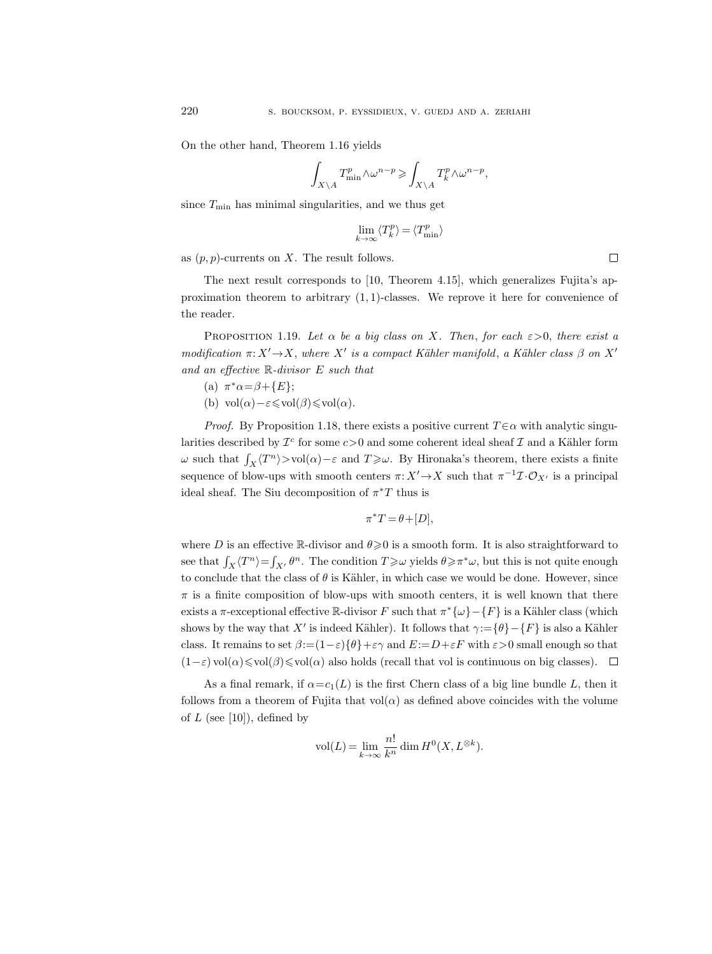On the other hand, Theorem 1.16 yields

$$
\int_{X\backslash A} T_{\min}^p \wedge \omega^{n-p}\geqslant \int_{X\backslash A} T_{k}^p \wedge \omega^{n-p},
$$

since  $T_{\min}$  has minimal singularities, and we thus get

$$
\lim_{k \to \infty} \langle T_k^p \rangle = \langle T_{\min}^p \rangle
$$

as  $(p, p)$ -currents on X. The result follows.

The next result corresponds to [10, Theorem 4.15], which generalizes Fujita's approximation theorem to arbitrary  $(1, 1)$ -classes. We reprove it here for convenience of the reader.

PROPOSITION 1.19. Let  $\alpha$  be a big class on X. Then, for each  $\varepsilon > 0$ , there exist a modification  $\pi: X' \to X$ , where  $X'$  is a compact Kähler manifold, a Kähler class  $\beta$  on  $X'$ and an effective R-divisor E such that

- (a)  $\pi^*\alpha = \beta + \{E\};$
- (b) vol $(\alpha) \varepsilon \leq \text{vol}(\beta) \leq \text{vol}(\alpha)$ .

*Proof.* By Proposition 1.18, there exists a positive current  $T \in \alpha$  with analytic singularities described by  $\mathcal{I}^c$  for some  $c>0$  and some coherent ideal sheaf  $\mathcal I$  and a Kähler form  $ω$  such that  $\int_X \langle T^n \rangle > vol(α) - ε$  and  $T \geq ω$ . By Hironaka's theorem, there exists a finite sequence of blow-ups with smooth centers  $\pi: X' \to X$  such that  $\pi^{-1} \mathcal{I} \cdot \mathcal{O}_{X'}$  is a principal ideal sheaf. The Siu decomposition of  $\pi^*T$  thus is

$$
\pi^*T = \theta + [D],
$$

where D is an effective R-divisor and  $\theta \geqslant 0$  is a smooth form. It is also straightforward to see that  $\int_X \langle T^n \rangle = \int_{X'} \theta^n$ . The condition  $T \geq \omega$  yields  $\theta \geq \pi^* \omega$ , but this is not quite enough to conclude that the class of  $\theta$  is Kähler, in which case we would be done. However, since  $\pi$  is a finite composition of blow-ups with smooth centers, it is well known that there exists a  $\pi$ -exceptional effective R-divisor F such that  $\pi^*{\{\omega\}}-{F}$  is a Kähler class (which shows by the way that X' is indeed Kähler). It follows that  $\gamma:=\{\theta\}-\{F\}$  is also a Kähler class. It remains to set  $\beta := (1 - \varepsilon) \{\theta\} + \varepsilon \gamma$  and  $E := D + \varepsilon F$  with  $\varepsilon > 0$  small enough so that  $(1-\varepsilon)$  vol $(\alpha) \le \text{vol}(\alpha) \le \text{vol}(\alpha)$  also holds (recall that vol is continuous on big classes).  $\Box$ 

As a final remark, if  $\alpha = c_1(L)$  is the first Chern class of a big line bundle L, then it follows from a theorem of Fujita that  $vol(\alpha)$  as defined above coincides with the volume of  $L$  (see [10]), defined by

$$
\text{vol}(L) = \lim_{k \to \infty} \frac{n!}{k^n} \dim H^0(X, L^{\otimes k}).
$$

 $\Box$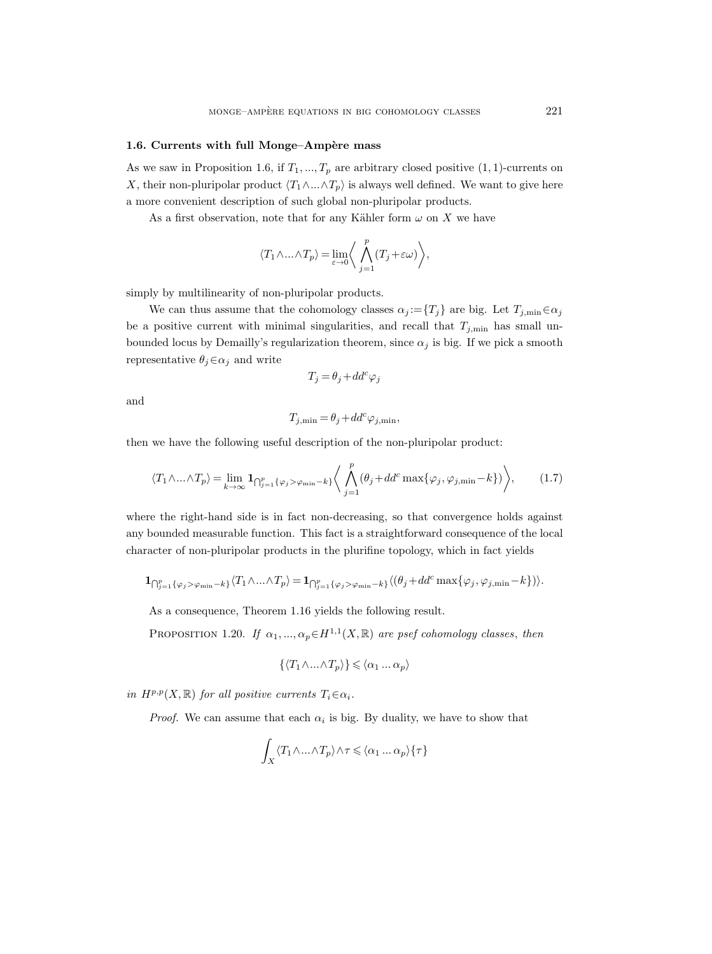## 1.6. Currents with full Monge–Ampère mass

As we saw in Proposition 1.6, if  $T_1, ..., T_p$  are arbitrary closed positive  $(1, 1)$ -currents on X, their non-pluripolar product  $\langle T_1 \wedge ... \wedge T_p \rangle$  is always well defined. We want to give here a more convenient description of such global non-pluripolar products.

As a first observation, note that for any Kähler form  $\omega$  on X we have

$$
\langle T_1\wedge\ldots\wedge T_p\rangle=\lim_{\varepsilon\to 0}\bigg\langle\bigwedge_{j=1}^p(T_j+\varepsilon\omega)\bigg\rangle,
$$

simply by multilinearity of non-pluripolar products.

We can thus assume that the cohomology classes  $\alpha_j := \{T_j\}$  are big. Let  $T_{j,\min} \in \alpha_j$ be a positive current with minimal singularities, and recall that  $T_{j,\text{min}}$  has small unbounded locus by Demailly's regularization theorem, since  $\alpha_j$  is big. If we pick a smooth representative  $\theta_j \in \alpha_j$  and write

$$
T_j = \theta_j + dd^c \varphi_j
$$

and

$$
T_{j,\min} = \theta_j + dd^c \varphi_{j,\min},
$$

then we have the following useful description of the non-pluripolar product:

$$
\langle T_1 \wedge \ldots \wedge T_p \rangle = \lim_{k \to \infty} \mathbf{1}_{\bigcap_{j=1}^p \{\varphi_j > \varphi_{\min} - k\}} \bigg\langle \bigwedge_{j=1}^p (\theta_j + dd^c \max\{\varphi_j, \varphi_{j,\min} - k\}) \bigg\rangle, \tag{1.7}
$$

where the right-hand side is in fact non-decreasing, so that convergence holds against any bounded measurable function. This fact is a straightforward consequence of the local character of non-pluripolar products in the plurifine topology, which in fact yields

$$
\mathbf{1}_{\bigcap_{j=1}^p\{\varphi_j>\varphi_{\min}-k\}}\langle T_1\wedge\ldots\wedge T_p\rangle=\mathbf{1}_{\bigcap_{j=1}^p\{\varphi_j>\varphi_{\min}-k\}}\langle(\theta_j+dd^c\max\{\varphi_j,\varphi_{j,\min}-k\})\rangle.
$$

As a consequence, Theorem 1.16 yields the following result.

PROPOSITION 1.20. If  $\alpha_1, ..., \alpha_p \in H^{1,1}(X, \mathbb{R})$  are psef cohomology classes, then

$$
\{\langle T_1 \wedge ... \wedge T_p \rangle\} \leqslant \langle \alpha_1 ... \alpha_p \rangle
$$

in  $H^{p,p}(X,\mathbb{R})$  for all positive currents  $T_i \in \alpha_i$ .

*Proof.* We can assume that each  $\alpha_i$  is big. By duality, we have to show that

$$
\int_X \langle T_1 \wedge \ldots \wedge T_p \rangle \wedge \tau \leq \langle \alpha_1 \ldots \alpha_p \rangle \{ \tau \}
$$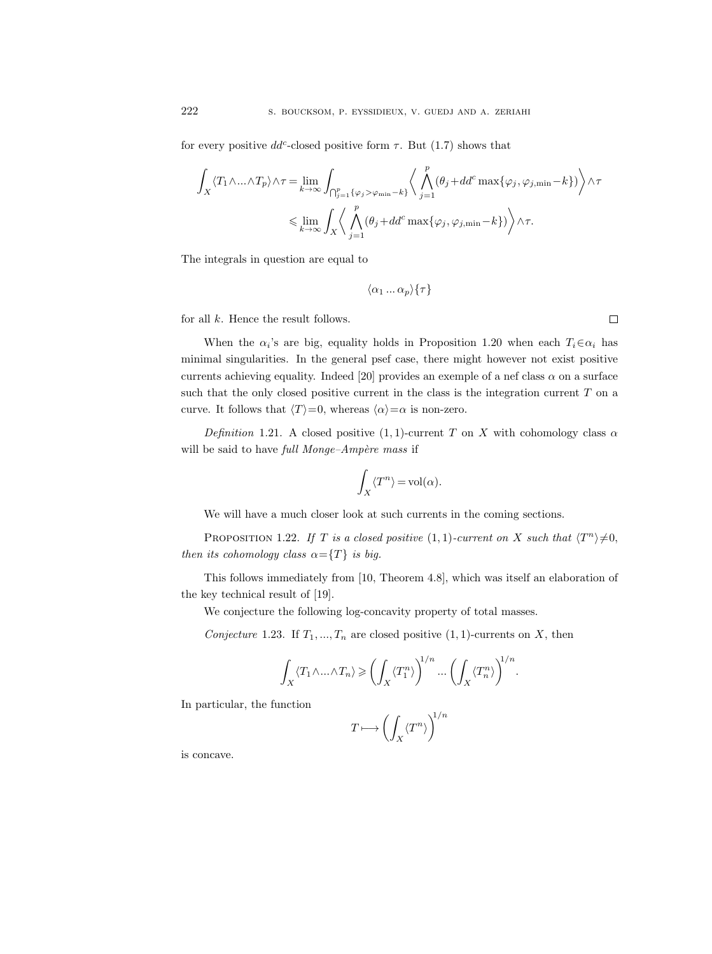for every positive  $dd^c$ -closed positive form  $\tau$ . But (1.7) shows that

$$
\int_X \langle T_1 \wedge \ldots \wedge T_p \rangle \wedge \tau = \lim_{k \to \infty} \int_{\bigcap_{j=1}^p \{\varphi_j > \varphi_{\min} - k\}} \langle \bigwedge_{j=1}^p (\theta_j + dd^c \max{\{\varphi_j, \varphi_{j, \min} - k\}}) \rangle \wedge \tau
$$
  

$$
\leq \lim_{k \to \infty} \int_X \langle \bigwedge_{j=1}^p (\theta_j + dd^c \max{\{\varphi_j, \varphi_{j, \min} - k\}}) \rangle \wedge \tau.
$$

The integrals in question are equal to

$$
\langle \alpha_1 \ldots \alpha_p \rangle \{ \tau \}
$$

for all  $k$ . Hence the result follows.

When the  $\alpha_i$ 's are big, equality holds in Proposition 1.20 when each  $T_i \in \alpha_i$  has minimal singularities. In the general psef case, there might however not exist positive currents achieving equality. Indeed [20] provides an exemple of a nef class  $\alpha$  on a surface such that the only closed positive current in the class is the integration current  $T$  on a curve. It follows that  $\langle T \rangle = 0$ , whereas  $\langle \alpha \rangle = \alpha$  is non-zero.

Definition 1.21. A closed positive (1, 1)-current T on X with cohomology class  $\alpha$ will be said to have full Monge-Ampère mass if

$$
\int_X \langle T^n \rangle = \text{vol}(\alpha).
$$

We will have a much closer look at such currents in the coming sections.

PROPOSITION 1.22. If T is a closed positive  $(1,1)$ -current on X such that  $\langle T^n \rangle \neq 0$ , then its cohomology class  $\alpha = \{T\}$  is big.

This follows immediately from [10, Theorem 4.8], which was itself an elaboration of the key technical result of [19].

We conjecture the following log-concavity property of total masses.

Conjecture 1.23. If  $T_1, ..., T_n$  are closed positive  $(1, 1)$ -currents on X, then

$$
\int_X \langle T_1 \wedge \ldots \wedge T_n \rangle \geqslant \left( \int_X \langle T_1^n \rangle \right)^{1/n} \ldots \left( \int_X \langle T_n^n \rangle \right)^{1/n}
$$

.

In particular, the function

$$
T \longmapsto \left(\int_X \left\langle T^n \right\rangle\right)^{\!1/n}
$$

is concave.

 $\Box$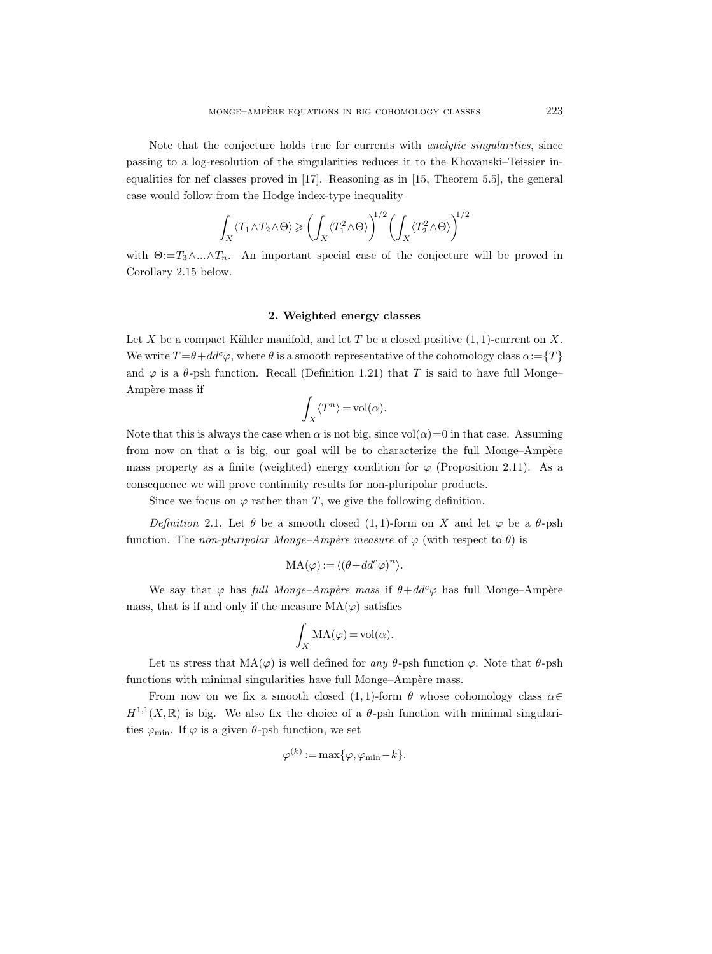Note that the conjecture holds true for currents with *analytic singularities*, since passing to a log-resolution of the singularities reduces it to the Khovanski–Teissier inequalities for nef classes proved in [17]. Reasoning as in [15, Theorem 5.5], the general case would follow from the Hodge index-type inequality

$$
\int_X \langle T_1 \wedge T_2 \wedge \Theta \rangle \geqslant \left( \int_X \langle T_1^2 \wedge \Theta \rangle \right)^{1/2} \left( \int_X \langle T_2^2 \wedge \Theta \rangle \right)^{1/2}
$$

with  $\Theta:=T_3\wedge...\wedge T_n$ . An important special case of the conjecture will be proved in Corollary 2.15 below.

## 2. Weighted energy classes

Let X be a compact Kähler manifold, and let T be a closed positive  $(1, 1)$ -current on X. We write  $T = \theta + dd^c \varphi$ , where  $\theta$  is a smooth representative of the cohomology class  $\alpha = \{T\}$ and  $\varphi$  is a  $\theta$ -psh function. Recall (Definition 1.21) that T is said to have full Monge– Ampère mass if

$$
\int_X \langle T^n \rangle = \text{vol}(\alpha).
$$

Note that this is always the case when  $\alpha$  is not big, since vol $(\alpha)=0$  in that case. Assuming from now on that  $\alpha$  is big, our goal will be to characterize the full Monge–Ampère mass property as a finite (weighted) energy condition for  $\varphi$  (Proposition 2.11). As a consequence we will prove continuity results for non-pluripolar products.

Since we focus on  $\varphi$  rather than T, we give the following definition.

Definition 2.1. Let  $\theta$  be a smooth closed (1, 1)-form on X and let  $\varphi$  be a  $\theta$ -psh function. The non-pluripolar Monge–Ampère measure of  $\varphi$  (with respect to  $\theta$ ) is

$$
MA(\varphi) := \langle (\theta + dd^c \varphi)^n \rangle.
$$

We say that  $\varphi$  has full Monge–Ampère mass if  $\theta + dd^c \varphi$  has full Monge–Ampère mass, that is if and only if the measure  $MA(\varphi)$  satisfies

$$
\int_X MA(\varphi) = \text{vol}(\alpha).
$$

Let us stress that  $MA(\varphi)$  is well defined for any  $\theta$ -psh function  $\varphi$ . Note that  $\theta$ -psh functions with minimal singularities have full Monge–Ampère mass.

From now on we fix a smooth closed (1,1)-form  $\theta$  whose cohomology class  $\alpha \in$  $H^{1,1}(X,\mathbb{R})$  is big. We also fix the choice of a  $\theta$ -psh function with minimal singularities  $\varphi_{\min}$ . If  $\varphi$  is a given  $\theta$ -psh function, we set

$$
\varphi^{(k)} := \max\{\varphi, \varphi_{\min} - k\}.
$$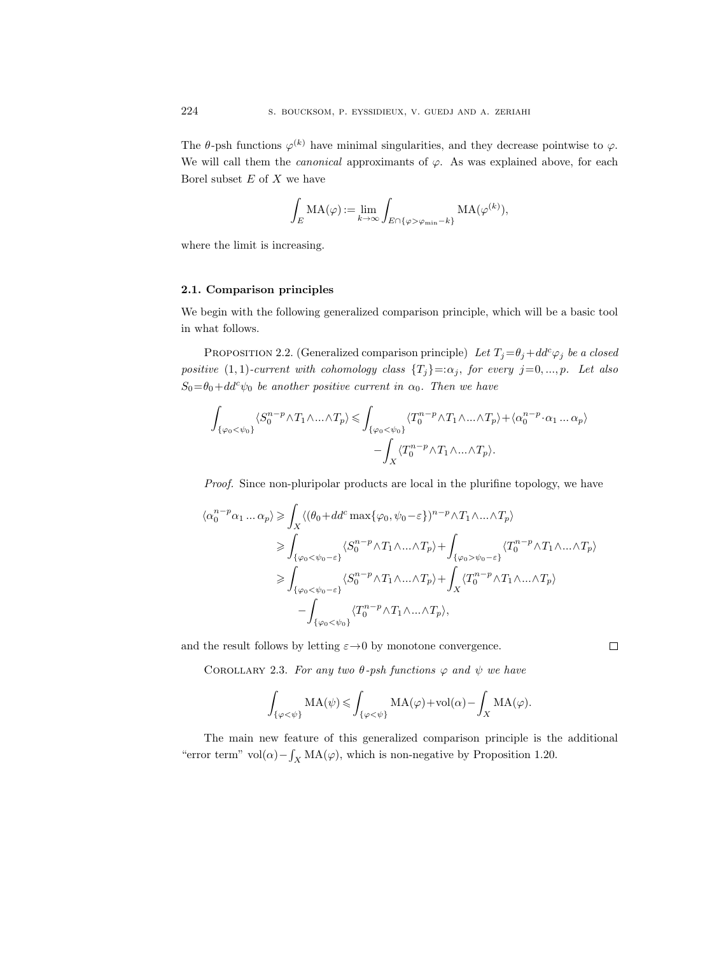The  $\theta$ -psh functions  $\varphi^{(k)}$  have minimal singularities, and they decrease pointwise to  $\varphi$ . We will call them the *canonical* approximants of  $\varphi$ . As was explained above, for each Borel subset  $E$  of  $X$  we have

$$
\int_E \mathrm{MA}(\varphi) := \lim_{k \to \infty} \int_{E \cap \{\varphi > \varphi_{\min} - k\}} \mathrm{MA}(\varphi^{(k)}),
$$

where the limit is increasing.

## 2.1. Comparison principles

We begin with the following generalized comparison principle, which will be a basic tool in what follows.

PROPOSITION 2.2. (Generalized comparison principle) Let  $T_j = \theta_j + dd^c \varphi_j$  be a closed positive (1, 1)-current with cohomology class  $\{T_j\} =: \alpha_j$ , for every  $j = 0, ..., p$ . Let also  $S_0 = \theta_0 + dd^c \psi_0$  be another positive current in  $\alpha_0$ . Then we have

$$
\int_{\{\varphi_0 < \psi_0\}} \langle S_0^{n-p} \wedge T_1 \wedge \ldots \wedge T_p \rangle \leq \int_{\{\varphi_0 < \psi_0\}} \langle T_0^{n-p} \wedge T_1 \wedge \ldots \wedge T_p \rangle + \langle \alpha_0^{n-p} \cdot \alpha_1 \ldots \alpha_p \rangle - \int_X \langle T_0^{n-p} \wedge T_1 \wedge \ldots \wedge T_p \rangle.
$$

Proof. Since non-pluripolar products are local in the plurifine topology, we have

$$
\langle \alpha_0^{n-p} \alpha_1 \dots \alpha_p \rangle \geq \int_X \langle (\theta_0 + dd^c \max \{ \varphi_0, \psi_0 - \varepsilon \})^{n-p} \wedge T_1 \wedge \dots \wedge T_p \rangle
$$
  
\n
$$
\geq \int_{\{ \varphi_0 < \psi_0 - \varepsilon \}} \langle S_0^{n-p} \wedge T_1 \wedge \dots \wedge T_p \rangle + \int_{\{ \varphi_0 > \psi_0 - \varepsilon \}} \langle T_0^{n-p} \wedge T_1 \wedge \dots \wedge T_p \rangle
$$
  
\n
$$
\geq \int_{\{ \varphi_0 < \psi_0 - \varepsilon \}} \langle S_0^{n-p} \wedge T_1 \wedge \dots \wedge T_p \rangle + \int_X \langle T_0^{n-p} \wedge T_1 \wedge \dots \wedge T_p \rangle
$$
  
\n
$$
- \int_{\{ \varphi_0 < \psi_0 \}} \langle T_0^{n-p} \wedge T_1 \wedge \dots \wedge T_p \rangle,
$$

and the result follows by letting  $\varepsilon \rightarrow 0$  by monotone convergence.

COROLLARY 2.3. For any two  $\theta$ -psh functions  $\varphi$  and  $\psi$  we have

$$
\int_{\{\varphi<\psi\}}\mathrm{MA}(\psi)\leqslant\int_{\{\varphi<\psi\}}\mathrm{MA}(\varphi)+\mathrm{vol}(\alpha)-\int_X\mathrm{MA}(\varphi).
$$

The main new feature of this generalized comparison principle is the additional "error term" vol( $\alpha$ ) –  $\int_X MA(\varphi)$ , which is non-negative by Proposition 1.20.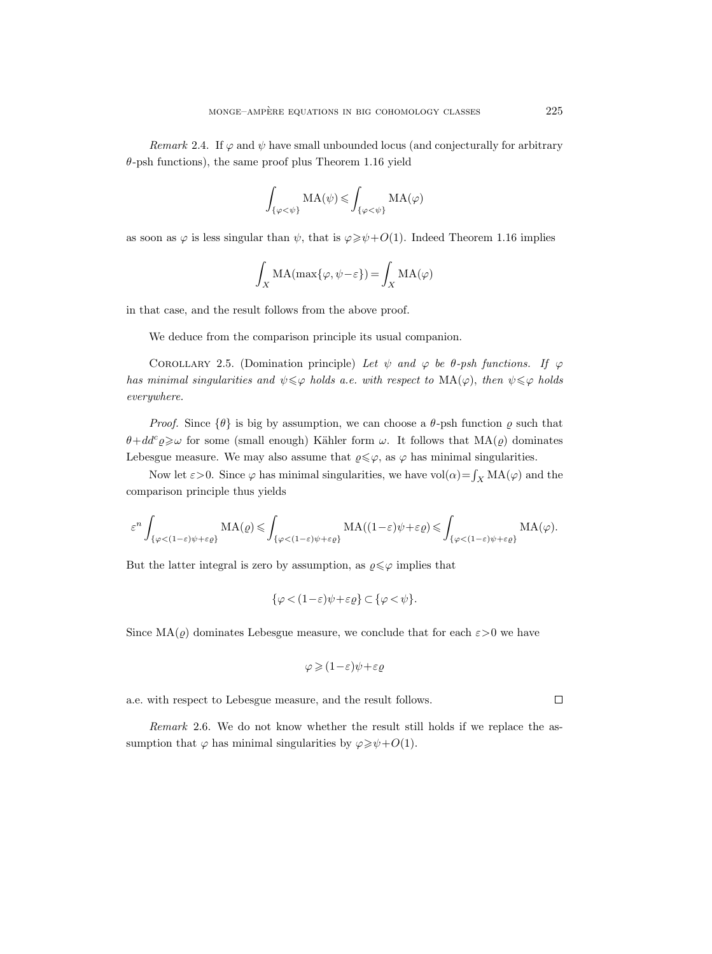Remark 2.4. If  $\varphi$  and  $\psi$  have small unbounded locus (and conjecturally for arbitrary  $\theta$ -psh functions), the same proof plus Theorem 1.16 yield

$$
\int_{\{\varphi<\psi\}}MA(\psi)\leqslant\int_{\{\varphi<\psi\}}MA(\varphi)
$$

as soon as  $\varphi$  is less singular than  $\psi$ , that is  $\varphi \geq \psi + O(1)$ . Indeed Theorem 1.16 implies

$$
\int_X \mathrm{MA}(\max\{\varphi,\psi-\varepsilon\}) = \int_X \mathrm{MA}(\varphi)
$$

in that case, and the result follows from the above proof.

We deduce from the comparison principle its usual companion.

COROLLARY 2.5. (Domination principle) Let  $\psi$  and  $\varphi$  be  $\theta$ -psh functions. If  $\varphi$ has minimal singularities and  $\psi \leq \varphi$  holds a.e. with respect to  $MA(\varphi)$ , then  $\psi \leq \varphi$  holds everywhere.

*Proof.* Since  $\{\theta\}$  is big by assumption, we can choose a  $\theta$ -psh function  $\rho$  such that  $\theta + dd^c \varrho \geq \omega$  for some (small enough) Kähler form  $\omega$ . It follows that  $MA(\varrho)$  dominates Lebesgue measure. We may also assume that  $\varrho \leq \varphi$ , as  $\varphi$  has minimal singularities.

Now let  $\varepsilon > 0$ . Since  $\varphi$  has minimal singularities, we have vol $(\alpha) = \int_X MA(\varphi)$  and the comparison principle thus yields

$$
\varepsilon^{n} \int_{\{\varphi < (1-\varepsilon)\psi + \varepsilon\varrho\}} \mathrm{MA}(\varrho) \leqslant \int_{\{\varphi < (1-\varepsilon)\psi + \varepsilon\varrho\}} \mathrm{MA}((1-\varepsilon)\psi + \varepsilon\varrho) \leqslant \int_{\{\varphi < (1-\varepsilon)\psi + \varepsilon\varrho\}} \mathrm{MA}(\varphi).
$$

But the latter integral is zero by assumption, as  $\varrho \leq \varphi$  implies that

$$
\{\varphi < (1 - \varepsilon)\psi + \varepsilon \varrho\} \subset \{\varphi < \psi\}.
$$

Since  $MA(\varrho)$  dominates Lebesgue measure, we conclude that for each  $\varepsilon > 0$  we have

$$
\varphi \geqslant (1-\varepsilon)\psi + \varepsilon\varrho
$$

a.e. with respect to Lebesgue measure, and the result follows.

Remark 2.6. We do not know whether the result still holds if we replace the assumption that  $\varphi$  has minimal singularities by  $\varphi \ge \psi + O(1)$ .

 $\Box$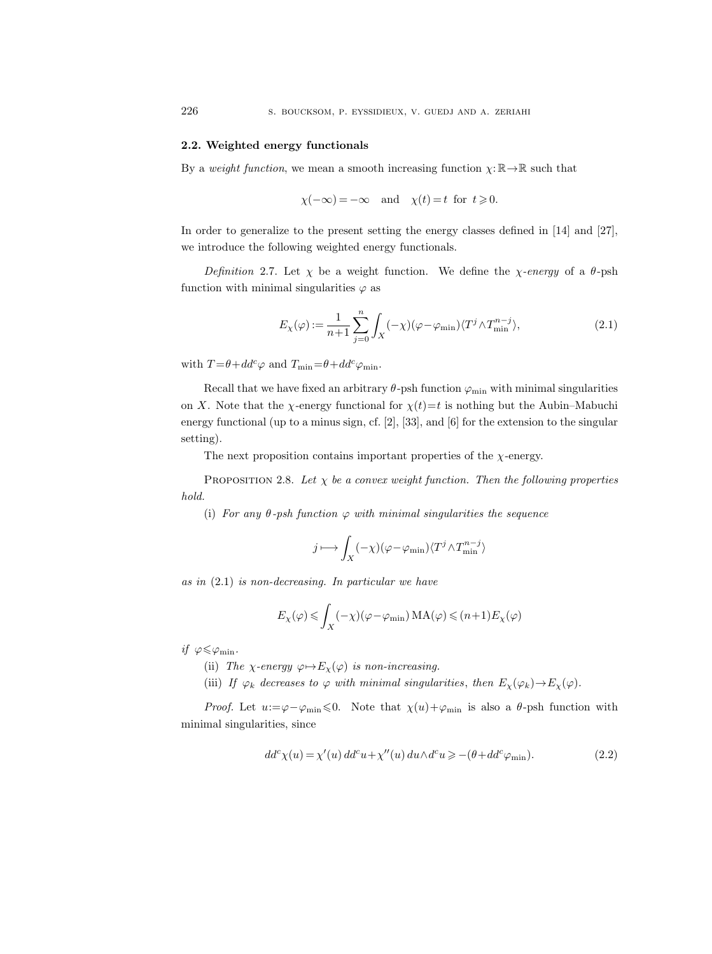## 2.2. Weighted energy functionals

By a weight function, we mean a smooth increasing function  $\chi: \mathbb{R} \to \mathbb{R}$  such that

$$
\chi(-\infty) = -\infty
$$
 and  $\chi(t) = t$  for  $t \ge 0$ .

In order to generalize to the present setting the energy classes defined in [14] and [27], we introduce the following weighted energy functionals.

Definition 2.7. Let  $\chi$  be a weight function. We define the  $\chi$ -energy of a  $\theta$ -psh function with minimal singularities  $\varphi$  as

$$
E_{\chi}(\varphi) := \frac{1}{n+1} \sum_{j=0}^{n} \int_{X} (-\chi)(\varphi - \varphi_{\min}) \langle T^{j} \wedge T^{n-j}_{\min} \rangle, \tag{2.1}
$$

with  $T = \theta + dd^c \varphi$  and  $T_{\min} = \theta + dd^c \varphi_{\min}$ .

Recall that we have fixed an arbitrary  $\theta$ -psh function  $\varphi_{\min}$  with minimal singularities on X. Note that the  $\chi$ -energy functional for  $\chi(t)=t$  is nothing but the Aubin–Mabuchi energy functional (up to a minus sign, cf. [2], [33], and [6] for the extension to the singular setting).

The next proposition contains important properties of the  $\chi$ -energy.

PROPOSITION 2.8. Let  $\chi$  be a convex weight function. Then the following properties hold.

(i) For any  $\theta$ -psh function  $\varphi$  with minimal singularities the sequence

$$
j\longmapsto \int_X (-\chi)(\varphi-\varphi_{\min})\langle T^j\wedge T^{n-j}_{\min}\rangle
$$

as in (2.1) is non-decreasing. In particular we have

$$
E_{\chi}(\varphi) \leq \int_{X} (-\chi)(\varphi - \varphi_{\min}) \, MA(\varphi) \leq (n+1) E_{\chi}(\varphi)
$$

if  $\varphi \leqslant \varphi_{\min}$ .

- (ii) The  $\chi$ -energy  $\varphi \mapsto E_{\chi}(\varphi)$  is non-increasing.
- (iii) If  $\varphi_k$  decreases to  $\varphi$  with minimal singularities, then  $E_\chi(\varphi_k) \to E_\chi(\varphi)$ .

*Proof.* Let  $u:=\varphi-\varphi_{\min}\leq0$ . Note that  $\chi(u)+\varphi_{\min}$  is also a  $\theta$ -psh function with minimal singularities, since

$$
dd^{c}\chi(u) = \chi'(u) \, dd^{c}u + \chi''(u) \, du \wedge d^{c}u \geq -(\theta + dd^{c}\varphi_{\min}).\tag{2.2}
$$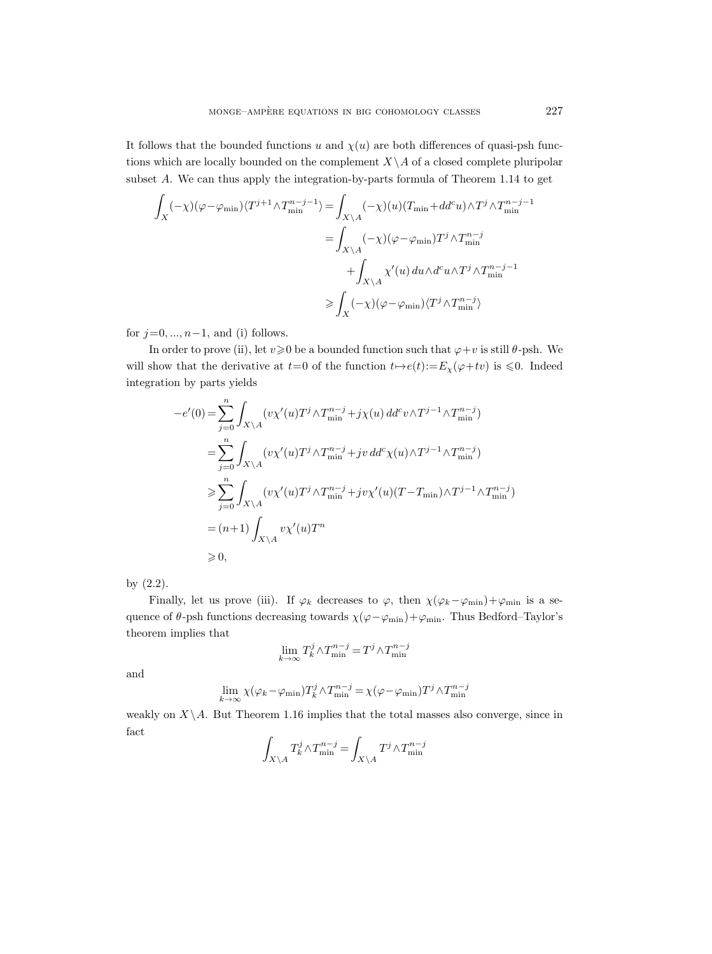It follows that the bounded functions u and  $\chi(u)$  are both differences of quasi-psh functions which are locally bounded on the complement  $X\setminus A$  of a closed complete pluripolar subset A. We can thus apply the integration-by-parts formula of Theorem 1.14 to get

$$
\begin{aligned} \int_X (-\chi) (\varphi - \varphi_{\rm min}) \langle T^{j+1} \wedge T^{n-j-1}_{\rm min} \rangle & = \int_{X \backslash A} (-\chi) (u) (T_{\rm min} + dd^c u) \wedge T^j \wedge T^{n-j-1}_{\rm min} \\ & = \int_{X \backslash A} (-\chi) (\varphi - \varphi_{\rm min}) T^j \wedge T^{n-j}_{\rm min} \\ & + \int_{X \backslash A} \chi'(u) \, du \wedge d^c u \wedge T^j \wedge T^{n-j-1}_{\rm min} \\ & \geqslant \int_X (-\chi) (\varphi - \varphi_{\rm min}) \langle T^j \wedge T^{n-j}_{\rm min} \rangle \end{aligned}
$$

for  $j=0, ..., n-1$ , and (i) follows.

In order to prove (ii), let  $v\geq 0$  be a bounded function such that  $\varphi+v$  is still  $\theta$ -psh. We will show that the derivative at  $t=0$  of the function  $t\mapsto e(t):=E_{\chi}(\varphi+tv)$  is  $\leq 0$ . Indeed integration by parts yields

$$
-e'(0) = \sum_{j=0}^{n} \int_{X \backslash A} (v\chi'(u)T^{j} \wedge T^{n-j}_{\min} + j\chi(u) d d^{c}v \wedge T^{j-1} \wedge T^{n-j}_{\min})
$$
  
\n
$$
= \sum_{j=0}^{n} \int_{X \backslash A} (v\chi'(u)T^{j} \wedge T^{n-j}_{\min} + jv d d^{c}\chi(u) \wedge T^{j-1} \wedge T^{n-j}_{\min})
$$
  
\n
$$
\geq \sum_{j=0}^{n} \int_{X \backslash A} (v\chi'(u)T^{j} \wedge T^{n-j}_{\min} + jv\chi'(u)(T - T_{\min}) \wedge T^{j-1} \wedge T^{n-j}_{\min})
$$
  
\n
$$
= (n+1) \int_{X \backslash A} v\chi'(u)T^{n}
$$
  
\n
$$
\geq 0,
$$

by (2.2).

Finally, let us prove (iii). If  $\varphi_k$  decreases to  $\varphi$ , then  $\chi(\varphi_k-\varphi_{\min})+\varphi_{\min}$  is a sequence of  $\theta$ -psh functions decreasing towards  $\chi(\varphi-\varphi_\mathrm{min})+\varphi_\mathrm{min}$ . Thus Bedford–Taylor's theorem implies that

$$
\lim_{k\to\infty} T_k^j \wedge T_{\min}^{n-j}=T^j \wedge T_{\min}^{n-j}
$$

and

$$
\lim_{k \to \infty} \chi(\varphi_k - \varphi_{\min}) T_k^j \wedge T_{\min}^{n-j} = \chi(\varphi - \varphi_{\min}) T^j \wedge T_{\min}^{n-j}
$$

weakly on  $X\backslash A$ . But Theorem 1.16 implies that the total masses also converge, since in fact

$$
\int_{X\backslash A} T_k^j \wedge T_{\min}^{n-j} = \int_{X\backslash A} T^j \wedge T_{\min}^{n-j}
$$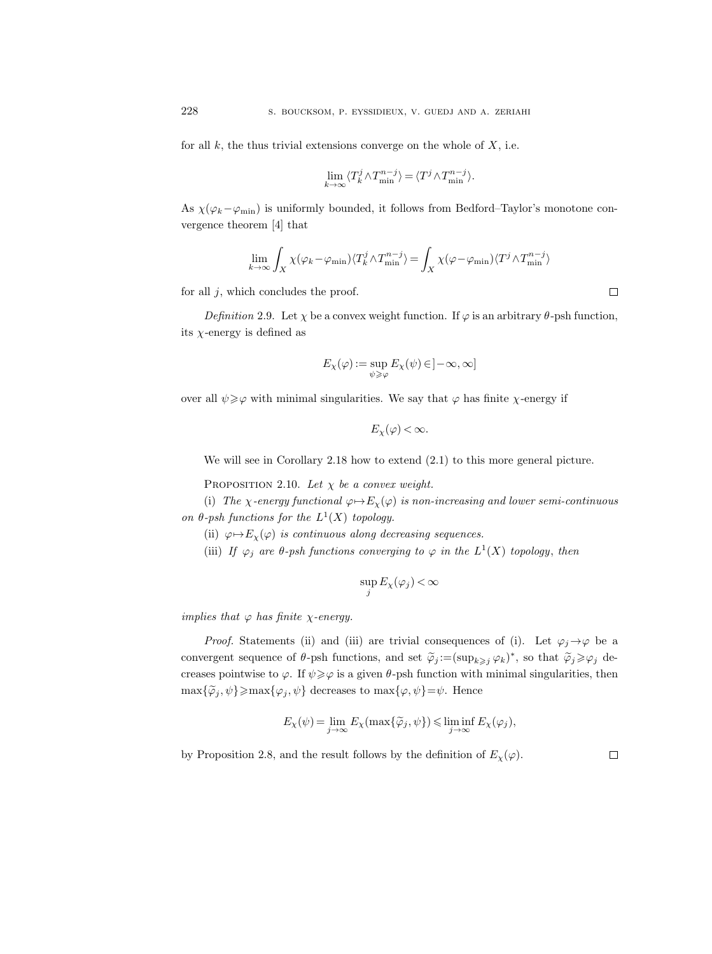for all  $k$ , the thus trivial extensions converge on the whole of  $X$ , i.e.

$$
\lim_{k \to \infty} \langle T_k^j \wedge T_{\min}^{n-j} \rangle = \langle T^j \wedge T_{\min}^{n-j} \rangle.
$$

As  $\chi(\varphi_k-\varphi_{\min})$  is uniformly bounded, it follows from Bedford–Taylor's monotone convergence theorem [4] that

$$
\lim_{k \to \infty} \int_X \chi(\varphi_k - \varphi_{\min}) \langle T_k^j \wedge T_{\min}^{n-j} \rangle = \int_X \chi(\varphi - \varphi_{\min}) \langle T^j \wedge T_{\min}^{n-j} \rangle
$$

for all  $j$ , which concludes the proof.

Definition 2.9. Let  $\chi$  be a convex weight function. If  $\varphi$  is an arbitrary  $\theta$ -psh function, its  $\chi$ -energy is defined as

$$
E_\chi(\varphi):=\sup_{\psi\geqslant\varphi}E_\chi(\psi)\,{\in}\,]-\infty,\infty]
$$

over all  $\psi \geq \varphi$  with minimal singularities. We say that  $\varphi$  has finite  $\chi$ -energy if

$$
E_{\chi}(\varphi)<\infty.
$$

We will see in Corollary 2.18 how to extend (2.1) to this more general picture.

PROPOSITION 2.10. Let  $\chi$  be a convex weight.

(i) The *χ*-energy functional  $\varphi \mapsto E_{\chi}(\varphi)$  is non-increasing and lower semi-continuous on  $\theta$ -psh functions for the  $L^1(X)$  topology.

(ii)  $\varphi \mapsto E_{\chi}(\varphi)$  is continuous along decreasing sequences.

(iii) If  $\varphi_j$  are  $\theta$ -psh functions converging to  $\varphi$  in the  $L^1(X)$  topology, then

$$
\sup_j E_\chi(\varphi_j)\!<\!\infty
$$

implies that  $\varphi$  has finite  $\chi$ -energy.

*Proof.* Statements (ii) and (iii) are trivial consequences of (i). Let  $\varphi_j \rightarrow \varphi$  be a convergent sequence of  $\theta$ -psh functions, and set  $\widetilde{\varphi}_j := (\sup_{k \geq j} \varphi_k)^*$ , so that  $\widetilde{\varphi}_j \geq \varphi_j$  decreases pointwise to  $\varphi$ . If  $\psi \geq \varphi$  is a given  $\theta$ -psh function with minimal singularities, then  $\max{\{\tilde{\varphi}_j, \psi\}} \ge \max{\{\varphi_j, \psi\}}$  decreases to  $\max{\{\varphi, \psi\}} = \psi$ . Hence

$$
E_{\chi}(\psi)=\lim_{j\rightarrow\infty}E_{\chi}(\max\{\widetilde{\varphi}_j,\psi\})\leqslant \liminf_{j\rightarrow\infty}E_{\chi}(\varphi_j),
$$

by Proposition 2.8, and the result follows by the definition of  $E_{\chi}(\varphi)$ .

 $\hfill\square$ 

 $\Box$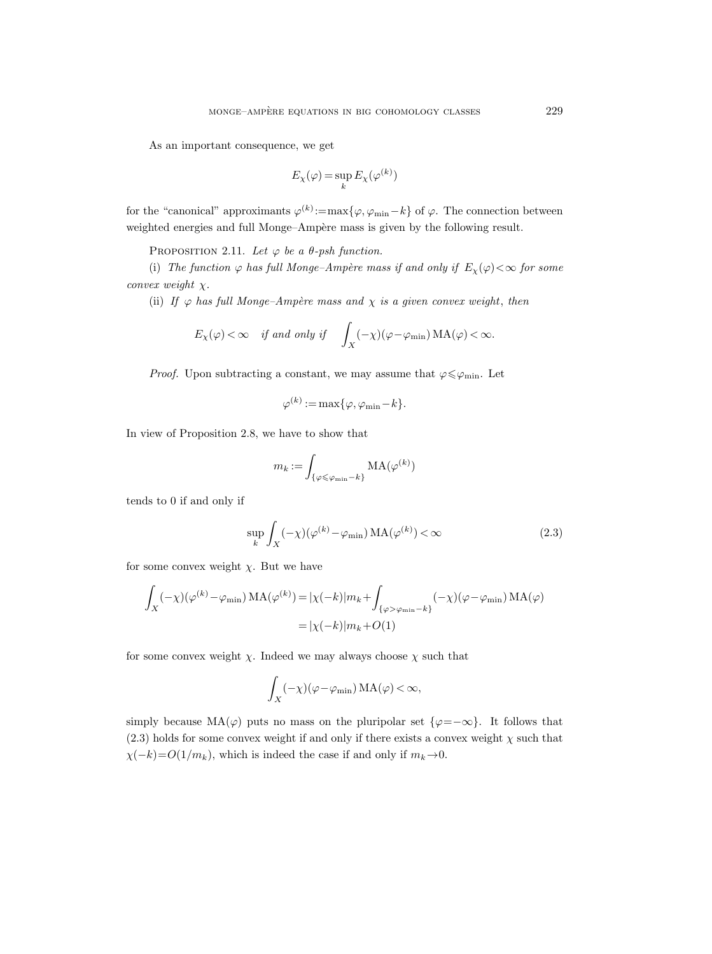As an important consequence, we get

$$
E_\chi(\varphi) = \sup_k E_\chi(\varphi^{(k)})
$$

for the "canonical" approximants  $\varphi^{(k)} := \max{\{\varphi, \varphi_{\min} - k\}}$  of  $\varphi$ . The connection between weighted energies and full Monge–Ampère mass is given by the following result.

PROPOSITION 2.11. Let  $\varphi$  be a  $\theta$ -psh function.

(i) The function  $\varphi$  has full Monge–Ampère mass if and only if  $E_{\chi}(\varphi) < \infty$  for some convex weight  $\chi$ .

(ii) If  $\varphi$  has full Monge-Ampère mass and  $\chi$  is a given convex weight, then

$$
E_{\chi}(\varphi) < \infty
$$
 if and only if  $\int_X (-\chi)(\varphi - \varphi_{\min}) MA(\varphi) < \infty$ .

*Proof.* Upon subtracting a constant, we may assume that  $\varphi \leq \varphi_{\min}$ . Let

$$
\varphi^{(k)} := \max\{\varphi, \varphi_{\min} - k\}.
$$

In view of Proposition 2.8, we have to show that

$$
m_k := \int_{\{\varphi \leqslant \varphi_{\min} - k\}} \text{MA}(\varphi^{(k)})
$$

tends to 0 if and only if

$$
\sup_{k} \int_{X} (-\chi)(\varphi^{(k)} - \varphi_{\min}) \, MA(\varphi^{(k)}) < \infty \tag{2.3}
$$

for some convex weight  $\chi$ . But we have

$$
\int_X (-\chi)(\varphi^{(k)} - \varphi_{\min}) MA(\varphi^{(k)}) = |\chi(-k)|m_k + \int_{\{\varphi > \varphi_{\min} - k\}} (-\chi)(\varphi - \varphi_{\min}) MA(\varphi)
$$

$$
= |\chi(-k)|m_k + O(1)
$$

for some convex weight  $\chi$ . Indeed we may always choose  $\chi$  such that

$$
\int_X (-\chi)(\varphi - \varphi_{\min})\, MA(\varphi) < \infty,
$$

simply because  $MA(\varphi)$  puts no mass on the pluripolar set  $\{\varphi = -\infty\}$ . It follows that  $(2.3)$  holds for some convex weight if and only if there exists a convex weight  $\chi$  such that  $\chi(-k) = O(1/m_k)$ , which is indeed the case if and only if  $m_k \to 0$ .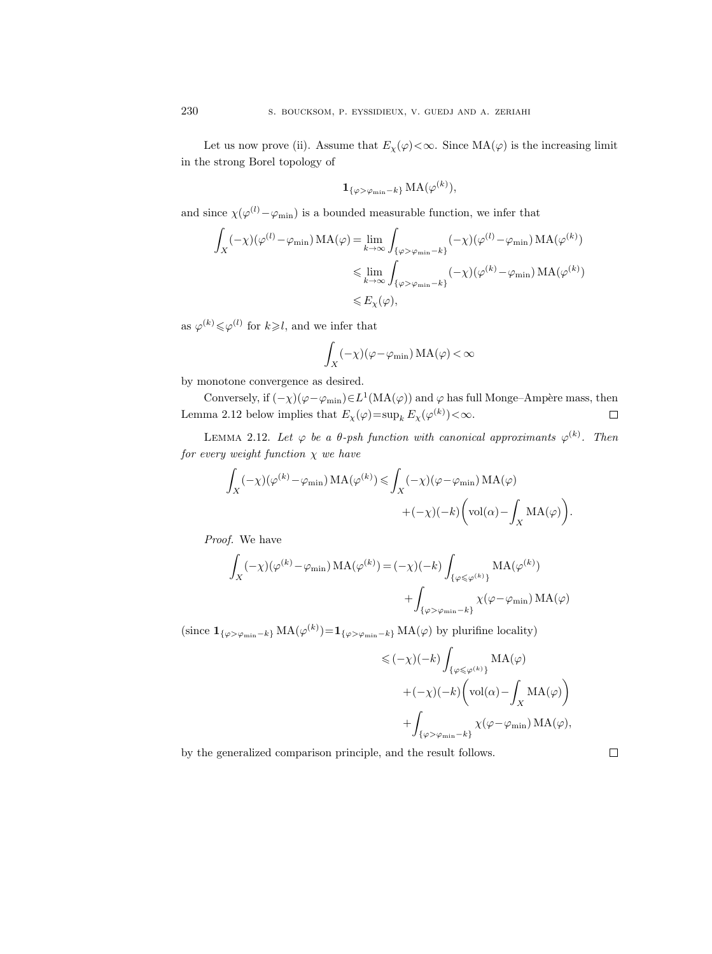Let us now prove (ii). Assume that  $E_{\chi}(\varphi) < \infty$ . Since  $MA(\varphi)$  is the increasing limit in the strong Borel topology of

$$
\mathbf{1}_{\{\varphi > \varphi_{\min} - k\}} \operatorname{MA}(\varphi^{(k)}),
$$

and since  $\chi(\varphi^{(l)} - \varphi_{\min})$  is a bounded measurable function, we infer that

$$
\int_X (-\chi)(\varphi^{(l)} - \varphi_{\min}) MA(\varphi) = \lim_{k \to \infty} \int_{\{\varphi > \varphi_{\min} - k\}} (-\chi)(\varphi^{(l)} - \varphi_{\min}) MA(\varphi^{(k)})
$$
  

$$
\leq \lim_{k \to \infty} \int_{\{\varphi > \varphi_{\min} - k\}} (-\chi)(\varphi^{(k)} - \varphi_{\min}) MA(\varphi^{(k)})
$$
  

$$
\leq E_\chi(\varphi),
$$

as  $\varphi^{(k)} \leq \varphi^{(l)}$  for  $k \geq l$ , and we infer that

$$
\int_X (-\chi) (\varphi - \varphi_{\rm min}) \, MA(\varphi) < \infty
$$

by monotone convergence as desired.

Conversely, if  $(-\chi)(\varphi - \varphi_{\min}) \in L^1(\text{MA}(\varphi))$  and  $\varphi$  has full Monge–Ampère mass, then Lemma 2.12 below implies that  $E_{\chi}(\varphi) = \sup_{k} E_{\chi}(\varphi^{(k)}) < \infty$ .  $\Box$ 

LEMMA 2.12. Let  $\varphi$  be a  $\theta$ -psh function with canonical approximants  $\varphi^{(k)}$ . Then for every weight function  $\chi$  we have

$$
\int_X (-\chi)(\varphi^{(k)} - \varphi_{\min}) MA(\varphi^{(k)}) \le \int_X (-\chi)(\varphi - \varphi_{\min}) MA(\varphi)
$$

$$
+ (-\chi)(-k) \bigg(\text{vol}(\alpha) - \int_X MA(\varphi)\bigg).
$$

Proof. We have

$$
\begin{split} \int_X (-\chi) (\varphi^{(k)} - \varphi_{\min}) \, \mathrm{MA}(\varphi^{(k)}) & = (-\chi)(-k) \int_{\{\varphi \leqslant \varphi^{(k)}\}} \mathrm{MA}(\varphi^{(k)}) \\ & \qquad \qquad + \int_{\{\varphi > \varphi_{\min} - k\}} \chi(\varphi - \varphi_{\min}) \, \mathrm{MA}(\varphi) \end{split}
$$

(since  $\mathbf{1}_{\{\varphi > \varphi_{\min} - k\}} \text{MA}(\varphi^{(k)}) = \mathbf{1}_{\{\varphi > \varphi_{\min} - k\}} \text{MA}(\varphi)$  by plurifine locality)

$$
\leq (\!-\chi)(-k) \int_{\{\varphi \leq \varphi^{(k)}\}} \mathrm{MA}(\varphi)
$$
  
+ 
$$
+(-\chi)(-k) \bigg( \mathrm{vol}(\alpha) - \int_X \mathrm{MA}(\varphi) \bigg)
$$
  
+ 
$$
\int_{\{\varphi > \varphi_{\min} - k\}} \chi(\varphi - \varphi_{\min}) \mathrm{MA}(\varphi),
$$

by the generalized comparison principle, and the result follows.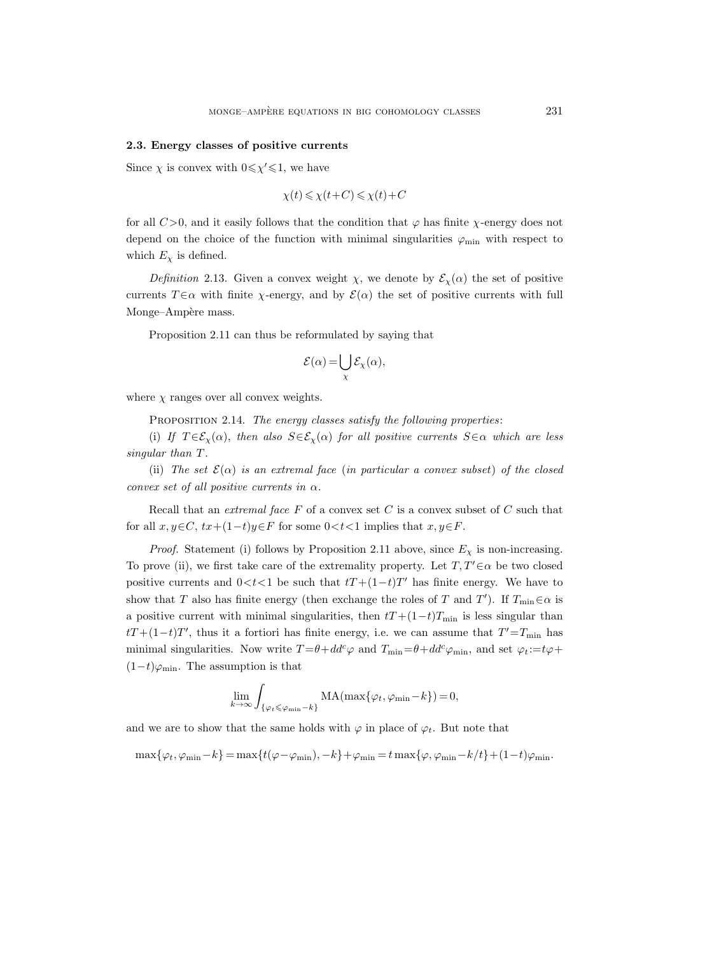#### 2.3. Energy classes of positive currents

Since  $\chi$  is convex with  $0 \leq \chi' \leq 1$ , we have

$$
\chi(t) \leq \chi(t+C) \leq \chi(t)+C
$$

for all  $C>0$ , and it easily follows that the condition that  $\varphi$  has finite  $\chi$ -energy does not depend on the choice of the function with minimal singularities  $\varphi_{\rm min}$  with respect to which  $E_{\chi}$  is defined.

Definition 2.13. Given a convex weight  $\chi$ , we denote by  $\mathcal{E}_{\chi}(\alpha)$  the set of positive currents  $T \in \alpha$  with finite  $\chi$ -energy, and by  $\mathcal{E}(\alpha)$  the set of positive currents with full Monge–Ampère mass.

Proposition 2.11 can thus be reformulated by saying that

$$
\mathcal{E}(\alpha) = \bigcup_{\chi} \mathcal{E}_{\chi}(\alpha),
$$

where  $\chi$  ranges over all convex weights.

PROPOSITION 2.14. The energy classes satisfy the following properties:

(i) If  $T \in \mathcal{E}_\chi(\alpha)$ , then also  $S \in \mathcal{E}_\chi(\alpha)$  for all positive currents  $S \in \alpha$  which are less singular than T.

(ii) The set  $\mathcal{E}(\alpha)$  is an extremal face (in particular a convex subset) of the closed convex set of all positive currents in  $\alpha$ .

Recall that an *extremal face*  $F$  of a convex set  $C$  is a convex subset of  $C$  such that for all  $x, y \in C$ ,  $tx+(1-t)y\in F$  for some  $0 < t < 1$  implies that  $x, y \in F$ .

*Proof.* Statement (i) follows by Proposition 2.11 above, since  $E_\chi$  is non-increasing. To prove (ii), we first take care of the extremality property. Let  $T, T' \in \alpha$  be two closed positive currents and  $0 < t < 1$  be such that  $tT + (1-t)T'$  has finite energy. We have to show that T also has finite energy (then exchange the roles of T and T'). If  $T_{\min} \in \alpha$  is a positive current with minimal singularities, then  $tT+(1-t)T_{\min}$  is less singular than  $tT+(1-t)T'$ , thus it a fortiori has finite energy, i.e. we can assume that  $T'=T_{\min}$  has minimal singularities. Now write  $T = \theta + dd^c \varphi$  and  $T_{\min} = \theta + dd^c \varphi_{\min}$ , and set  $\varphi_t := t\varphi + dt$  $(1-t)\varphi_{\min}$ . The assumption is that

$$
\lim_{k \to \infty} \int_{\{\varphi_t \leqslant \varphi_{\min} - k\}} \text{MA}(\max\{\varphi_t, \varphi_{\min} - k\}) = 0,
$$

and we are to show that the same holds with  $\varphi$  in place of  $\varphi_t$ . But note that

$$
\max\{\varphi_t,\varphi_{\min}-k\}=\max\{t(\varphi-\varphi_{\min}),-k\}+\varphi_{\min}=t\max\{\varphi,\varphi_{\min}-k/t\}+(1-t)\varphi_{\min}.
$$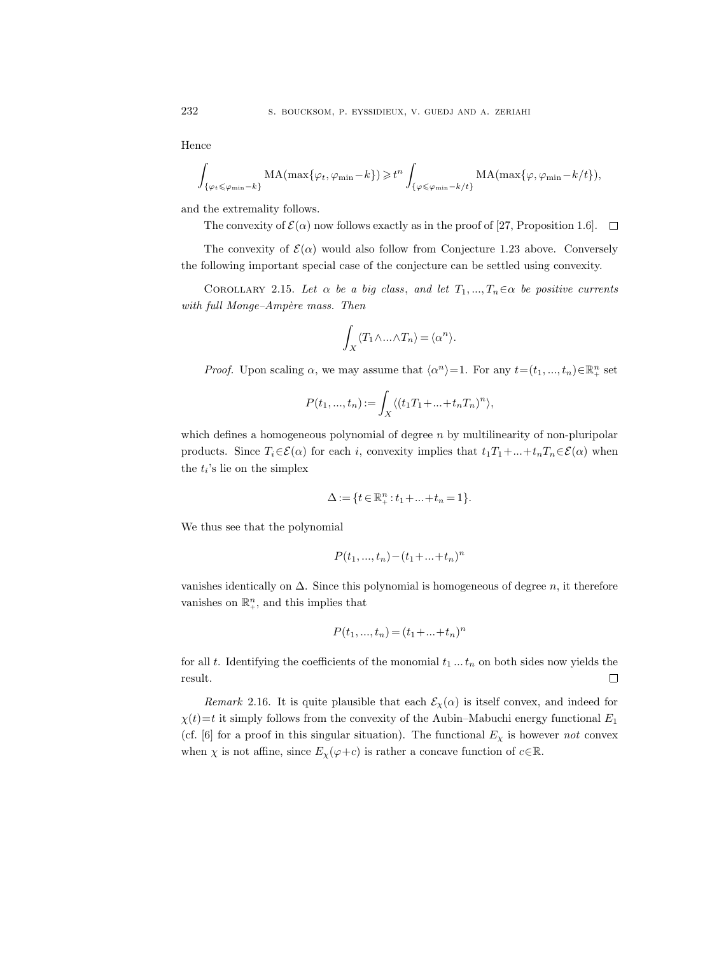Hence

$$
\int_{\{\varphi_t \leqslant \varphi_{\min} - k\}} \mathrm{MA}(\max\{\varphi_t, \varphi_{\min} - k\}) \geqslant t^n \int_{\{\varphi \leqslant \varphi_{\min} - k/t\}} \mathrm{MA}(\max\{\varphi, \varphi_{\min} - k/t\}),
$$

and the extremality follows.

The convexity of  $\mathcal{E}(\alpha)$  now follows exactly as in the proof of [27, Proposition 1.6].  $\Box$ 

The convexity of  $\mathcal{E}(\alpha)$  would also follow from Conjecture 1.23 above. Conversely the following important special case of the conjecture can be settled using convexity.

COROLLARY 2.15. Let  $\alpha$  be a big class, and let  $T_1, ..., T_n \in \alpha$  be positive currents with full Monge-Ampère mass. Then

$$
\int_X \langle T_1 \wedge \ldots \wedge T_n \rangle = \langle \alpha^n \rangle.
$$

*Proof.* Upon scaling  $\alpha$ , we may assume that  $\langle \alpha^n \rangle = 1$ . For any  $t = (t_1, ..., t_n) \in \mathbb{R}_+^n$  set

$$
P(t_1, ..., t_n) := \int_X \langle (t_1 T_1 + ... + t_n T_n)^n \rangle,
$$

which defines a homogeneous polynomial of degree  $n$  by multilinearity of non-pluripolar products. Since  $T_i \in \mathcal{E}(\alpha)$  for each i, convexity implies that  $t_1T_1 + ... + t_nT_n \in \mathcal{E}(\alpha)$  when the  $t_i$ 's lie on the simplex

$$
\Delta := \{ t \in \mathbb{R}_+^n : t_1 + \ldots + t_n = 1 \}.
$$

We thus see that the polynomial

$$
P(t_1, ..., t_n) - (t_1 + ... + t_n)^n
$$

vanishes identically on  $\Delta$ . Since this polynomial is homogeneous of degree n, it therefore vanishes on  $\mathbb{R}^n_+$ , and this implies that

$$
P(t_1, ..., t_n) = (t_1 + ... + t_n)^n
$$

for all t. Identifying the coefficients of the monomial  $t_1 \dots t_n$  on both sides now yields the result.  $\Box$ 

Remark 2.16. It is quite plausible that each  $\mathcal{E}_{\chi}(\alpha)$  is itself convex, and indeed for  $\chi(t)=t$  it simply follows from the convexity of the Aubin–Mabuchi energy functional  $E_1$ (cf. [6] for a proof in this singular situation). The functional  $E_{\chi}$  is however not convex when  $\chi$  is not affine, since  $E_{\chi}(\varphi + c)$  is rather a concave function of  $c \in \mathbb{R}$ .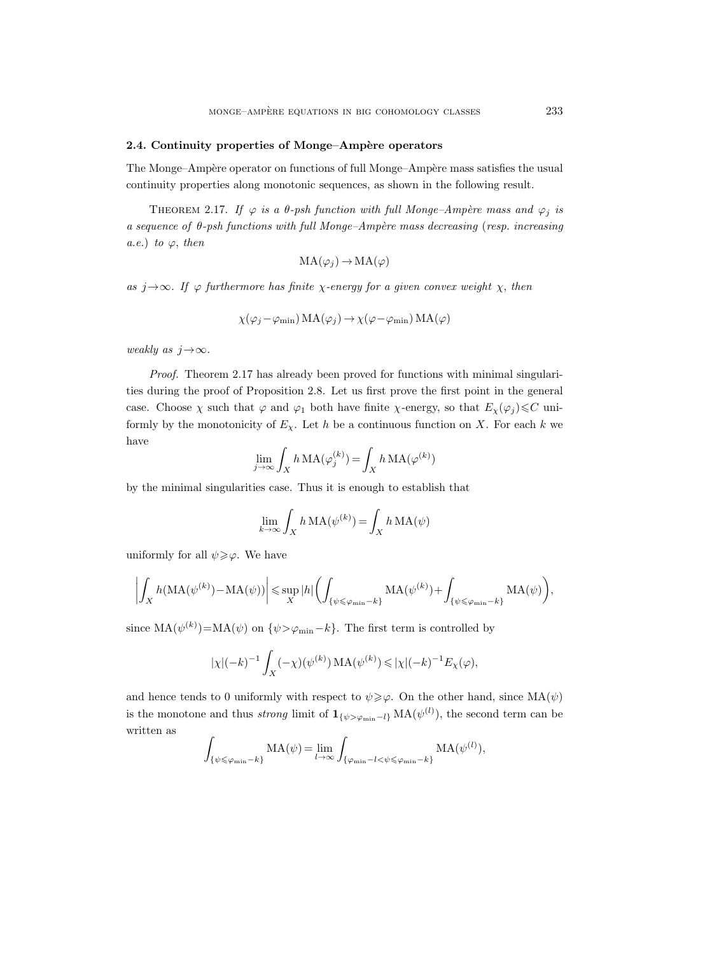#### 2.4. Continuity properties of Monge–Ampère operators

The Monge–Ampère operator on functions of full Monge–Ampère mass satisfies the usual continuity properties along monotonic sequences, as shown in the following result.

THEOREM 2.17. If  $\varphi$  is a  $\theta$ -psh function with full Monge–Ampère mass and  $\varphi_j$  is a sequence of  $\theta$ -psh functions with full Monge–Ampère mass decreasing (resp. increasing a.e.) to  $\varphi$ , then

$$
MA(\varphi_j) \to MA(\varphi)
$$

as  $j \rightarrow \infty$ . If  $\varphi$  furthermore has finite  $\chi$ -energy for a given convex weight  $\chi$ , then

$$
\chi(\varphi_j - \varphi_{\min}) MA(\varphi_j) \to \chi(\varphi - \varphi_{\min}) MA(\varphi)
$$

weakly as  $j \rightarrow \infty$ .

Proof. Theorem 2.17 has already been proved for functions with minimal singularities during the proof of Proposition 2.8. Let us first prove the first point in the general case. Choose  $\chi$  such that  $\varphi$  and  $\varphi_1$  both have finite  $\chi$ -energy, so that  $E_\chi(\varphi_j) \leq C$  uniformly by the monotonicity of  $E_\chi$ . Let h be a continuous function on X. For each k we have

$$
\lim_{j \to \infty} \int_X h \, MA(\varphi_j^{(k)}) = \int_X h \, MA(\varphi^{(k)})
$$

by the minimal singularities case. Thus it is enough to establish that

$$
\lim_{k \to \infty} \int_X h \, MA(\psi^{(k)}) = \int_X h \, MA(\psi)
$$

uniformly for all  $\psi \geqslant \varphi$ . We have

$$
\left|\int_X h(\mathrm{MA}(\psi^{(k)}) - \mathrm{MA}(\psi))\right| \leq \sup_X |h| \left(\int_{\{\psi \leq \varphi_{\min} - k\}} \mathrm{MA}(\psi^{(k)}) + \int_{\{\psi \leq \varphi_{\min} - k\}} \mathrm{MA}(\psi)\right),
$$

since  $MA(\psi^{(k)}) = MA(\psi)$  on  $\{\psi > \varphi_{\min} - k\}$ . The first term is controlled by

$$
|\chi|(-k)^{-1} \int_X (-\chi)(\psi^{(k)}) \, \text{MA}(\psi^{(k)}) \leq |\chi|(-k)^{-1} E_\chi(\varphi),
$$

and hence tends to 0 uniformly with respect to  $\psi \geq \varphi$ . On the other hand, since  $MA(\psi)$ is the monotone and thus *strong* limit of  $\mathbf{1}_{\{\psi > \varphi_{\min} - l\}} \text{MA}(\psi^{(l)})$ , the second term can be written as

$$
\int_{\{\psi \leq \varphi_{\min} - k\}} \mathrm{MA}(\psi) = \lim_{l \to \infty} \int_{\{\varphi_{\min} - l < \psi \leq \varphi_{\min} - k\}} \mathrm{MA}(\psi^{(l)}),
$$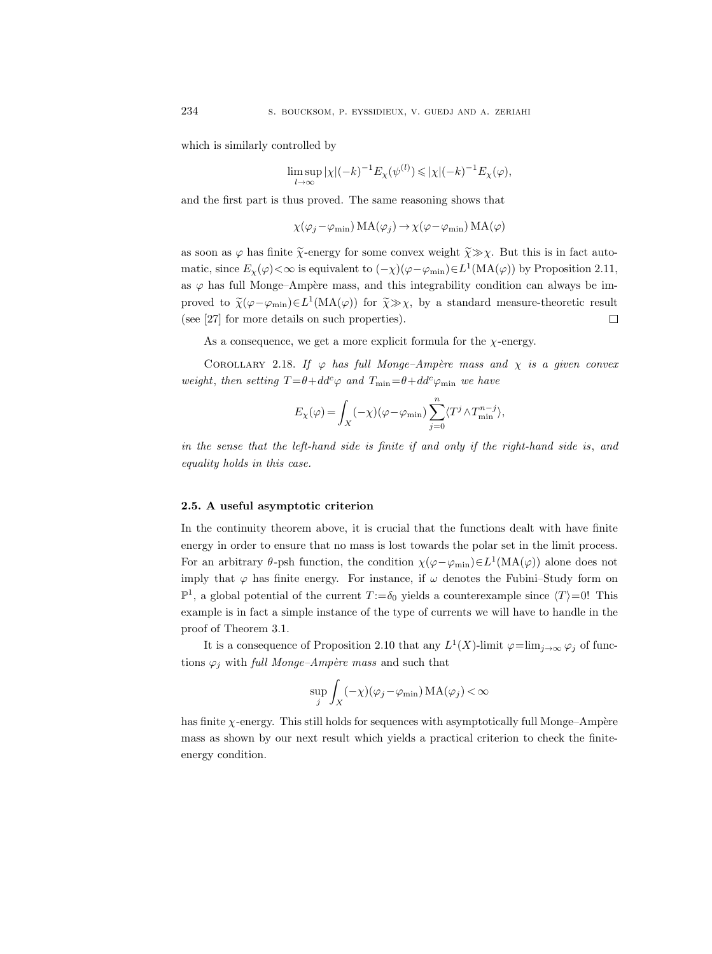which is similarly controlled by

$$
\limsup_{l \to \infty} |\chi|(-k)^{-1} E_{\chi}(\psi^{(l)}) \leq |\chi|(-k)^{-1} E_{\chi}(\varphi),
$$

and the first part is thus proved. The same reasoning shows that

 $\chi(\varphi_j-\varphi_{\min})\text{MA}(\varphi_j)\to \chi(\varphi-\varphi_{\min}) \text{MA}(\varphi)$ 

as soon as  $\varphi$  has finite  $\tilde{\chi}$ -energy for some convex weight  $\tilde{\chi} \gg \chi$ . But this is in fact automatic, since  $E_\chi(\varphi) < \infty$  is equivalent to  $(-\chi)(\varphi - \varphi_{\rm min}) \in L^1(\text{MA}(\varphi))$  by Proposition 2.11, as  $\varphi$  has full Monge–Ampère mass, and this integrability condition can always be improved to  $\tilde{\chi}(\varphi - \varphi_{\min}) \in L^1(\text{MA}(\varphi))$  for  $\tilde{\chi} \gg \chi$ , by a standard measure-theoretic result (see [27] for more details on such properties).

As a consequence, we get a more explicit formula for the  $\chi$ -energy.

COROLLARY 2.18. If  $\varphi$  has full Monge-Ampère mass and  $\chi$  is a given convex weight, then setting  $T = \theta + dd^c \varphi$  and  $T_{\min} = \theta + dd^c \varphi_{\min}$  we have

$$
E_{\chi}(\varphi) = \int_X (-\chi) (\varphi - \varphi_{\rm min}) \sum_{j=0}^n \langle T^j \wedge T_{\rm min}^{n-j} \rangle,
$$

in the sense that the left-hand side is finite if and only if the right-hand side is, and equality holds in this case.

## 2.5. A useful asymptotic criterion

In the continuity theorem above, it is crucial that the functions dealt with have finite energy in order to ensure that no mass is lost towards the polar set in the limit process. For an arbitrary  $\theta$ -psh function, the condition  $\chi(\varphi-\varphi_{\rm min})\in L^1(\rm MA(\varphi))$  alone does not imply that  $\varphi$  has finite energy. For instance, if  $\omega$  denotes the Fubini–Study form on  $\mathbb{P}^1$ , a global potential of the current  $T := \delta_0$  yields a counterexample since  $\langle T \rangle = 0!$  This example is in fact a simple instance of the type of currents we will have to handle in the proof of Theorem 3.1.

It is a consequence of Proposition 2.10 that any  $L^1(X)$ -limit  $\varphi = \lim_{j \to \infty} \varphi_j$  of functions  $\varphi_j$  with full Monge-Ampère mass and such that

$$
\sup_{j} \int_{X} (-\chi)(\varphi_j - \varphi_{\min}) \, MA(\varphi_j) < \infty
$$

has finite  $\chi$ -energy. This still holds for sequences with asymptotically full Monge–Ampère mass as shown by our next result which yields a practical criterion to check the finiteenergy condition.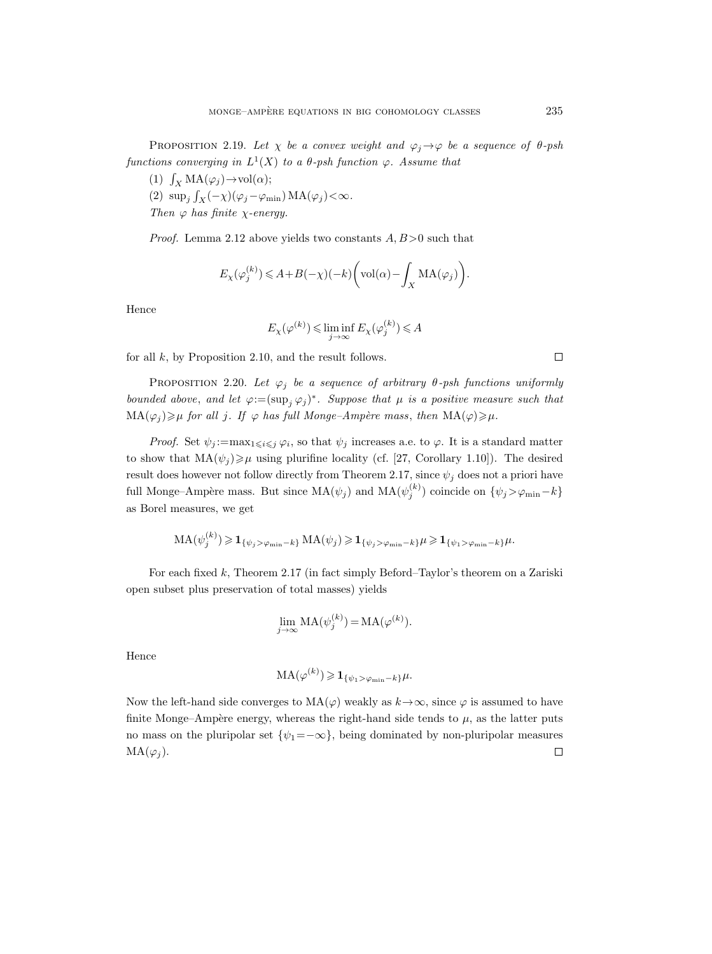PROPOSITION 2.19. Let  $\chi$  be a convex weight and  $\varphi_i \rightarrow \varphi$  be a sequence of  $\theta$ -psh functions converging in  $L^1(X)$  to a  $\theta$ -psh function  $\varphi$ . Assume that

- (1)  $\int_X MA(\varphi_j) \to vol(\alpha);$
- (2)  $\sup_j \int_X (-\chi)(\varphi_j \varphi_{\min}) \, MA(\varphi_j) < \infty.$ Then  $\varphi$  has finite  $\chi$ -energy.

*Proof.* Lemma 2.12 above yields two constants  $A, B > 0$  such that

$$
E_{\chi}(\varphi_j^{(k)}) \le A + B(-\chi)(-k) \bigg(\text{vol}(\alpha) - \int_X \text{MA}(\varphi_j)\bigg).
$$

Hence

$$
E_{\chi}(\varphi^{(k)}) \leq \liminf_{j \to \infty} E_{\chi}(\varphi_j^{(k)}) \leq A
$$

for all  $k$ , by Proposition 2.10, and the result follows.

PROPOSITION 2.20. Let  $\varphi_j$  be a sequence of arbitrary  $\theta$ -psh functions uniformly bounded above, and let  $\varphi := (\sup_j \varphi_j)^*$ . Suppose that  $\mu$  is a positive measure such that  $MA(\varphi_j) \geq \mu$  for all j. If  $\varphi$  has full Monge-Ampère mass, then  $MA(\varphi) \geq \mu$ .

*Proof.* Set  $\psi_j := \max_{1 \leq i \leq j} \varphi_i$ , so that  $\psi_j$  increases a.e. to  $\varphi$ . It is a standard matter to show that  $MA(\psi_j) \geq \mu$  using plurifine locality (cf. [27, Corollary 1.10]). The desired result does however not follow directly from Theorem 2.17, since  $\psi_i$  does not a priori have full Monge–Ampère mass. But since  $MA(\psi_j)$  and  $MA(\psi_j^{(k)})$  coincide on  $\{\psi_j > \varphi_{\min} - k\}$ as Borel measures, we get

$$
MA(\psi_j^{(k)}) \geq \mathbf{1}_{\{\psi_j > \varphi_{\min} - k\}} MA(\psi_j) \geq \mathbf{1}_{\{\psi_j > \varphi_{\min} - k\}} \mu \geq \mathbf{1}_{\{\psi_1 > \varphi_{\min} - k\}} \mu.
$$

For each fixed k, Theorem 2.17 (in fact simply Beford–Taylor's theorem on a Zariski open subset plus preservation of total masses) yields

$$
\lim_{j \to \infty} \text{MA}(\psi_j^{(k)}) = \text{MA}(\varphi^{(k)}).
$$

Hence

$$
MA(\varphi^{(k)}) \geqslant \mathbf{1}_{\{\psi_1 > \varphi_{\min} - k\}} \mu.
$$

Now the left-hand side converges to  $MA(\varphi)$  weakly as  $k \rightarrow \infty$ , since  $\varphi$  is assumed to have finite Monge–Ampère energy, whereas the right-hand side tends to  $\mu$ , as the latter puts no mass on the pluripolar set  $\{\psi_1 = -\infty\}$ , being dominated by non-pluripolar measures  $MA(\varphi_i)$ .  $\Box$ 

 $\Box$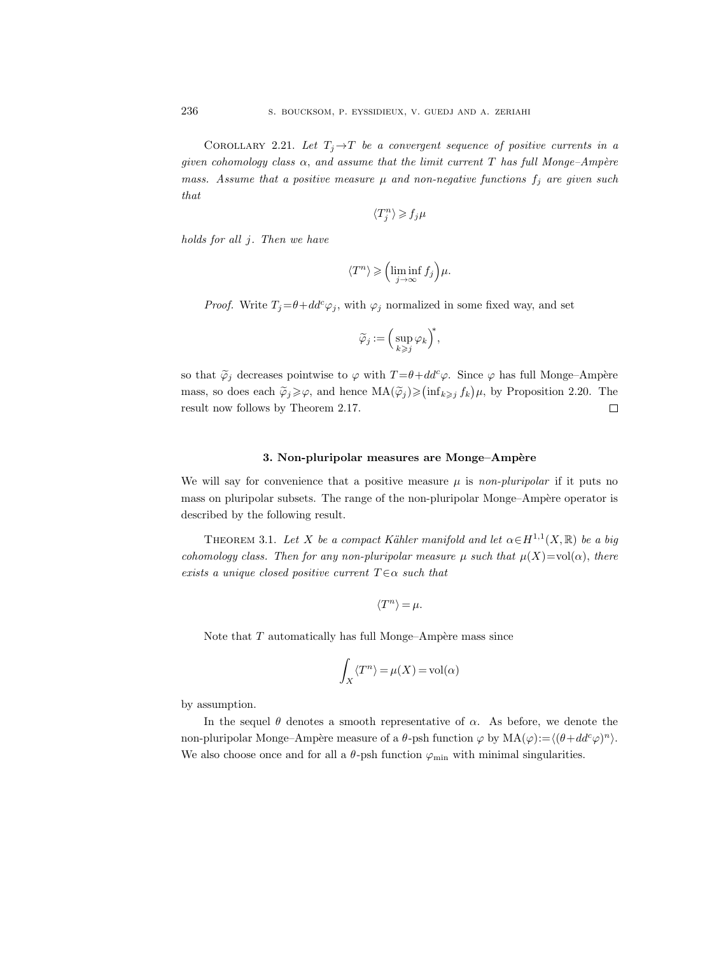COROLLARY 2.21. Let  $T_i \rightarrow T$  be a convergent sequence of positive currents in a given cohomology class  $\alpha$ , and assume that the limit current T has full Monge-Ampère mass. Assume that a positive measure  $\mu$  and non-negative functions  $f_j$  are given such that

$$
\langle T_j^n\rangle\geqslant f_j\mu
$$

holds for all j. Then we have

$$
\langle T^n \rangle \geqslant \left( \liminf_{j \to \infty} f_j \right) \mu.
$$

*Proof.* Write  $T_j = \theta + dd^c \varphi_j$ , with  $\varphi_j$  normalized in some fixed way, and set

$$
\widetilde{\varphi}_j:=\Big(\sup_{k\geqslant j}\varphi_k\Big)^{\!\!*},
$$

so that  $\tilde{\varphi}_j$  decreases pointwise to  $\varphi$  with  $T = \theta + dd^c \varphi$ . Since  $\varphi$  has full Monge–Ampère mass, so does each  $\tilde{\varphi}_j \geq \varphi$ , and hence  $MA(\tilde{\varphi}_j) \geq (\inf_{k \geq j} f_k) \mu$ , by Proposition 2.20. The result now follows by Theorem 2.17.  $\Box$ 

## 3. Non-pluripolar measures are Monge–Ampère

We will say for convenience that a positive measure  $\mu$  is non-pluripolar if it puts no mass on pluripolar subsets. The range of the non-pluripolar Monge–Ampère operator is described by the following result.

THEOREM 3.1. Let X be a compact Kähler manifold and let  $\alpha \in H^{1,1}(X,\mathbb{R})$  be a big cohomology class. Then for any non-pluripolar measure  $\mu$  such that  $\mu(X)=\text{vol}(\alpha)$ , there exists a unique closed positive current  $T \in \alpha$  such that

$$
\langle T^n \rangle = \mu.
$$

Note that  $T$  automatically has full Monge–Ampère mass since

$$
\int_X \langle T^n \rangle = \mu(X) = \text{vol}(\alpha)
$$

by assumption.

In the sequel  $\theta$  denotes a smooth representative of  $\alpha$ . As before, we denote the non-pluripolar Monge–Ampère measure of a  $\theta$ -psh function  $\varphi$  by  $MA(\varphi) := \langle (\theta + dd^c \varphi)^n \rangle$ . We also choose once and for all a  $\theta$ -psh function  $\varphi_{\min}$  with minimal singularities.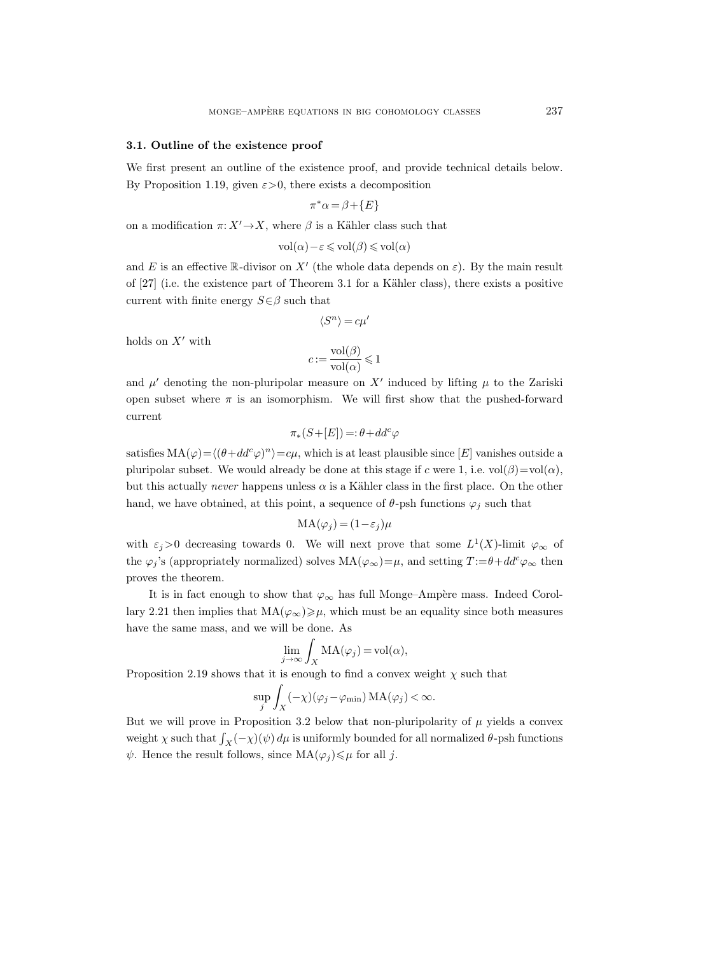## 3.1. Outline of the existence proof

We first present an outline of the existence proof, and provide technical details below. By Proposition 1.19, given  $\varepsilon > 0$ , there exists a decomposition

$$
\pi^*\alpha = \beta + \{E\}
$$

on a modification  $\pi: X' \to X$ , where  $\beta$  is a Kähler class such that

$$
vol(\alpha) - \varepsilon \leq vol(\beta) \leq vol(\alpha)
$$

and E is an effective R-divisor on X' (the whole data depends on  $\varepsilon$ ). By the main result of  $[27]$  (i.e. the existence part of Theorem 3.1 for a Kähler class), there exists a positive current with finite energy  $S \in \beta$  such that

$$
\langle S^n \rangle = c \mu'
$$

holds on  $X'$  with

$$
c := \frac{\text{vol}(\beta)}{\text{vol}(\alpha)} \leq 1
$$

and  $\mu'$  denoting the non-pluripolar measure on X' induced by lifting  $\mu$  to the Zariski open subset where  $\pi$  is an isomorphism. We will first show that the pushed-forward current

$$
\pi_*(S+[E]) = \theta + dd^c \varphi
$$

satisfies  $MA(\varphi) = \langle (\theta + dd^c \varphi)^n \rangle = c\mu$ , which is at least plausible since [E] vanishes outside a pluripolar subset. We would already be done at this stage if c were 1, i.e.  $vol(\beta)=vol(\alpha)$ , but this actually never happens unless  $\alpha$  is a Kähler class in the first place. On the other hand, we have obtained, at this point, a sequence of  $\theta$ -psh functions  $\varphi_j$  such that

$$
MA(\varphi_j) = (1 - \varepsilon_j)\mu
$$

with  $\varepsilon_j > 0$  decreasing towards 0. We will next prove that some  $L^1(X)$ -limit  $\varphi_{\infty}$  of the  $\varphi_j$ 's (appropriately normalized) solves  $MA(\varphi_\infty) = \mu$ , and setting  $T := \theta + dd^c \varphi_\infty$  then proves the theorem.

It is in fact enough to show that  $\varphi_{\infty}$  has full Monge–Ampère mass. Indeed Corollary 2.21 then implies that  $MA(\varphi_{\infty}) \geq \mu$ , which must be an equality since both measures have the same mass, and we will be done. As

$$
\lim_{j \to \infty} \int_X \mathrm{MA}(\varphi_j) = \mathrm{vol}(\alpha),
$$

Proposition 2.19 shows that it is enough to find a convex weight  $\chi$  such that

$$
\sup_j \int_X (-\chi)(\varphi_j - \varphi_{\min}) \, MA(\varphi_j) < \infty.
$$

But we will prove in Proposition 3.2 below that non-pluripolarity of  $\mu$  yields a convex weight  $\chi$  such that  $\int_X (-\chi)(\psi) d\mu$  is uniformly bounded for all normalized  $\theta$ -psh functions  $\psi$ . Hence the result follows, since  $MA(\varphi_i) \leq \mu$  for all j.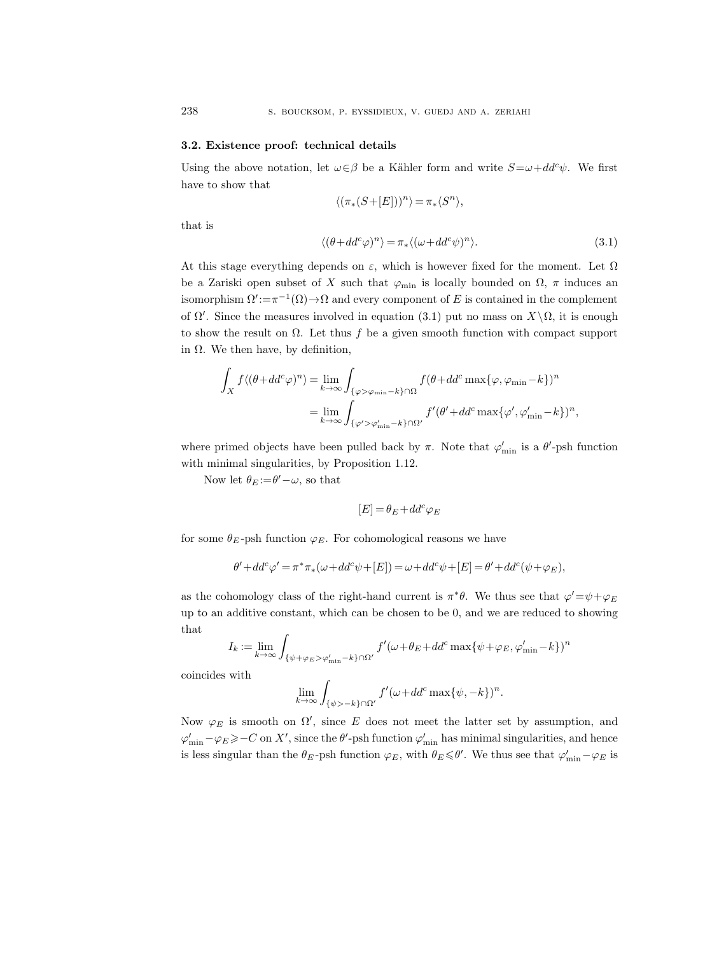## 3.2. Existence proof: technical details

Using the above notation, let  $\omega \in \beta$  be a Kähler form and write  $S = \omega + dd^c \psi$ . We first have to show that

$$
\langle (\pi_*(S+[E]))^n \rangle = \pi_*\langle S^n \rangle,
$$

that is

$$
\langle (\theta + dd^c \varphi)^n \rangle = \pi_* \langle (\omega + dd^c \psi)^n \rangle. \tag{3.1}
$$

At this stage everything depends on  $\varepsilon$ , which is however fixed for the moment. Let  $\Omega$ be a Zariski open subset of X such that  $\varphi_{\min}$  is locally bounded on  $\Omega$ ,  $\pi$  induces an isomorphism  $\Omega' := \pi^{-1}(\Omega) \to \Omega$  and every component of E is contained in the complement of  $\Omega'$ . Since the measures involved in equation (3.1) put no mass on  $X\setminus\Omega$ , it is enough to show the result on  $\Omega$ . Let thus f be a given smooth function with compact support in Ω. We then have, by definition,

$$
\int_X f \langle (\theta + dd^c \varphi)^n \rangle = \lim_{k \to \infty} \int_{\{\varphi > \varphi_{\min} - k\} \cap \Omega} f(\theta + dd^c \max{\varphi, \varphi_{\min} - k\}})^n
$$

$$
= \lim_{k \to \infty} \int_{\{\varphi' > \varphi'_{\min} - k\} \cap \Omega'} f'(\theta' + dd^c \max{\varphi', \varphi'_{\min} - k\}})^n,
$$

where primed objects have been pulled back by  $\pi$ . Note that  $\varphi'_{\min}$  is a  $\theta'$ -psh function with minimal singularities, by Proposition 1.12.

Now let  $\theta_E = \theta' - \omega$ , so that

$$
[E]=\theta_E+dd^c\varphi_E
$$

for some  $\theta_E$ -psh function  $\varphi_E$ . For cohomological reasons we have

$$
\theta' + dd^c \varphi' = \pi^* \pi_*(\omega + dd^c \psi + [E]) = \omega + dd^c \psi + [E] = \theta' + dd^c(\psi + \varphi_E),
$$

as the cohomology class of the right-hand current is  $\pi^*\theta$ . We thus see that  $\varphi' = \psi + \varphi_E$ up to an additive constant, which can be chosen to be 0, and we are reduced to showing that

$$
I_k := \lim_{k \to \infty} \int_{\{\psi + \varphi_E > \varphi'_{\min} - k\} \cap \Omega'} f'(\omega + \theta_E + dd^c \max\{\psi + \varphi_E, \varphi'_{\min} - k\})^n
$$

coincides with

$$
\lim_{k \to \infty} \int_{\{\psi > -k\} \cap \Omega'} f'(\omega + dd^c \max\{\psi, -k\})^n.
$$

Now  $\varphi_E$  is smooth on  $\Omega'$ , since E does not meet the latter set by assumption, and  $\varphi'_{\rm min}-\varphi_E\geqslant -C$  on X', since the  $\theta'$ -psh function  $\varphi'_{\rm min}$  has minimal singularities, and hence is less singular than the  $\theta_E$ -psh function  $\varphi_E$ , with  $\theta_E \le \theta'$ . We thus see that  $\varphi'_{\min} - \varphi_E$  is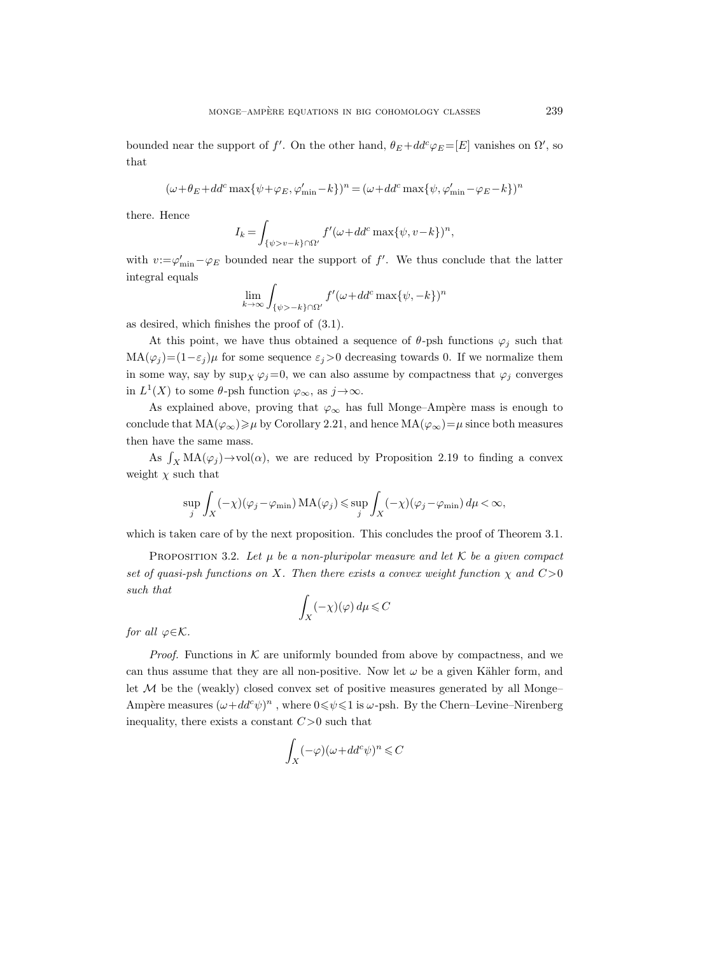bounded near the support of f'. On the other hand,  $\theta_E + dd^c \varphi_E = [E]$  vanishes on  $\Omega'$ , so that

$$
(\omega+\theta_E+dd^c\max\{\psi+\varphi_E,\varphi_{\min}'-k\})^n=(\omega+dd^c\max\{\psi,\varphi_{\min}'-\varphi_E-k\})^n
$$

there. Hence

$$
I_k = \int_{\{\psi > v-k\} \cap \Omega'} f'(\omega + dd^c \max\{\psi, v-k\})^n,
$$

with  $v := \varphi'_{\min} - \varphi_E$  bounded near the support of f'. We thus conclude that the latter integral equals

$$
\lim_{k \to \infty} \int_{\{\psi > -k\} \cap \Omega'} f'(\omega + dd^c \max\{\psi, -k\})^n
$$

as desired, which finishes the proof of (3.1).

At this point, we have thus obtained a sequence of  $\theta$ -psh functions  $\varphi_j$  such that  $MA(\varphi_i)=(1-\varepsilon_i)\mu$  for some sequence  $\varepsilon_i>0$  decreasing towards 0. If we normalize them in some way, say by  $\sup_X \varphi_j=0$ , we can also assume by compactness that  $\varphi_j$  converges in  $L^1(X)$  to some  $\theta$ -psh function  $\varphi_{\infty}$ , as  $j \to \infty$ .

As explained above, proving that  $\varphi_{\infty}$  has full Monge–Ampère mass is enough to conclude that  $MA(\varphi_{\infty})\geq \mu$  by Corollary 2.21, and hence  $MA(\varphi_{\infty})=\mu$  since both measures then have the same mass.

As  $\int_X MA(\varphi_j) \to vol(\alpha)$ , we are reduced by Proposition 2.19 to finding a convex weight  $\chi$  such that

$$
\sup_j \int_X (-\chi)(\varphi_j - \varphi_{\min}) \, MA(\varphi_j) \le \sup_j \int_X (-\chi)(\varphi_j - \varphi_{\min}) \, d\mu < \infty,
$$

which is taken care of by the next proposition. This concludes the proof of Theorem 3.1.

PROPOSITION 3.2. Let  $\mu$  be a non-pluripolar measure and let K be a given compact set of quasi-psh functions on X. Then there exists a convex weight function  $\chi$  and  $C>0$ such that

$$
\int_X (-\chi)(\varphi) \, d\mu \leqslant C
$$

for all  $\varphi \in \mathcal{K}$ .

*Proof.* Functions in  $K$  are uniformly bounded from above by compactness, and we can thus assume that they are all non-positive. Now let  $\omega$  be a given Kähler form, and let  $M$  be the (weakly) closed convex set of positive measures generated by all Monge– Ampère measures  $(\omega + dd^c \psi)^n$ , where  $0 \le \psi \le 1$  is  $\omega$ -psh. By the Chern–Levine–Nirenberg inequality, there exists a constant  $C>0$  such that

$$
\int_X (-\varphi)(\omega + dd^c \psi)^n \leq C
$$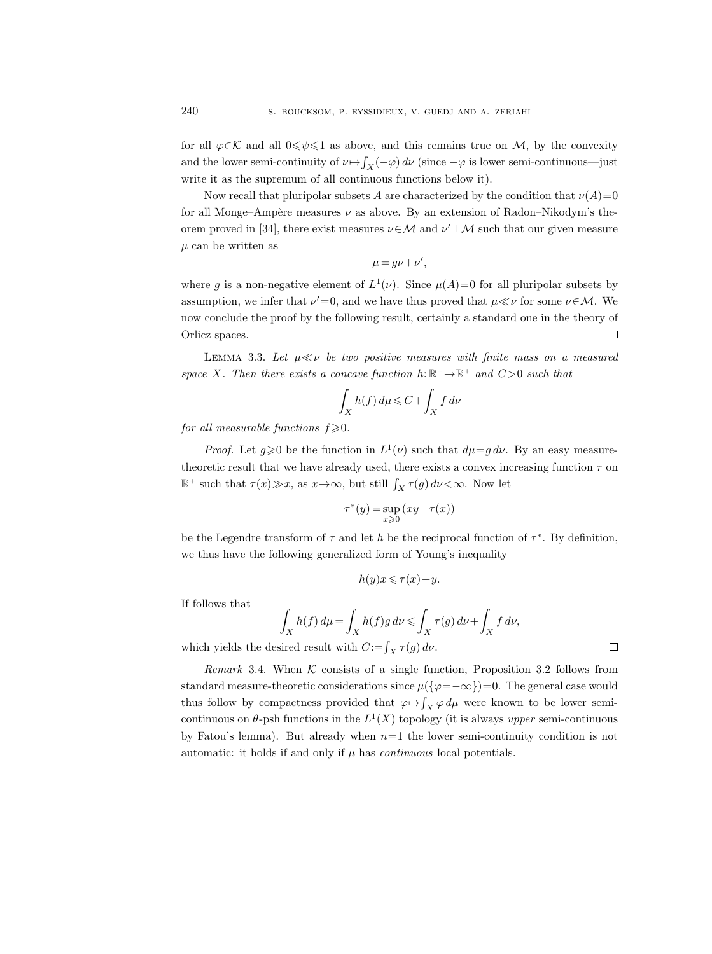for all  $\varphi \in \mathcal{K}$  and all  $0 \leq \psi \leq 1$  as above, and this remains true on M, by the convexity and the lower semi-continuity of  $\nu \mapsto \int_X (-\varphi) d\nu$  (since  $-\varphi$  is lower semi-continuous—just write it as the supremum of all continuous functions below it).

Now recall that pluripolar subsets A are characterized by the condition that  $\nu(A)=0$ for all Monge–Ampère measures  $\nu$  as above. By an extension of Radon–Nikodym's theorem proved in [34], there exist measures  $\nu \in \mathcal{M}$  and  $\nu' \perp \mathcal{M}$  such that our given measure  $\mu$  can be written as

$$
\mu = g\nu + \nu',
$$

where g is a non-negative element of  $L^1(\nu)$ . Since  $\mu(A)=0$  for all pluripolar subsets by assumption, we infer that  $\nu'=0$ , and we have thus proved that  $\mu \ll \nu$  for some  $\nu \in \mathcal{M}$ . We now conclude the proof by the following result, certainly a standard one in the theory of Orlicz spaces.  $\Box$ 

LEMMA 3.3. Let  $\mu \ll \nu$  be two positive measures with finite mass on a measured space X. Then there exists a concave function  $h: \mathbb{R}^+ \to \mathbb{R}^+$  and  $C>0$  such that

$$
\int_X h(f) \, d\mu \leq C + \int_X f \, d\nu
$$

for all measurable functions  $f \geq 0$ .

*Proof.* Let  $g \ge 0$  be the function in  $L^1(\nu)$  such that  $d\mu = g d\nu$ . By an easy measuretheoretic result that we have already used, there exists a convex increasing function  $\tau$  on  $\mathbb{R}^+$  such that  $\tau(x) \gg x$ , as  $x \to \infty$ , but still  $\int_X \tau(g) d\nu < \infty$ . Now let

$$
\tau^*(y) = \sup_{x \geq 0} (xy - \tau(x))
$$

be the Legendre transform of  $\tau$  and let h be the reciprocal function of  $\tau^*$ . By definition, we thus have the following generalized form of Young's inequality

$$
h(y)x \leqslant \tau(x) + y.
$$

If follows that

$$
\int_X h(f) d\mu = \int_X h(f)g d\nu \le \int_X \tau(g) d\nu + \int_X f d\nu,
$$
  
since  $\text{result with } C := \int_{-\infty}^{\infty} \tau(g) d\nu$ .

which yields the desired result with  $C := \int_X \tau(g) d\nu$ .

Remark 3.4. When  $K$  consists of a single function, Proposition 3.2 follows from standard measure-theoretic considerations since  $\mu({\varphi}=-\infty)=0$ . The general case would thus follow by compactness provided that  $\varphi \mapsto \int_X \varphi \, d\mu$  were known to be lower semicontinuous on  $\theta$ -psh functions in the  $L^1(X)$  topology (it is always upper semi-continuous by Fatou's lemma). But already when  $n=1$  the lower semi-continuity condition is not automatic: it holds if and only if  $\mu$  has *continuous* local potentials.

|  | ۰ |  |
|--|---|--|
|  |   |  |
|  |   |  |
|  |   |  |
|  |   |  |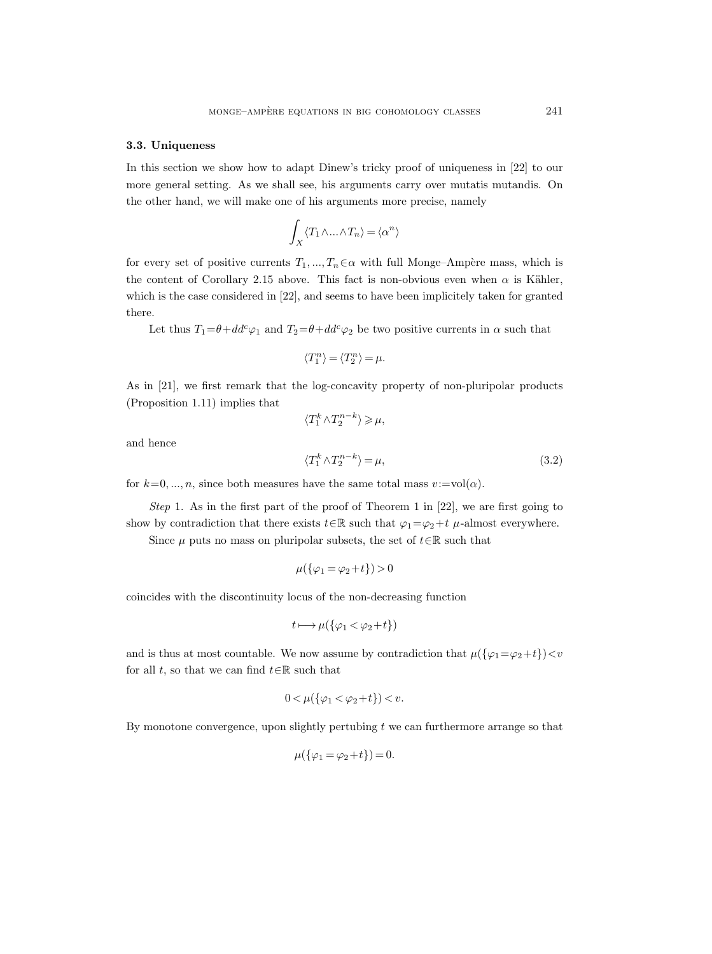## 3.3. Uniqueness

In this section we show how to adapt Dinew's tricky proof of uniqueness in [22] to our more general setting. As we shall see, his arguments carry over mutatis mutandis. On the other hand, we will make one of his arguments more precise, namely

$$
\int_X \langle T_1 \wedge \ldots \wedge T_n \rangle = \langle \alpha^n \rangle
$$

for every set of positive currents  $T_1, ..., T_n \in \alpha$  with full Monge–Ampère mass, which is the content of Corollary 2.15 above. This fact is non-obvious even when  $\alpha$  is Kähler, which is the case considered in [22], and seems to have been implicitely taken for granted there.

Let thus  $T_1 = \theta + dd^c \varphi_1$  and  $T_2 = \theta + dd^c \varphi_2$  be two positive currents in  $\alpha$  such that

$$
\langle T_1^n\rangle=\langle T_2^n\rangle=\mu.
$$

As in [21], we first remark that the log-concavity property of non-pluripolar products (Proposition 1.11) implies that

 $\langle T_1^k \wedge T_2^{n-k} \rangle \geqslant \mu,$ 

and hence

$$
\langle T_1^k \wedge T_2^{n-k} \rangle = \mu,\tag{3.2}
$$

for  $k=0, ..., n$ , since both measures have the same total mass  $v:=\text{vol}(\alpha)$ .

Step 1. As in the first part of the proof of Theorem 1 in [22], we are first going to show by contradiction that there exists  $t \in \mathbb{R}$  such that  $\varphi_1 = \varphi_2 + t \mu$ -almost everywhere.

Since  $\mu$  puts no mass on pluripolar subsets, the set of  $t \in \mathbb{R}$  such that

$$
\mu(\{\varphi_1=\varphi_2+t\})>0
$$

coincides with the discontinuity locus of the non-decreasing function

$$
t \longmapsto \mu(\{\varphi_1 < \varphi_2 + t\})
$$

and is thus at most countable. We now assume by contradiction that  $\mu({\varphi}_1 = \varphi_2 + t) < v$ for all t, so that we can find  $t \in \mathbb{R}$  such that

$$
0 < \mu(\{\varphi_1 < \varphi_2 + t\}) < v.
$$

By monotone convergence, upon slightly pertubing  $t$  we can furthermore arrange so that

$$
\mu(\{\varphi_1=\varphi_2+t\})=0.
$$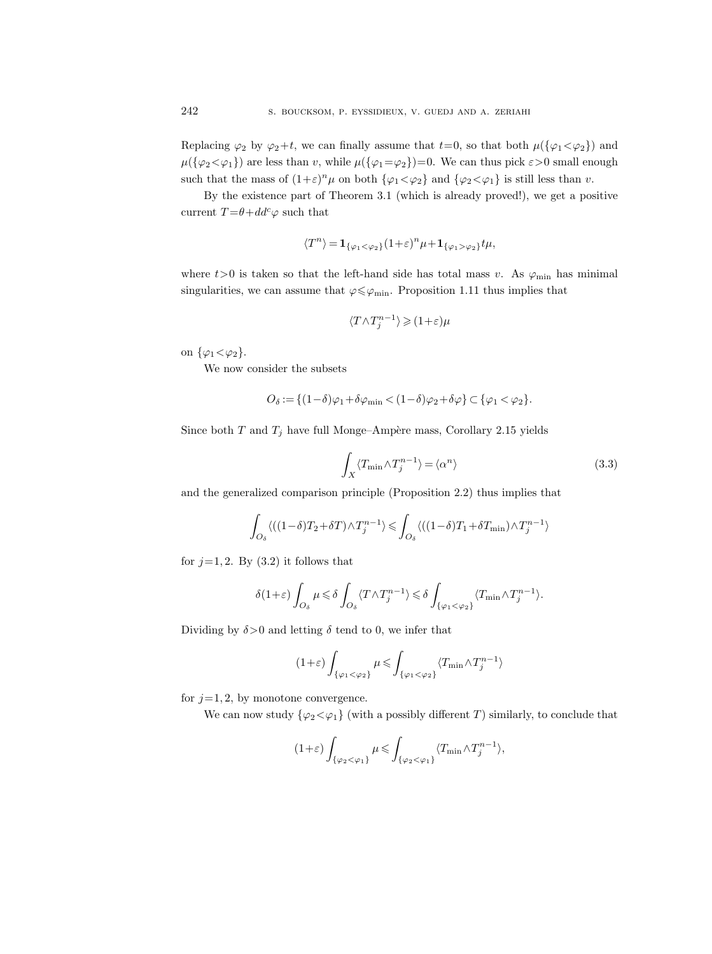Replacing  $\varphi_2$  by  $\varphi_2+t$ , we can finally assume that  $t=0$ , so that both  $\mu({\varphi_1<\varphi_2})$  and  $\mu({\{\varphi_2<\varphi_1\}})$  are less than v, while  $\mu({\{\varphi_1=\varphi_2\}})=0$ . We can thus pick  $\varepsilon>0$  small enough such that the mass of  $(1+\varepsilon)^n \mu$  on both  $\{\varphi_1 < \varphi_2\}$  and  $\{\varphi_2 < \varphi_1\}$  is still less than v.

By the existence part of Theorem 3.1 (which is already proved!), we get a positive current  $T = \theta + dd^c \varphi$  such that

$$
\langle T^n \rangle = \mathbf{1}_{\{\varphi_1 < \varphi_2\}} (1 + \varepsilon)^n \mu + \mathbf{1}_{\{\varphi_1 > \varphi_2\}} t \mu,
$$

where  $t>0$  is taken so that the left-hand side has total mass v. As  $\varphi_{\min}$  has minimal singularities, we can assume that  $\varphi \leq \varphi_{\min}$ . Proposition 1.11 thus implies that

$$
\langle T \wedge T_j^{n-1} \rangle \geqslant (1+\varepsilon)\mu
$$

on  $\{\varphi_1 < \varphi_2\}.$ 

We now consider the subsets

$$
O_{\delta} := \{ (1-\delta)\varphi_1 + \delta\varphi_{\min} < (1-\delta)\varphi_2 + \delta\varphi \} \subset \{ \varphi_1 < \varphi_2 \}.
$$

Since both  $T$  and  $T_j$  have full Monge–Ampère mass, Corollary 2.15 yields

$$
\int_{X} \langle T_{\min} \wedge T_j^{n-1} \rangle = \langle \alpha^n \rangle \tag{3.3}
$$

and the generalized comparison principle (Proposition 2.2) thus implies that

$$
\int_{O_{\delta}} \langle ((1-\delta)T_2+\delta T)\wedge T^{n-1}_{j}\rangle \leqslant \int_{O_{\delta}} \langle ((1-\delta)T_1+\delta T_{\min})\wedge T^{n-1}_{j}\rangle
$$

for  $j=1, 2$ . By  $(3.2)$  it follows that

$$
\delta(1+\varepsilon)\int_{O_\delta}\mu \leqslant \delta\int_{O_\delta}\langle T\wedge T^{n-1}_j\rangle \leqslant \delta\int_{\{\varphi_1<\varphi_2\}}\langle T_{\min}\wedge T^{n-1}_j\rangle.
$$

Dividing by  $\delta > 0$  and letting  $\delta$  tend to 0, we infer that

$$
(1+\varepsilon)\int_{\{\varphi_1<\varphi_2\}}\mu\leqslant\int_{\{\varphi_1<\varphi_2\}}\langle T_{\min}\wedge T^{n-1}_j\rangle
$$

for  $j=1, 2$ , by monotone convergence.

We can now study  $\{\varphi_2 \leq \varphi_1\}$  (with a possibly different T) similarly, to conclude that

$$
(1+\varepsilon)\int_{\{\varphi_2<\varphi_1\}}\mu\leqslant\int_{\{\varphi_2<\varphi_1\}}\langle T_{\min}\wedge T_j^{n-1}\rangle,
$$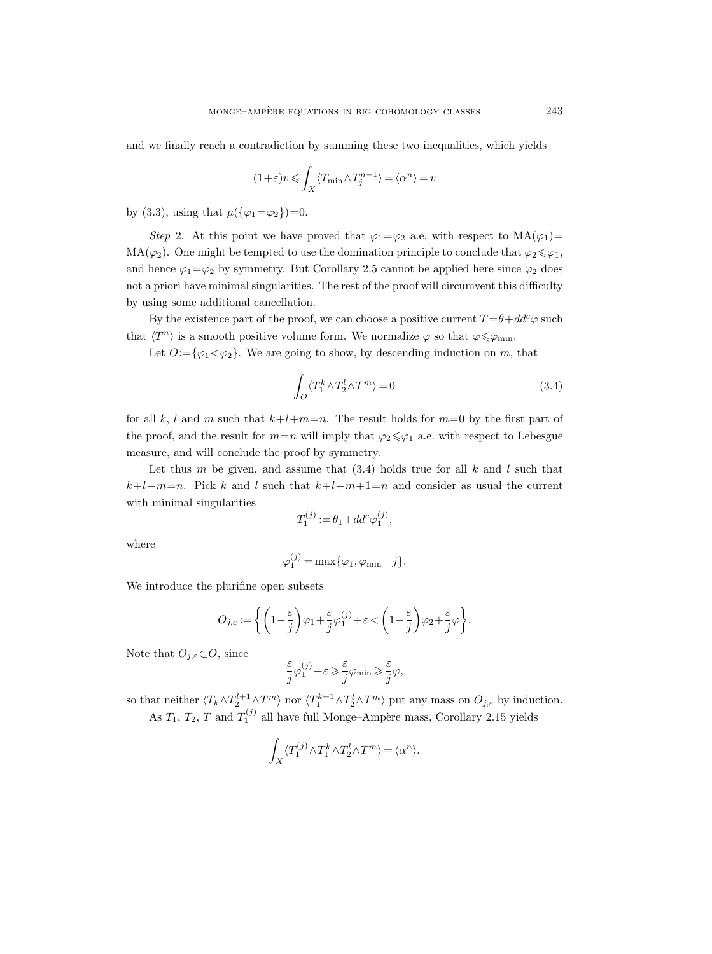and we finally reach a contradiction by summing these two inequalities, which yields

$$
(1+\varepsilon)v\leqslant \int_X\langle T_{\min}\wedge T_j^{n-1}\rangle=\langle\alpha^n\rangle=v
$$

by (3.3), using that  $\mu({\varphi_1}=\varphi_2)=0$ .

Step 2. At this point we have proved that  $\varphi_1 = \varphi_2$  a.e. with respect to  $MA(\varphi_1) =$ MA( $\varphi_2$ ). One might be tempted to use the domination principle to conclude that  $\varphi_2 \leq \varphi_1$ , and hence  $\varphi_1 = \varphi_2$  by symmetry. But Corollary 2.5 cannot be applied here since  $\varphi_2$  does not a priori have minimal singularities. The rest of the proof will circumvent this difficulty by using some additional cancellation.

By the existence part of the proof, we can choose a positive current  $T = \theta + dd^c \varphi$  such that  $\langle T^n \rangle$  is a smooth positive volume form. We normalize  $\varphi$  so that  $\varphi \leq \varphi_{\min}$ .

Let  $O:=\{\varphi_1<\varphi_2\}$ . We are going to show, by descending induction on m, that

$$
\int_{O} \langle T_1^k \wedge T_2^l \wedge T^m \rangle = 0 \tag{3.4}
$$

for all k, l and m such that  $k+l+m=n$ . The result holds for  $m=0$  by the first part of the proof, and the result for  $m=n$  will imply that  $\varphi_2 \leq \varphi_1$  a.e. with respect to Lebesgue measure, and will conclude the proof by symmetry.

Let thus m be given, and assume that  $(3.4)$  holds true for all k and l such that  $k+l+m=n$ . Pick k and l such that  $k+l+m+1=n$  and consider as usual the current with minimal singularities

$$
T_1^{(j)} := \theta_1 + dd^c \varphi_1^{(j)},
$$

where

$$
\varphi_1^{(j)} = \max{\{\varphi_1, \varphi_{\min} - j\}}.
$$

We introduce the plurifine open subsets

$$
O_{j,\varepsilon}:=\bigg\{\bigg(1-\frac{\varepsilon}{j}\bigg)\varphi_1+\frac{\varepsilon}{j}\varphi_1^{(j)}+\varepsilon<\bigg(1-\frac{\varepsilon}{j}\bigg)\varphi_2+\frac{\varepsilon}{j}\varphi\bigg\}.
$$

Note that  $O_{j,\varepsilon} \subset O$ , since

$$
\frac{\varepsilon}{j} \varphi^{(j)}_1 + \varepsilon \geqslant \frac{\varepsilon}{j} \varphi_{\min} \geqslant \frac{\varepsilon}{j} \varphi,
$$

so that neither  $\langle T_k \wedge T_2^{l+1} \wedge T^m \rangle$  nor  $\langle T_1^{k+1} \wedge T_2^l \wedge T^m \rangle$  put any mass on  $O_{j,\varepsilon}$  by induction. As  $T_1$ ,  $T_2$ ,  $T$  and  $T_1^{(j)}$  all have full Monge–Ampère mass, Corollary 2.15 yields

$$
\int_X \langle T_1^{(j)} \wedge T_1^k \wedge T_2^l \wedge T^m \rangle = \langle \alpha^n \rangle.
$$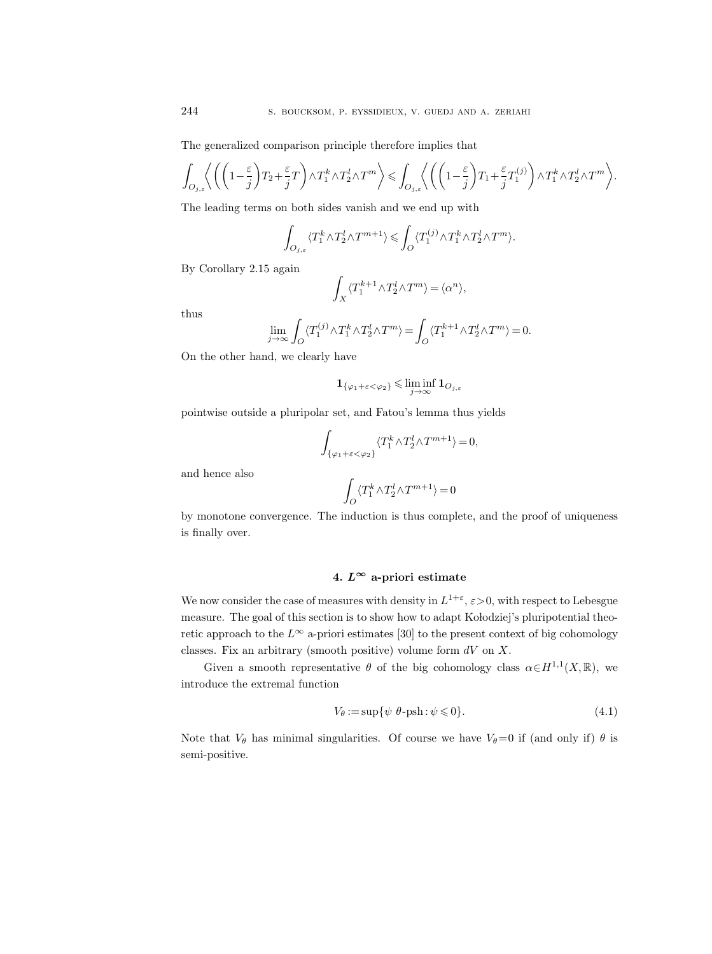The generalized comparison principle therefore implies that

$$
\int_{O_{j,\varepsilon}} \left\langle \left( \left(1 - \frac{\varepsilon}{j}\right) T_2 + \frac{\varepsilon}{j} T \right) \wedge T_1^k \wedge T_2^l \wedge T^m \right\rangle \leq \int_{O_{j,\varepsilon}} \left\langle \left( \left(1 - \frac{\varepsilon}{j}\right) T_1 + \frac{\varepsilon}{j} T_1^{(j)} \right) \wedge T_1^k \wedge T_2^l \wedge T^m \right\rangle \wedge T_1^k \wedge T_2^l \wedge T^m \right\rangle.
$$

The leading terms on both sides vanish and we end up with

$$
\int_{O_{j,\varepsilon}}\langle T_1^k\wedge T_2^l \wedge T^{m+1}\rangle \leqslant \int_O\langle T_1^{(j)}\wedge T_1^k \wedge T_2^l \wedge T^m\rangle.
$$

By Corollary 2.15 again

$$
\int_X \big\langle T_1^{k+1} \wedge T_2^l \wedge T^m \big\rangle = \langle \alpha^n \rangle,
$$

thus

$$
\lim_{j\to\infty}\int_O\langle T_1^{(j)}\wedge T_1^k\wedge T_2^l\wedge T^m\rangle=\int_O\langle T_1^{k+1}\wedge T_2^l\wedge T^m\rangle=0.
$$

On the other hand, we clearly have

$$
\mathbf{1}_{\{\varphi_1 + \varepsilon < \varphi_2\}} \leq \liminf_{j \to \infty} \mathbf{1}_{O_{j,\varepsilon}}
$$

pointwise outside a pluripolar set, and Fatou's lemma thus yields

$$
\int_{\{\varphi_1+\varepsilon<\varphi_2\}} \langle T_1^k \wedge T_2^l \wedge T^{m+1} \rangle = 0,
$$

and hence also

$$
\int_O \langle T_1^k\wedge T_2^l\wedge T^{m+1}\rangle=0
$$

by monotone convergence. The induction is thus complete, and the proof of uniqueness is finally over.

## 4.  $L^{\infty}$  a-priori estimate

We now consider the case of measures with density in  $L^{1+\varepsilon}$ ,  $\varepsilon > 0$ , with respect to Lebesgue measure. The goal of this section is to show how to adapt Kolodziej's pluripotential theoretic approach to the  $L^{\infty}$  a-priori estimates [30] to the present context of big cohomology classes. Fix an arbitrary (smooth positive) volume form  $dV$  on X.

Given a smooth representative  $\theta$  of the big cohomology class  $\alpha \in H^{1,1}(X,\mathbb{R})$ , we introduce the extremal function

$$
V_{\theta} := \sup \{ \psi \ \theta - \text{psh} : \psi \leq 0 \}. \tag{4.1}
$$

Note that  $V_{\theta}$  has minimal singularities. Of course we have  $V_{\theta}=0$  if (and only if)  $\theta$  is semi-positive.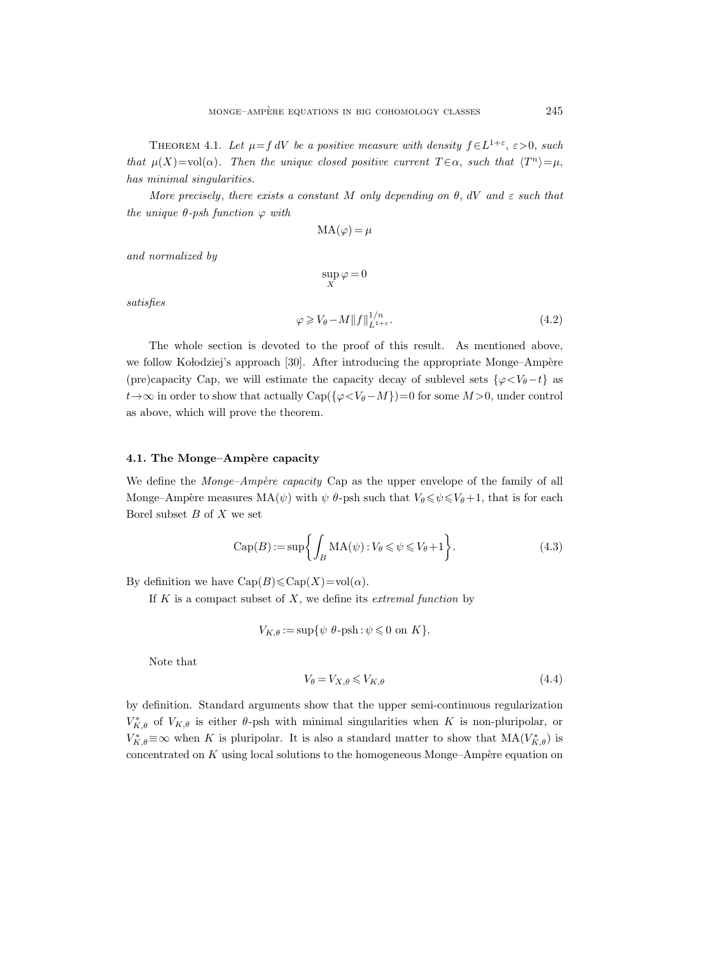THEOREM 4.1. Let  $\mu = f dV$  be a positive measure with density  $f \in L^{1+\varepsilon}, \varepsilon > 0$ , such that  $\mu(X) = \text{vol}(\alpha)$ . Then the unique closed positive current  $T \in \alpha$ , such that  $\langle T^n \rangle = \mu$ , has minimal singularities.

More precisely, there exists a constant M only depending on  $\theta$ , dV and  $\varepsilon$  such that the unique  $\theta$ -psh function  $\varphi$  with

$$
MA(\varphi) = \mu
$$

and normalized by

$$
\sup_X \varphi = 0
$$

satisfies

$$
\varphi \geqslant V_{\theta} - M \|f\|_{L^{1+\varepsilon}}^{1/n}.
$$
\n
$$
(4.2)
$$

The whole section is devoted to the proof of this result. As mentioned above, we follow Kołodziej's approach [30]. After introducing the appropriate Monge–Ampère (pre)capacity Cap, we will estimate the capacity decay of sublevel sets  $\{\varphi \leq V_{\theta}-t\}$  as  $t \rightarrow \infty$  in order to show that actually Cap( $\{\varphi \langle V_{\theta}-M\}\}=0$  for some  $M > 0$ , under control as above, which will prove the theorem.

## 4.1. The Monge–Ampère capacity

We define the  $Monge-Amp\`ere\ capacity$  Cap as the upper envelope of the family of all Monge–Ampère measures  $MA(\psi)$  with  $\psi$  θ-psh such that  $V_{\theta} \le \psi \le V_{\theta}+1$ , that is for each Borel subset  $B$  of  $X$  we set

$$
Cap(B) := sup \left\{ \int_B MA(\psi) : V_{\theta} \leq \psi \leq V_{\theta} + 1 \right\}.
$$
 (4.3)

By definition we have  $\text{Cap}(B) \leq \text{Cap}(X) = \text{vol}(\alpha)$ .

If  $K$  is a compact subset of  $X$ , we define its *extremal function* by

$$
V_{K,\theta} := \sup \{ \psi \, \theta\text{-psh} : \psi \leq 0 \text{ on } K \}.
$$

Note that

$$
V_{\theta} = V_{X,\theta} \leqslant V_{K,\theta} \tag{4.4}
$$

by definition. Standard arguments show that the upper semi-continuous regularization  $V_{K,\theta}^*$  of  $V_{K,\theta}$  is either  $\theta$ -psh with minimal singularities when K is non-pluripolar, or  $V_{K,\theta}^*$ ≡∞ when K is pluripolar. It is also a standard matter to show that  $MA(V_{K,\theta}^*)$  is concentrated on  $K$  using local solutions to the homogeneous Monge–Ampère equation on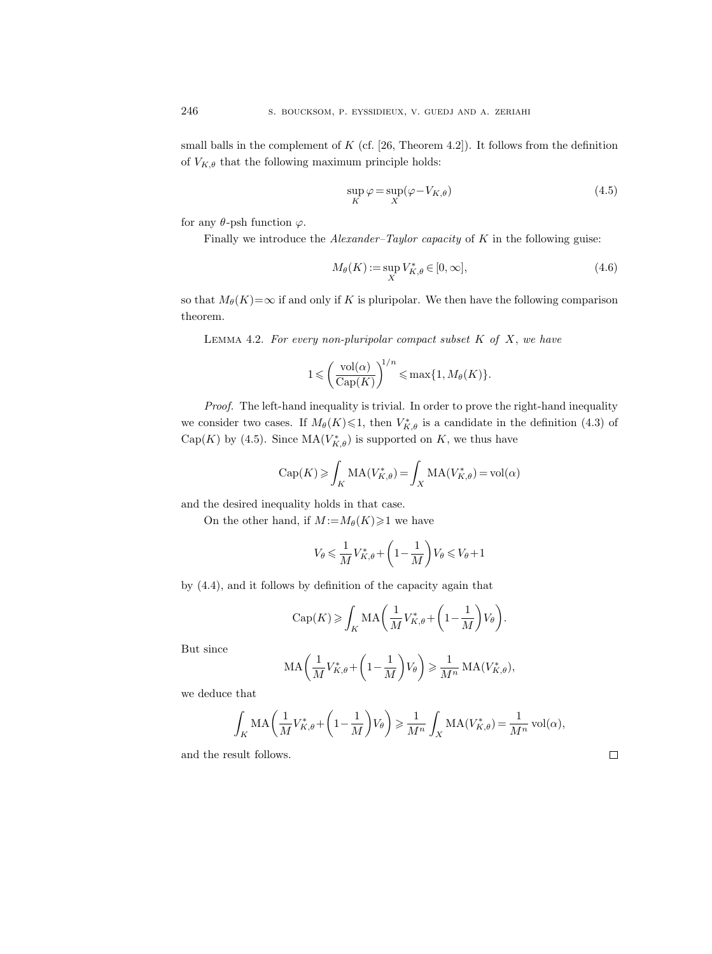small balls in the complement of  $K$  (cf. [26, Theorem 4.2]). It follows from the definition of  $V_{K,\theta}$  that the following maximum principle holds:

$$
\sup_{K} \varphi = \sup_{X} (\varphi - V_{K,\theta})
$$
\n(4.5)

for any  $\theta$ -psh function  $\varphi$ .

Finally we introduce the  $Alexander-Taylor$  capacity of  $K$  in the following guise:

$$
M_{\theta}(K) := \sup_{X} V_{K,\theta}^* \in [0,\infty],\tag{4.6}
$$

so that  $M_{\theta}(K)=\infty$  if and only if K is pluripolar. We then have the following comparison theorem.

LEMMA 4.2. For every non-pluripolar compact subset  $K$  of  $X$ , we have

$$
1 \leqslant \left(\frac{\text{vol}(\alpha)}{\text{Cap}(K)}\right)^{1/n} \leqslant \max\{1, M_{\theta}(K)\}.
$$

Proof. The left-hand inequality is trivial. In order to prove the right-hand inequality we consider two cases. If  $M_{\theta}(K) \leq 1$ , then  $V_{K,\theta}^{*}$  is a candidate in the definition (4.3) of Cap(K) by (4.5). Since  $MA(V^*_{K,\theta})$  is supported on K, we thus have

$$
\mathrm{Cap}(K) \geqslant \int_K \mathrm{MA}(V_{K,\theta}^*) = \int_X \mathrm{MA}(V_{K,\theta}^*) = \mathrm{vol}(\alpha)
$$

and the desired inequality holds in that case.

On the other hand, if  $M := M_{\theta}(K) \geq 1$  we have

$$
V_{\theta} \leq \frac{1}{M} V_{K,\theta}^* + \left(1 - \frac{1}{M}\right) V_{\theta} \leq V_{\theta} + 1
$$

by (4.4), and it follows by definition of the capacity again that

$$
\mathrm{Cap}(K)\geqslant \int_K \mathrm{MA}\bigg(\frac{1}{M}V_{K,\theta}^* + \bigg(1-\frac{1}{M}\bigg)V_{\theta}\bigg).
$$

But since

$$
\mathrm{MA}\bigg(\frac{1}{M}V_{K,\theta}^* + \bigg(1 - \frac{1}{M}\bigg)V_{\theta}\bigg) \geq \frac{1}{M^n} \mathrm{MA}(V_{K,\theta}^*),
$$

we deduce that

$$
\int_K MA\left(\frac{1}{M}V_{K,\theta}^* + \left(1 - \frac{1}{M}\right)V_{\theta}\right) \ge \frac{1}{M^n} \int_X MA(V_{K,\theta}^*) = \frac{1}{M^n} \operatorname{vol}(\alpha),
$$

and the result follows.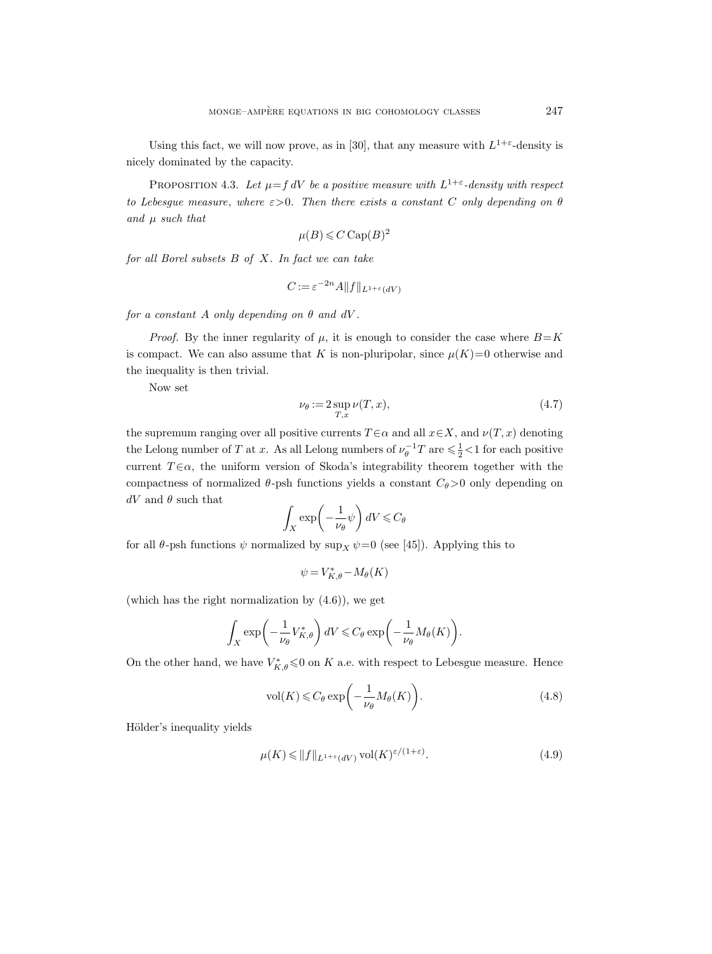Using this fact, we will now prove, as in [30], that any measure with  $L^{1+\epsilon}$ -density is nicely dominated by the capacity.

PROPOSITION 4.3. Let  $\mu = f dV$  be a positive measure with  $L^{1+\epsilon}$ -density with respect to Lebesgue measure, where  $\varepsilon > 0$ . Then there exists a constant C only depending on  $\theta$ and  $\mu$  such that

$$
\mu(B) \leqslant C \operatorname{Cap}(B)^2
$$

for all Borel subsets B of X. In fact we can take

$$
C := \varepsilon^{-2n} A \| f \|_{L^{1+\varepsilon}(dV)}
$$

for a constant A only depending on  $\theta$  and  $dV$ .

*Proof.* By the inner regularity of  $\mu$ , it is enough to consider the case where  $B=K$ is compact. We can also assume that K is non-pluripolar, since  $\mu(K)=0$  otherwise and the inequality is then trivial.

Now set

$$
\nu_{\theta} := 2 \sup_{T,x} \nu(T,x),\tag{4.7}
$$

the supremum ranging over all positive currents  $T \in \alpha$  and all  $x \in X$ , and  $\nu(T, x)$  denoting the Lelong number of T at x. As all Lelong numbers of  $\nu_{\theta}^{-1}T$  are  $\leq \frac{1}{2}$  if or each positive current  $T \in \alpha$ , the uniform version of Skoda's integrability theorem together with the compactness of normalized  $\theta$ -psh functions yields a constant  $C_{\theta} > 0$  only depending on  $dV$  and  $\theta$  such that

$$
\int_X \exp\left(-\frac{1}{\nu_\theta}\psi\right) dV \leqslant C_\theta
$$

for all  $\theta$ -psh functions  $\psi$  normalized by sup<sub>X</sub>  $\psi$ =0 (see [45]). Applying this to

$$
\psi = V_{K,\theta}^* - M_{\theta}(K)
$$

(which has the right normalization by (4.6)), we get

$$
\int_X \exp\left(-\frac{1}{\nu_\theta} V_{K,\theta}^*\right) dV \leqslant C_\theta \exp\left(-\frac{1}{\nu_\theta} M_\theta(K)\right).
$$

On the other hand, we have  $V_{K,\theta}^* \leq 0$  on K a.e. with respect to Lebesgue measure. Hence

$$
\text{vol}(K) \leqslant C_{\theta} \exp\bigg(-\frac{1}{\nu_{\theta}} M_{\theta}(K)\bigg). \tag{4.8}
$$

Hölder's inequality yields

$$
\mu(K) \le \|f\|_{L^{1+\varepsilon}(dV)} \operatorname{vol}(K)^{\varepsilon/(1+\varepsilon)}.\tag{4.9}
$$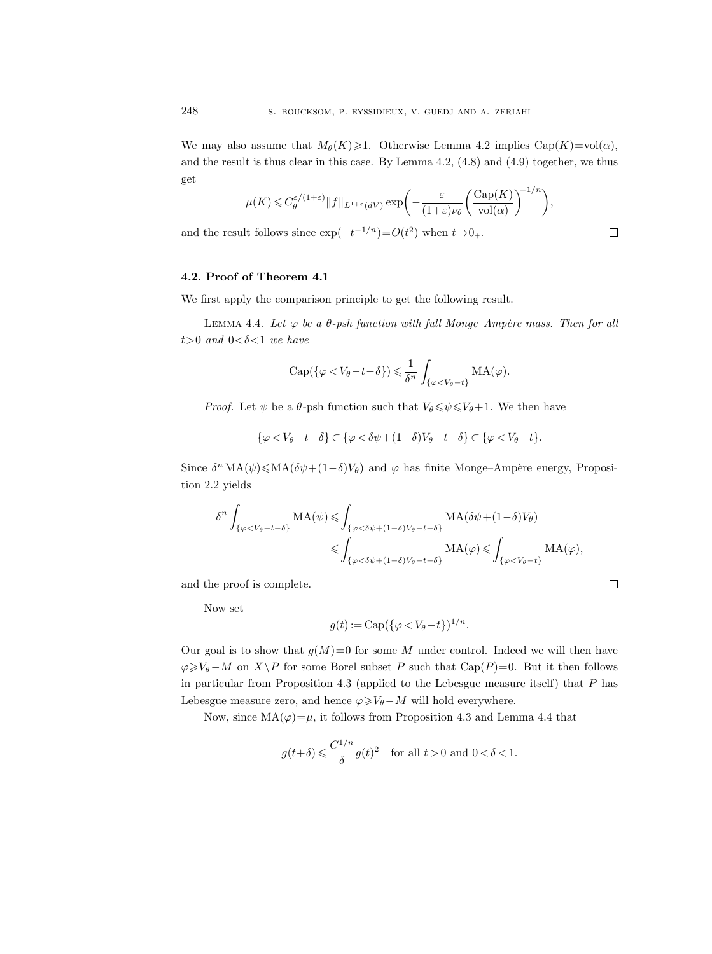We may also assume that  $M_{\theta}(K) \geq 1$ . Otherwise Lemma 4.2 implies Cap(K)=vol( $\alpha$ ), and the result is thus clear in this case. By Lemma  $4.2, (4.8)$  and  $(4.9)$  together, we thus get

$$
\mu(K) \leq C_{\theta}^{\varepsilon/(1+\varepsilon)} \|f\|_{L^{1+\varepsilon}(dV)} \exp\bigg(-\frac{\varepsilon}{(1+\varepsilon)\nu_{\theta}} \bigg(\frac{\text{Cap}(K)}{\text{vol}(\alpha)}\bigg)^{-1/n}\bigg),
$$

 $\Box$ 

 $\Box$ 

and the result follows since  $\exp(-t^{-1/n}) = O(t^2)$  when  $t \to 0_+$ .

## 4.2. Proof of Theorem 4.1

We first apply the comparison principle to get the following result.

LEMMA 4.4. Let  $\varphi$  be a  $\theta$ -psh function with full Monge–Ampère mass. Then for all  $t>0$  and  $0<\delta<1$  we have

$$
\mathrm{Cap}(\{\varphi < V_{\theta}-t-\delta\}) \leq \frac{1}{\delta^n} \int_{\{\varphi < V_{\theta}-t\}} \mathrm{MA}(\varphi).
$$

*Proof.* Let  $\psi$  be a  $\theta$ -psh function such that  $V_{\theta} \leq \psi \leq V_{\theta}+1$ . We then have

$$
\{\varphi
$$

Since  $\delta^n \text{MA}(\psi) \leq \text{MA}(\delta \psi + (1 - \delta)V_\theta)$  and  $\varphi$  has finite Monge–Ampère energy, Proposition 2.2 yields

$$
\delta^{n} \int_{\{\varphi < V_{\theta}-t-\delta\}} \operatorname{MA}(\psi) \leqslant \int_{\{\varphi < \delta\psi + (1-\delta)V_{\theta}-t-\delta\}} \operatorname{MA}(\delta\psi + (1-\delta)V_{\theta})
$$
\n
$$
\leqslant \int_{\{\varphi < \delta\psi + (1-\delta)V_{\theta}-t-\delta\}} \operatorname{MA}(\varphi) \leqslant \int_{\{\varphi < V_{\theta}-t\}} \operatorname{MA}(\varphi),
$$

and the proof is complete.

Now set

$$
g(t) := \mathrm{Cap}(\{\varphi < V_{\theta} - t\})^{1/n}.
$$

Our goal is to show that  $g(M)=0$  for some M under control. Indeed we will then have  $\varphi \geqslant V_{\theta}-M$  on  $X\backslash P$  for some Borel subset P such that Cap(P)=0. But it then follows in particular from Proposition 4.3 (applied to the Lebesgue measure itself) that P has Lebesgue measure zero, and hence  $\varphi \geq V_{\theta} - M$  will hold everywhere.

Now, since  $MA(\varphi) = \mu$ , it follows from Proposition 4.3 and Lemma 4.4 that

$$
g(t+\delta)\leqslant \frac{C^{1/n}}{\delta}g(t)^2\quad \text{for all }t>0\text{ and }0<\delta<1.
$$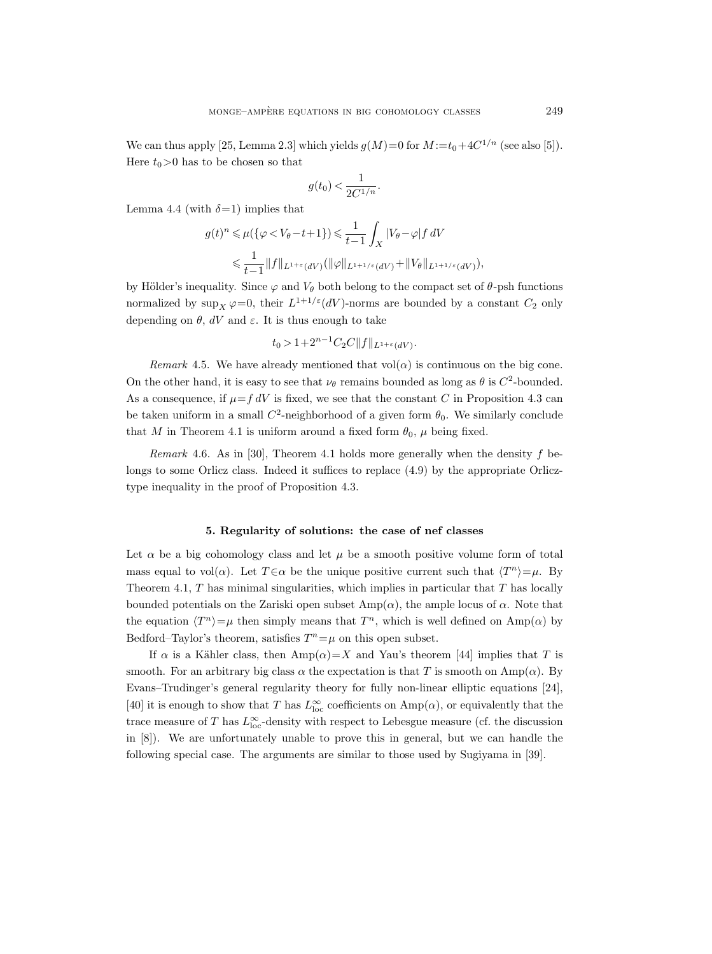We can thus apply [25, Lemma 2.3] which yields  $g(M)=0$  for  $M:=t_0+4C^{1/n}$  (see also [5]). Here  $t_0>0$  has to be chosen so that

$$
g(t_0) < \frac{1}{2C^{1/n}}.
$$

Lemma 4.4 (with  $\delta$ =1) implies that

$$
g(t)^n \leq \mu(\{\varphi < V_\theta - t + 1\}) \leq \frac{1}{t - 1} \int_X |V_\theta - \varphi| f \, dV
$$
\n
$$
\leq \frac{1}{t - 1} \|f\|_{L^{1 + \varepsilon}(dV)} (\|\varphi\|_{L^{1 + 1/\varepsilon}(dV)} + \|V_\theta\|_{L^{1 + 1/\varepsilon}(dV)}),
$$

by Hölder's inequality. Since  $\varphi$  and  $V_\theta$  both belong to the compact set of  $\theta$ -psh functions normalized by  $\sup_X \varphi = 0$ , their  $L^{1+1/\varepsilon}(dV)$ -norms are bounded by a constant  $C_2$  only depending on  $\theta$ , dV and  $\varepsilon$ . It is thus enough to take

$$
t_0 > 1 + 2^{n-1} C_2 C ||f||_{L^{1+\varepsilon}(dV)}.
$$

Remark 4.5. We have already mentioned that  $vol(\alpha)$  is continuous on the big cone. On the other hand, it is easy to see that  $\nu_{\theta}$  remains bounded as long as  $\theta$  is  $C^2$ -bounded. As a consequence, if  $\mu = f dV$  is fixed, we see that the constant C in Proposition 4.3 can be taken uniform in a small  $C^2$ -neighborhood of a given form  $\theta_0$ . We similarly conclude that M in Theorem 4.1 is uniform around a fixed form  $\theta_0$ ,  $\mu$  being fixed.

Remark 4.6. As in [30], Theorem 4.1 holds more generally when the density  $f$  belongs to some Orlicz class. Indeed it suffices to replace (4.9) by the appropriate Orlicztype inequality in the proof of Proposition 4.3.

#### 5. Regularity of solutions: the case of nef classes

Let  $\alpha$  be a big cohomology class and let  $\mu$  be a smooth positive volume form of total mass equal to vol( $\alpha$ ). Let  $T \in \alpha$  be the unique positive current such that  $\langle T^n \rangle = \mu$ . By Theorem 4.1,  $T$  has minimal singularities, which implies in particular that  $T$  has locally bounded potentials on the Zariski open subset  $\text{Amp}(\alpha)$ , the ample locus of  $\alpha$ . Note that the equation  $\langle T^n \rangle = \mu$  then simply means that  $T^n$ , which is well defined on Amp( $\alpha$ ) by Bedford–Taylor's theorem, satisfies  $T^n = \mu$  on this open subset.

If  $\alpha$  is a Kähler class, then  $\text{Amp}(\alpha)=X$  and Yau's theorem [44] implies that T is smooth. For an arbitrary big class  $\alpha$  the expectation is that T is smooth on Amp( $\alpha$ ). By Evans–Trudinger's general regularity theory for fully non-linear elliptic equations [24], [40] it is enough to show that T has  $L^{\infty}_{loc}$  coefficients on  $\text{Amp}(\alpha)$ , or equivalently that the trace measure of T has  $L^{\infty}_{loc}$ -density with respect to Lebesgue measure (cf. the discussion in [8]). We are unfortunately unable to prove this in general, but we can handle the following special case. The arguments are similar to those used by Sugiyama in [39].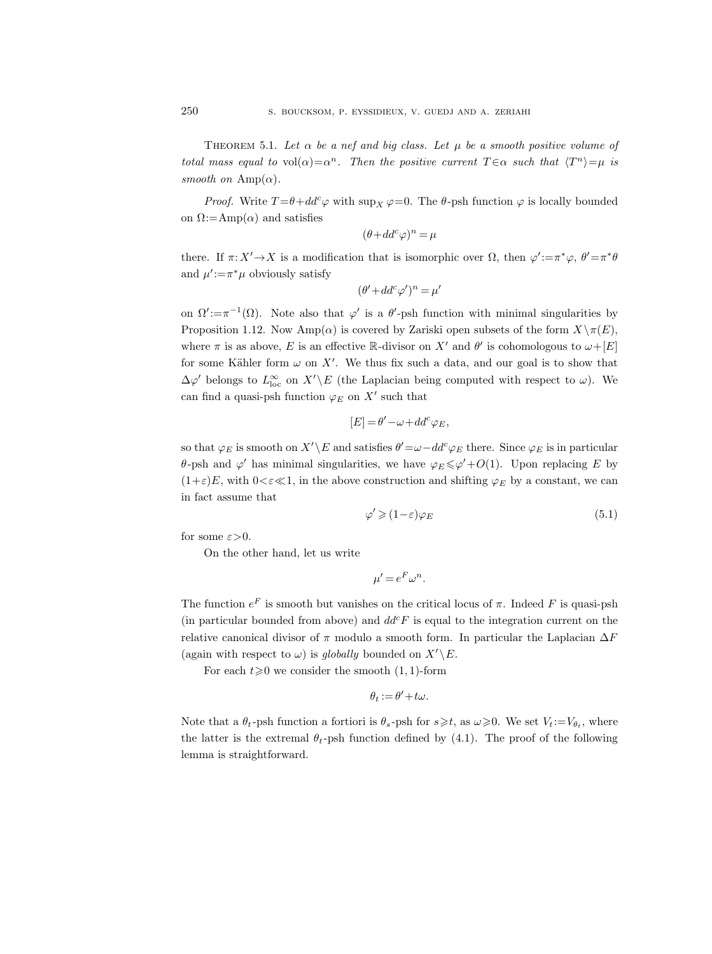THEOREM 5.1. Let  $\alpha$  be a nef and big class. Let  $\mu$  be a smooth positive volume of total mass equal to  $vol(\alpha) = \alpha^n$ . Then the positive current  $T \in \alpha$  such that  $\langle T^n \rangle = \mu$  is smooth on  $\text{Amp}(\alpha)$ .

*Proof.* Write  $T = \theta + dd^c \varphi$  with  $\sup_X \varphi = 0$ . The  $\theta$ -psh function  $\varphi$  is locally bounded on  $\Omega$ :=Amp( $\alpha$ ) and satisfies

$$
(\theta + dd^c \varphi)^n = \mu
$$

there. If  $\pi: X' \to X$  is a modification that is isomorphic over  $\Omega$ , then  $\varphi' := \pi^* \varphi$ ,  $\theta' = \pi^* \theta$ and  $\mu' := \pi^* \mu$  obviously satisfy

$$
(\theta' + dd^c \varphi')^n = \mu'
$$

on  $\Omega' := \pi^{-1}(\Omega)$ . Note also that  $\varphi'$  is a  $\theta'$ -psh function with minimal singularities by Proposition 1.12. Now Amp( $\alpha$ ) is covered by Zariski open subsets of the form  $X\setminus \pi(E)$ , where  $\pi$  is as above, E is an effective R-divisor on X' and  $\theta'$  is cohomologous to  $\omega+[E]$ for some Kähler form  $\omega$  on X'. We thus fix such a data, and our goal is to show that  $\Delta\varphi'$  belongs to  $L^{\infty}_{loc}$  on  $X'\backslash E$  (the Laplacian being computed with respect to  $\omega$ ). We can find a quasi-psh function  $\varphi_E$  on X' such that

$$
[E]=\theta'-\omega+dd^c\varphi_E,
$$

so that  $\varphi_E$  is smooth on  $X'\backslash E$  and satisfies  $\theta'=\omega-dd^c\varphi_E$  there. Since  $\varphi_E$  is in particular  $\theta$ -psh and  $\varphi'$  has minimal singularities, we have  $\varphi_E \leq \varphi' + O(1)$ . Upon replacing E by  $(1+\varepsilon)E$ , with  $0<\varepsilon\ll1$ , in the above construction and shifting  $\varphi_E$  by a constant, we can in fact assume that

$$
\varphi' \geqslant (1 - \varepsilon)\varphi_E \tag{5.1}
$$

for some  $\varepsilon > 0$ .

On the other hand, let us write

$$
\mu' = e^F \omega^n.
$$

The function  $e^F$  is smooth but vanishes on the critical locus of  $\pi$ . Indeed F is quasi-psh (in particular bounded from above) and  $dd^c F$  is equal to the integration current on the relative canonical divisor of  $\pi$  modulo a smooth form. In particular the Laplacian  $\Delta F$ (again with respect to  $\omega$ ) is globally bounded on  $X'\< E$ .

For each  $t\geq 0$  we consider the smooth  $(1, 1)$ -form

$$
\theta_t := \theta' + t\omega.
$$

Note that a  $\theta_t$ -psh function a fortiori is  $\theta_s$ -psh for  $s \geq t$ , as  $\omega \geq 0$ . We set  $V_t := V_{\theta_t}$ , where the latter is the extremal  $\theta_t$ -psh function defined by (4.1). The proof of the following lemma is straightforward.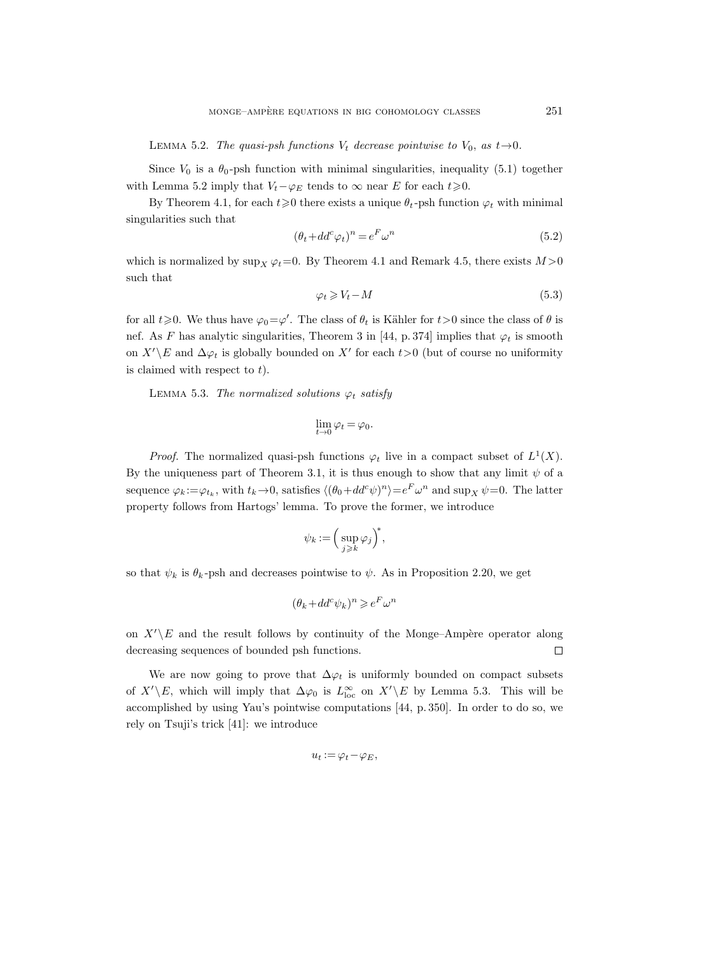LEMMA 5.2. The quasi-psh functions  $V_t$  decrease pointwise to  $V_0$ , as  $t\rightarrow 0$ .

Since  $V_0$  is a  $\theta_0$ -psh function with minimal singularities, inequality (5.1) together with Lemma 5.2 imply that  $V_t-\varphi_E$  tends to  $\infty$  near E for each  $t\geq 0$ .

By Theorem 4.1, for each  $t\geq 0$  there exists a unique  $\theta_t$ -psh function  $\varphi_t$  with minimal singularities such that

$$
(\theta_t + dd^c \varphi_t)^n = e^F \omega^n \tag{5.2}
$$

which is normalized by  $\sup_X \varphi_t = 0$ . By Theorem 4.1 and Remark 4.5, there exists  $M > 0$ such that

$$
\varphi_t \geqslant V_t - M \tag{5.3}
$$

for all  $t \ge 0$ . We thus have  $\varphi_0 = \varphi'$ . The class of  $\theta_t$  is Kähler for  $t > 0$  since the class of  $\theta$  is nef. As F has analytic singularities, Theorem 3 in [44, p. 374] implies that  $\varphi_t$  is smooth on  $X'\backslash E$  and  $\Delta\varphi_t$  is globally bounded on  $X'$  for each  $t>0$  (but of course no uniformity is claimed with respect to  $t$ ).

LEMMA 5.3. The normalized solutions  $\varphi_t$  satisfy

$$
\lim_{t\to 0}\varphi_t=\varphi_0.
$$

*Proof.* The normalized quasi-psh functions  $\varphi_t$  live in a compact subset of  $L^1(X)$ . By the uniqueness part of Theorem 3.1, it is thus enough to show that any limit  $\psi$  of a sequence  $\varphi_k := \varphi_{t_k}$ , with  $t_k \to 0$ , satisfies  $\langle (\theta_0 + dd^c \psi)^n \rangle = e^F \omega^n$  and  $\sup_X \psi = 0$ . The latter property follows from Hartogs' lemma. To prove the former, we introduce

$$
\psi_k := \Big(\sup_{j\geqslant k} \varphi_j\Big)^*,
$$

so that  $\psi_k$  is  $\theta_k$ -psh and decreases pointwise to  $\psi$ . As in Proposition 2.20, we get

$$
(\theta_k+dd^c \psi_k)^n \geqslant e^F \omega^n
$$

on  $X'\backslash E$  and the result follows by continuity of the Monge–Ampère operator along decreasing sequences of bounded psh functions.  $\Box$ 

We are now going to prove that  $\Delta \varphi_t$  is uniformly bounded on compact subsets of  $X'\backslash E$ , which will imply that  $\Delta\varphi_0$  is  $L_{\text{loc}}^{\infty}$  on  $X'\backslash E$  by Lemma 5.3. This will be accomplished by using Yau's pointwise computations [44, p. 350]. In order to do so, we rely on Tsuji's trick [41]: we introduce

$$
u_t := \varphi_t - \varphi_E,
$$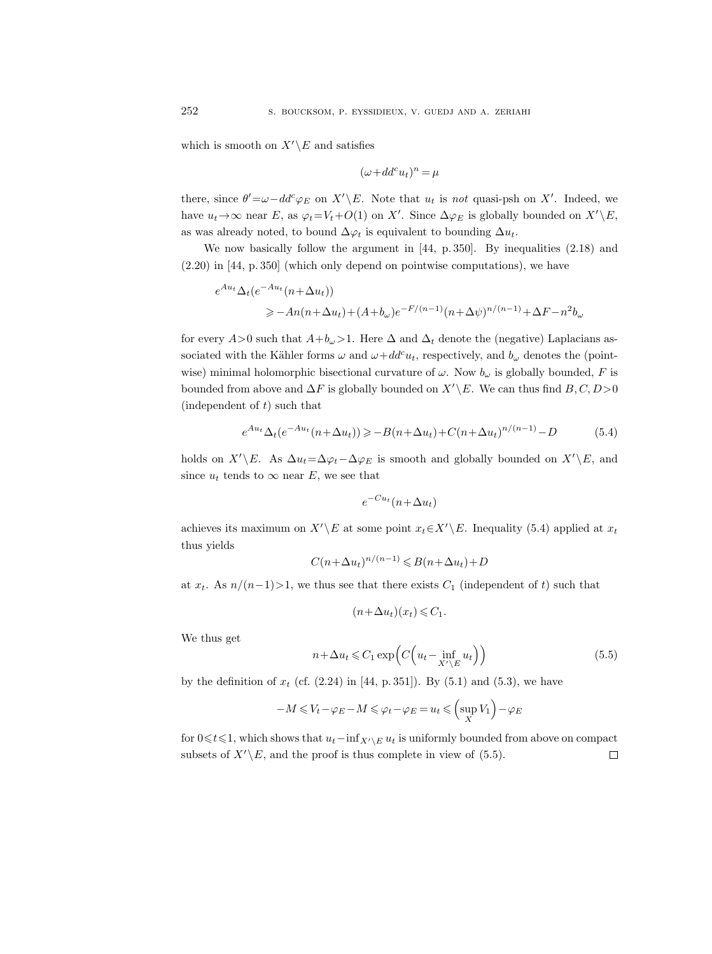which is smooth on  $X'\backslash E$  and satisfies

$$
(\omega + dd^c u_t)^n = \mu
$$

there, since  $\theta' = \omega - dd^c \varphi_E$  on  $X' \backslash E$ . Note that  $u_t$  is not quasi-psh on X'. Indeed, we have  $u_t \to \infty$  near E, as  $\varphi_t = V_t + O(1)$  on X'. Since  $\Delta \varphi_E$  is globally bounded on  $X' \setminus E$ , as was already noted, to bound  $\Delta\varphi_t$  is equivalent to bounding  $\Delta u_t$ .

We now basically follow the argument in [44, p. 350]. By inequalities (2.18) and (2.20) in [44, p. 350] (which only depend on pointwise computations), we have

$$
e^{Au_t}\Delta_t(e^{-Au_t}(n+\Delta u_t))
$$
  
\n $\geq -An(n+\Delta u_t)+(A+b_\omega)e^{-F/(n-1)}(n+\Delta\psi)^{n/(n-1)}+\Delta F-n^2b_\omega$ 

for every  $A>0$  such that  $A+b_{\omega}>1$ . Here  $\Delta$  and  $\Delta_t$  denote the (negative) Laplacians associated with the Kähler forms  $\omega$  and  $\omega+dd^c u_t$ , respectively, and  $b_\omega$  denotes the (pointwise) minimal holomorphic bisectional curvature of  $\omega$ . Now  $b_{\omega}$  is globally bounded, F is bounded from above and  $\Delta F$  is globally bounded on  $X'\backslash E$ . We can thus find  $B, C, D>0$ (independent of  $t$ ) such that

$$
e^{Au_t} \Delta_t(e^{-Au_t}(n + \Delta u_t)) \ge -B(n + \Delta u_t) + C(n + \Delta u_t)^{n/(n-1)} - D
$$
 (5.4)

holds on  $X'\E.$  As  $\Delta u_t=\Delta\varphi_t-\Delta\varphi_E$  is smooth and globally bounded on  $X'\E,$  and since  $u_t$  tends to  $\infty$  near E, we see that

$$
e^{-Cu_t}(n+\Delta u_t)
$$

achieves its maximum on  $X'\backslash E$  at some point  $x_t\in X'\backslash E$ . Inequality (5.4) applied at  $x_t$ thus yields

$$
C(n + \Delta u_t)^{n/(n-1)} \leq B(n + \Delta u_t) + D
$$

at  $x_t$ . As  $n/(n-1) > 1$ , we thus see that there exists  $C_1$  (independent of t) such that

$$
(n+\Delta u_t)(x_t) \leq C_1.
$$

We thus get

$$
n + \Delta u_t \leq C_1 \exp\left(C\left(u_t - \inf_{X' \setminus E} u_t\right)\right) \tag{5.5}
$$

by the definition of  $x_t$  (cf.  $(2.24)$  in [44, p. 351]). By  $(5.1)$  and  $(5.3)$ , we have

$$
-M \le V_t - \varphi_E - M \le \varphi_t - \varphi_E = u_t \le \left(\sup_X V_1\right) - \varphi_E
$$

for  $0 \le t \le 1$ , which shows that  $u_t$ −inf<sub>X'</sub> $E u_t$  is uniformly bounded from above on compact subsets of  $X'\backslash E$ , and the proof is thus complete in view of (5.5).  $\Box$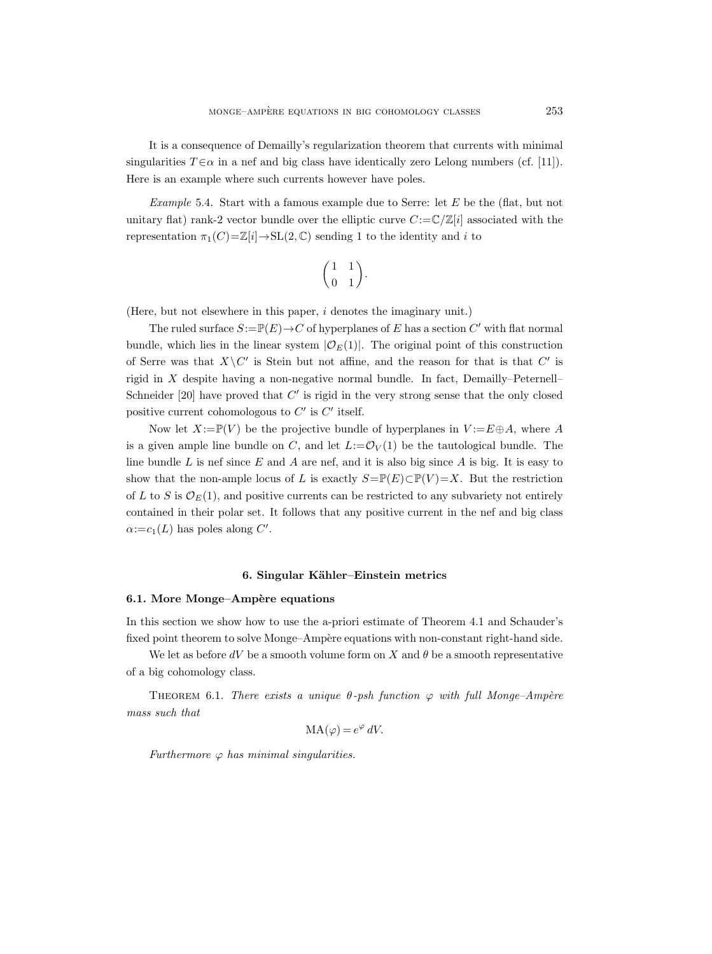It is a consequence of Demailly's regularization theorem that currents with minimal singularities  $T \in \alpha$  in a nef and big class have identically zero Lelong numbers (cf. [11]). Here is an example where such currents however have poles.

*Example* 5.4. Start with a famous example due to Serre: let  $E$  be the (flat, but not unitary flat) rank-2 vector bundle over the elliptic curve  $C:=\mathbb{C}/\mathbb{Z}[i]$  associated with the representation  $\pi_1(C)=\mathbb{Z}[i] \to SL(2,\mathbb{C})$  sending 1 to the identity and i to

$$
\begin{pmatrix} 1 & 1 \ 0 & 1 \end{pmatrix}.
$$

(Here, but not elsewhere in this paper, i denotes the imaginary unit.)

The ruled surface  $S := \mathbb{P}(E) \to C$  of hyperplanes of E has a section  $C'$  with flat normal bundle, which lies in the linear system  $|\mathcal{O}_E(1)|$ . The original point of this construction of Serre was that  $X\setminus C'$  is Stein but not affine, and the reason for that is that  $C'$  is rigid in X despite having a non-negative normal bundle. In fact, Demailly–Peternell– Schneider  $[20]$  have proved that  $C'$  is rigid in the very strong sense that the only closed positive current cohomologous to  $C'$  is  $C'$  itself.

Now let  $X:=\mathbb{P}(V)$  be the projective bundle of hyperplanes in  $V:=E\oplus A$ , where A is a given ample line bundle on C, and let  $L:=\mathcal{O}_V(1)$  be the tautological bundle. The line bundle  $L$  is nef since  $E$  and  $A$  are nef, and it is also big since  $A$  is big. It is easy to show that the non-ample locus of L is exactly  $S=\mathbb{P}(E)\subset \mathbb{P}(V)=X$ . But the restriction of L to S is  $\mathcal{O}_E(1)$ , and positive currents can be restricted to any subvariety not entirely contained in their polar set. It follows that any positive current in the nef and big class  $\alpha:=c_1(L)$  has poles along C'.

## 6. Singular Kähler–Einstein metrics

## 6.1. More Monge–Ampère equations

In this section we show how to use the a-priori estimate of Theorem 4.1 and Schauder's fixed point theorem to solve Monge–Ampère equations with non-constant right-hand side.

We let as before  $dV$  be a smooth volume form on X and  $\theta$  be a smooth representative of a big cohomology class.

THEOREM 6.1. There exists a unique  $\theta$ -psh function  $\varphi$  with full Monge–Ampère mass such that

$$
MA(\varphi) = e^{\varphi} dV.
$$

Furthermore  $\varphi$  has minimal singularities.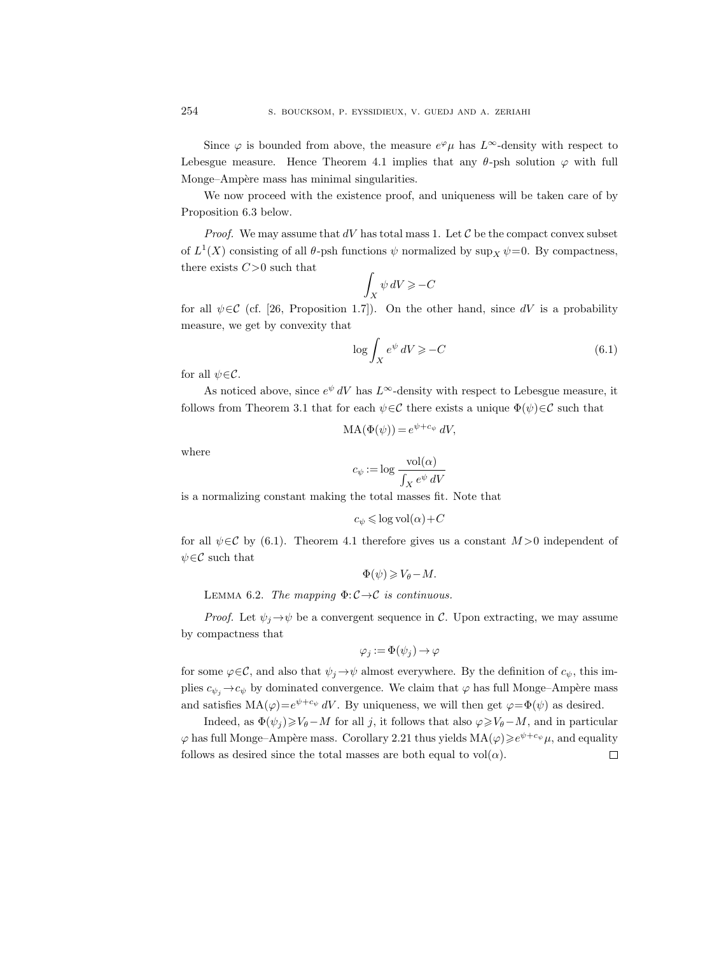We now proceed with the existence proof, and uniqueness will be taken care of by Proposition 6.3 below.

*Proof.* We may assume that  $dV$  has total mass 1. Let  $\mathcal C$  be the compact convex subset of  $L^1(X)$  consisting of all  $\theta$ -psh functions  $\psi$  normalized by  $\sup_X \psi = 0$ . By compactness, there exists  $C>0$  such that

$$
\int_X \psi \, dV \geqslant -C
$$

for all  $\psi \in \mathcal{C}$  (cf. [26, Proposition 1.7]). On the other hand, since dV is a probability measure, we get by convexity that

$$
\log \int_{X} e^{\psi} \, dV \geqslant -C \tag{6.1}
$$

for all  $\psi \in \mathcal{C}$ .

As noticed above, since  $e^{\psi} dV$  has  $L^{\infty}$ -density with respect to Lebesgue measure, it follows from Theorem 3.1 that for each  $\psi \in \mathcal{C}$  there exists a unique  $\Phi(\psi) \in \mathcal{C}$  such that

$$
MA(\Phi(\psi)) = e^{\psi + c_{\psi}} dV,
$$

where

$$
c_{\psi} := \log \frac{\text{vol}(\alpha)}{\int_X e^{\psi} \, dV}
$$

is a normalizing constant making the total masses fit. Note that

$$
c_{\psi} \leqslant \log \mathrm{vol}(\alpha) + C
$$

for all  $\psi \in \mathcal{C}$  by (6.1). Theorem 4.1 therefore gives us a constant  $M > 0$  independent of  $\psi \in \mathcal{C}$  such that

$$
\Phi(\psi)\geqslant V_\theta-M.
$$

LEMMA 6.2. The mapping  $\Phi$ :  $\mathcal{C} \rightarrow \mathcal{C}$  is continuous.

*Proof.* Let  $\psi_j \rightarrow \psi$  be a convergent sequence in C. Upon extracting, we may assume by compactness that

$$
\varphi_j := \Phi(\psi_j) \to \varphi
$$

for some  $\varphi \in \mathcal{C}$ , and also that  $\psi_j \to \psi$  almost everywhere. By the definition of  $c_{\psi}$ , this implies  $c_{\psi_i} \rightarrow c_{\psi}$  by dominated convergence. We claim that  $\varphi$  has full Monge–Ampère mass and satisfies  $MA(\varphi) = e^{\psi + c_{\psi}} dV$ . By uniqueness, we will then get  $\varphi = \Phi(\psi)$  as desired.

Indeed, as  $\Phi(\psi_j) \geqslant V_\theta - M$  for all j, it follows that also  $\varphi \geqslant V_\theta - M$ , and in particular  $\varphi$  has full Monge–Ampère mass. Corollary 2.21 thus yields  $MA(\varphi) \geqslant e^{\psi + c_{\psi}} \mu$ , and equality follows as desired since the total masses are both equal to  $vol(\alpha)$ .  $\Box$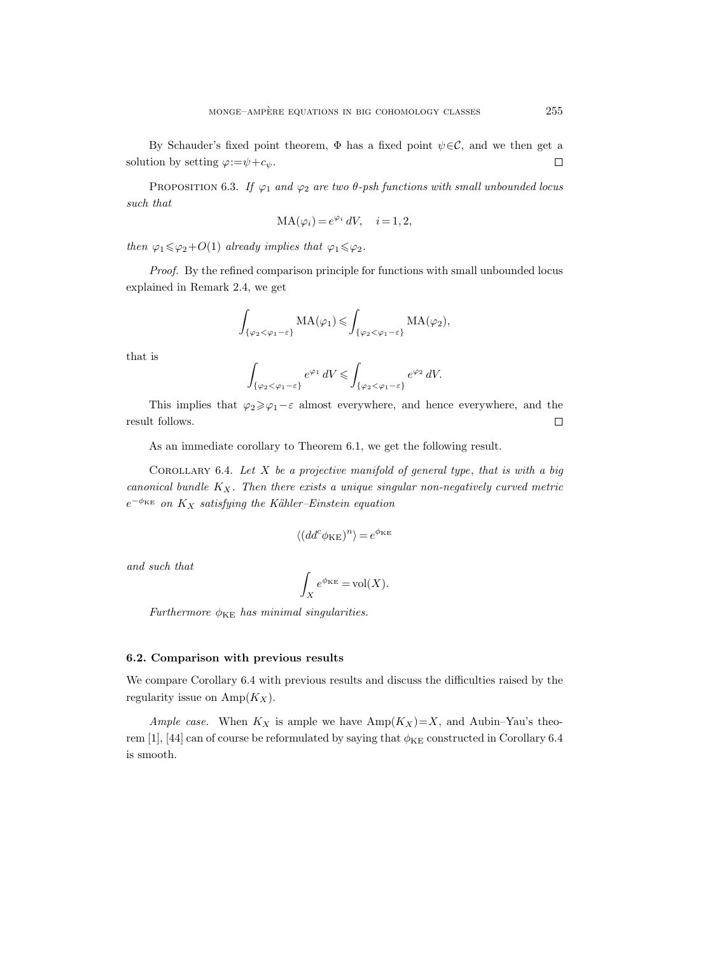By Schauder's fixed point theorem,  $\Phi$  has a fixed point  $\psi \in \mathcal{C}$ , and we then get a solution by setting  $\varphi = \psi + c_{\psi}$ .  $\Box$ 

PROPOSITION 6.3. If  $\varphi_1$  and  $\varphi_2$  are two  $\theta$ -psh functions with small unbounded locus such that

$$
MA(\varphi_i) = e^{\varphi_i} dV, \quad i = 1, 2,
$$

then  $\varphi_1 \leq \varphi_2 + O(1)$  already implies that  $\varphi_1 \leq \varphi_2$ .

Proof. By the refined comparison principle for functions with small unbounded locus explained in Remark 2.4, we get

$$
\int_{\{\varphi_2 < \varphi_1 - \varepsilon\}} \mathrm{MA}(\varphi_1) \leqslant \int_{\{\varphi_2 < \varphi_1 - \varepsilon\}} \mathrm{MA}(\varphi_2),
$$

that is

$$
\int_{\{\varphi_2 < \varphi_1 - \varepsilon\}} e^{\varphi_1} \, dV \le \int_{\{\varphi_2 < \varphi_1 - \varepsilon\}} e^{\varphi_2} \, dV.
$$

This implies that  $\varphi_2 \geq \varphi_1 - \varepsilon$  almost everywhere, and hence everywhere, and the result follows.  $\Box$ 

As an immediate corollary to Theorem 6.1, we get the following result.

COROLLARY 6.4. Let  $X$  be a projective manifold of general type, that is with a big canonical bundle  $K_X$ . Then there exists a unique singular non-negatively curved metric  $e^{-\phi_{KE}}$  on  $K_X$  satisfying the Kähler–Einstein equation

$$
\langle (dd^c \phi_{KE})^n \rangle = e^{\phi_{KE}}
$$

and such that

$$
\int_X e^{\phi_{KE}} = \text{vol}(X).
$$

Furthermore  $\phi_{KE}$  has minimal singularities.

## 6.2. Comparison with previous results

We compare Corollary 6.4 with previous results and discuss the difficulties raised by the regularity issue on  $\text{Amp}(K_X)$ .

Ample case. When  $K_X$  is ample we have  $\text{Amp}(K_X)=X$ , and  $\text{Aubin–Yau's theorem}$ rem [1], [44] can of course be reformulated by saying that  $\phi_{KE}$  constructed in Corollary 6.4 is smooth.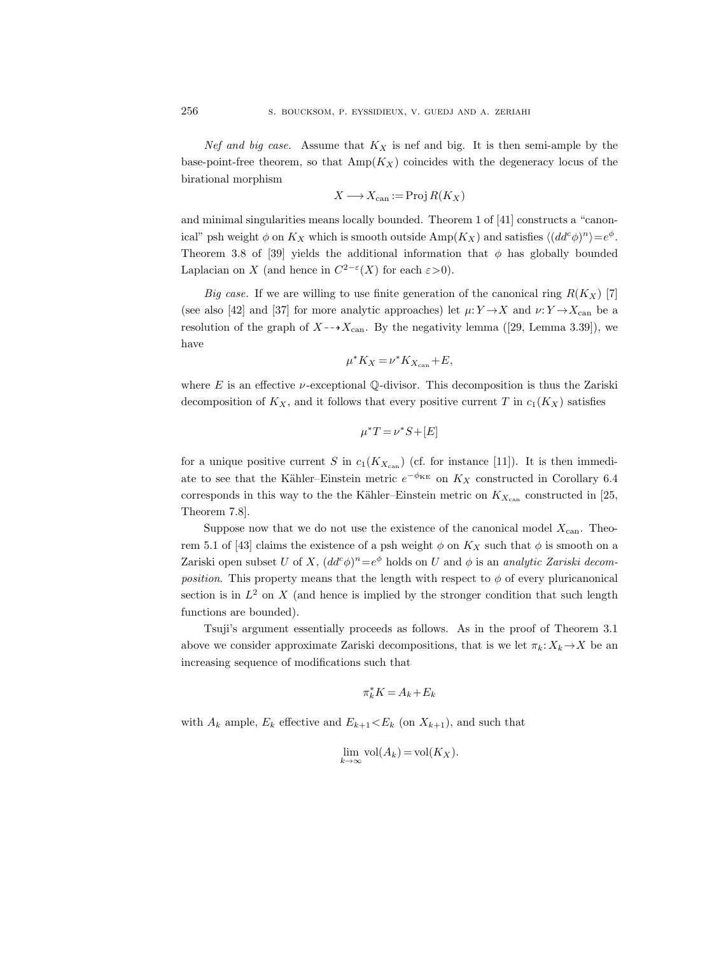Nef and big case. Assume that  $K_X$  is nef and big. It is then semi-ample by the base-point-free theorem, so that  $\text{Amp}(K_X)$  coincides with the degeneracy locus of the birational morphism

$$
X \longrightarrow X_{\operatorname{can}} := \operatorname{Proj} R(K_X)
$$

and minimal singularities means locally bounded. Theorem 1 of [41] constructs a "canonical" psh weight  $\phi$  on  $K_X$  which is smooth outside  $\text{Amp}(K_X)$  and satisfies  $\langle (dd^c \phi)^n \rangle = e^{\phi}$ . Theorem 3.8 of [39] yields the additional information that  $\phi$  has globally bounded Laplacian on X (and hence in  $C^{2-\epsilon}(X)$  for each  $\varepsilon > 0$ ).

Big case. If we are willing to use finite generation of the canonical ring  $R(K_X)$  [7] (see also [42] and [37] for more analytic approaches) let  $\mu: Y \to X$  and  $\nu: Y \to X_{\operatorname{can}}$  be a resolution of the graph of  $X \rightarrow X_{\text{can}}$ . By the negativity lemma ([29, Lemma 3.39]), we have

$$
\mu^* K_X = \nu^* K_{X_{\operatorname{can}}} + E,
$$

where E is an effective  $\nu$ -exceptional Q-divisor. This decomposition is thus the Zariski decomposition of  $K_X$ , and it follows that every positive current T in  $c_1(K_X)$  satisfies

$$
\mu^*T = \nu^*S + [E]
$$

for a unique positive current S in  $c_1(K_{X_{\text{can}}})$  (cf. for instance [11]). It is then immediate to see that the Kähler–Einstein metric  $e^{-\phi_{KE}}$  on  $K_X$  constructed in Corollary 6.4 corresponds in this way to the the Kähler–Einstein metric on  $K_{X_{\text{can}}}$  constructed in [25, Theorem 7.8].

Suppose now that we do not use the existence of the canonical model  $X_{\text{can}}$ . Theorem 5.1 of [43] claims the existence of a psh weight  $\phi$  on  $K_X$  such that  $\phi$  is smooth on a Zariski open subset U of X,  $(dd^c\phi)^n=e^{\phi}$  holds on U and  $\phi$  is an *analytic Zariski decomposition*. This property means that the length with respect to  $\phi$  of every pluricanonical section is in  $L^2$  on X (and hence is implied by the stronger condition that such length functions are bounded).

Tsuji's argument essentially proceeds as follows. As in the proof of Theorem 3.1 above we consider approximate Zariski decompositions, that is we let  $\pi_k: X_k \to X$  be an increasing sequence of modifications such that

$$
\pi_k^*K=A_k+E_k
$$

with  $A_k$  ample,  $E_k$  effective and  $E_{k+1} < E_k$  (on  $X_{k+1}$ ), and such that

$$
\lim_{k \to \infty} \text{vol}(A_k) = \text{vol}(K_X).
$$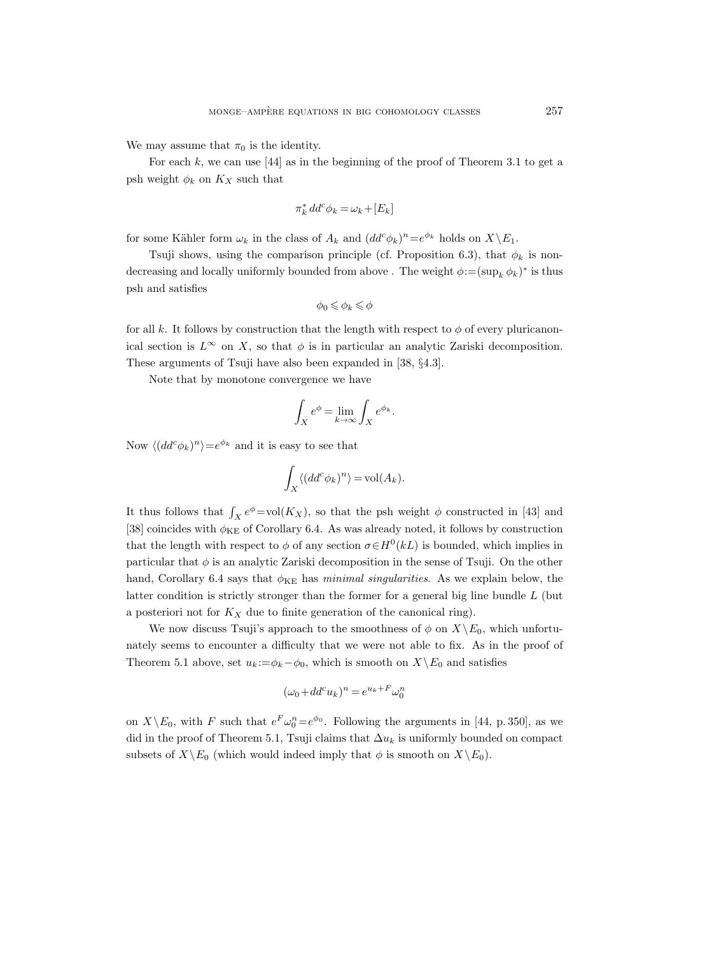We may assume that  $\pi_0$  is the identity.

For each  $k$ , we can use  $[44]$  as in the beginning of the proof of Theorem 3.1 to get a psh weight  $\phi_k$  on  $K_X$  such that

$$
\pi_k^* dd^c \phi_k = \omega_k + [E_k]
$$

for some Kähler form  $\omega_k$  in the class of  $A_k$  and  $(dd^c\phi_k)^n=e^{\phi_k}$  holds on  $X\backslash E_1$ .

Tsuji shows, using the comparison principle (cf. Proposition 6.3), that  $\phi_k$  is nondecreasing and locally uniformly bounded from above . The weight  $\phi := (\sup_k \phi_k)^*$  is thus psh and satisfies

$$
\phi_0\leqslant\phi_k\leqslant\phi
$$

for all k. It follows by construction that the length with respect to  $\phi$  of every pluricanonical section is  $L^{\infty}$  on X, so that  $\phi$  is in particular an analytic Zariski decomposition. These arguments of Tsuji have also been expanded in [38, §4.3].

Note that by monotone convergence we have

$$
\int_X e^{\phi} = \lim_{k \to \infty} \int_X e^{\phi_k}.
$$

Now  $\langle (dd^c \phi_k)^n \rangle = e^{\phi_k}$  and it is easy to see that

$$
\int_X \langle (dd^c \phi_k)^n \rangle = \text{vol}(A_k).
$$

It thus follows that  $\int_X e^{\phi} = vol(K_X)$ , so that the psh weight  $\phi$  constructed in [43] and [38] coincides with  $\phi_{KE}$  of Corollary 6.4. As was already noted, it follows by construction that the length with respect to  $\phi$  of any section  $\sigma \in H^0(kL)$  is bounded, which implies in particular that  $\phi$  is an analytic Zariski decomposition in the sense of Tsuji. On the other hand, Corollary 6.4 says that  $\phi_{KE}$  has minimal singularities. As we explain below, the latter condition is strictly stronger than the former for a general big line bundle  $L$  (but a posteriori not for  $K_X$  due to finite generation of the canonical ring).

We now discuss Tsuji's approach to the smoothness of  $\phi$  on  $X\backslash E_0$ , which unfortunately seems to encounter a difficulty that we were not able to fix. As in the proof of Theorem 5.1 above, set  $u_k := \phi_k - \phi_0$ , which is smooth on  $X \setminus E_0$  and satisfies

$$
(\omega_0 + dd^c u_k)^n = e^{u_k + F} \omega_0^n
$$

on  $X \backslash E_0$ , with F such that  $e^F \omega_0^n = e^{\phi_0}$ . Following the arguments in [44, p. 350], as we did in the proof of Theorem 5.1, Tsuji claims that  $\Delta u_k$  is uniformly bounded on compact subsets of  $X\backslash E_0$  (which would indeed imply that  $\phi$  is smooth on  $X\backslash E_0$ ).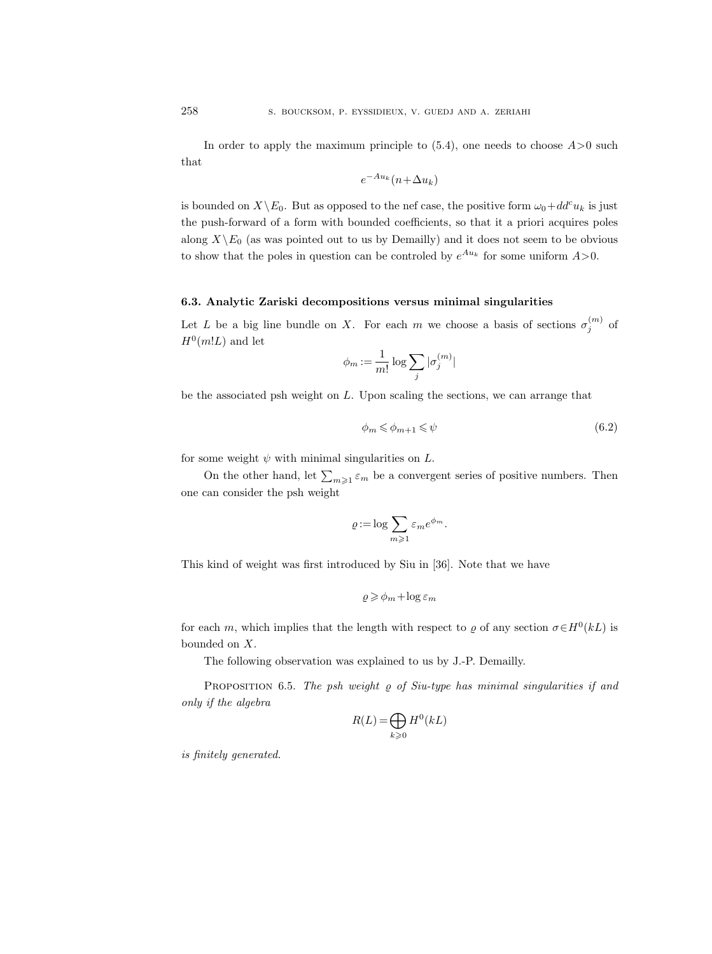In order to apply the maximum principle to  $(5.4)$ , one needs to choose  $A > 0$  such that

$$
e^{-Au_k}(n+\Delta u_k)
$$

is bounded on  $X\backslash E_0$ . But as opposed to the nef case, the positive form  $\omega_0+dd^c u_k$  is just the push-forward of a form with bounded coefficients, so that it a priori acquires poles along  $X\backslash E_0$  (as was pointed out to us by Demailly) and it does not seem to be obvious to show that the poles in question can be controled by  $e^{Au_k}$  for some uniform  $A>0$ .

## 6.3. Analytic Zariski decompositions versus minimal singularities

Let L be a big line bundle on X. For each m we choose a basis of sections  $\sigma_j^{(m)}$  of  $H^0(m!L)$  and let

$$
\phi_m := \frac{1}{m!} \log \sum_j |\sigma_j^{(m)}|
$$

be the associated psh weight on L. Upon scaling the sections, we can arrange that

$$
\phi_m \leqslant \phi_{m+1} \leqslant \psi \tag{6.2}
$$

for some weight  $\psi$  with minimal singularities on  $L$ .

On the other hand, let  $\sum_{m\geqslant 1} \varepsilon_m$  be a convergent series of positive numbers. Then one can consider the psh weight

$$
\varrho\!:=\!\log\sum_{m\geqslant 1}\varepsilon_m e^{\phi_m}.
$$

This kind of weight was first introduced by Siu in [36]. Note that we have

$$
\varrho\geqslant \phi_m+\log\varepsilon_m
$$

for each m, which implies that the length with respect to  $\varrho$  of any section  $\sigma \in H^0(kL)$  is bounded on X.

The following observation was explained to us by J.-P. Demailly.

PROPOSITION 6.5. The psh weight  $\rho$  of Siu-type has minimal singularities if and only if the algebra

$$
R(L) = \bigoplus_{k \geqslant 0} H^0(kL)
$$

is finitely generated.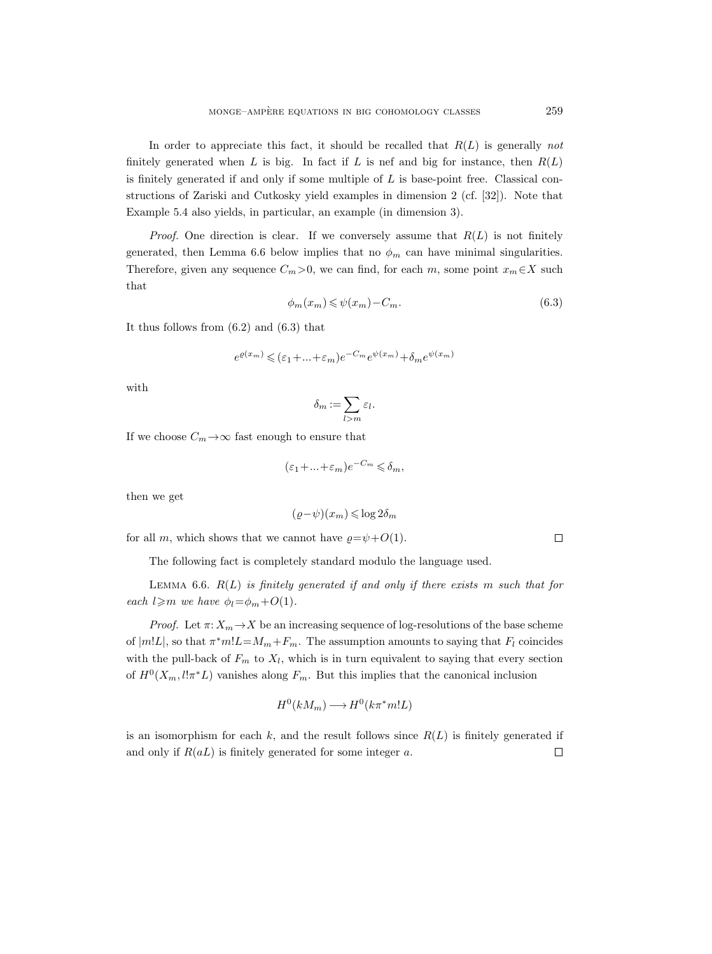In order to appreciate this fact, it should be recalled that  $R(L)$  is generally not finitely generated when L is big. In fact if L is nef and big for instance, then  $R(L)$ is finitely generated if and only if some multiple of  $L$  is base-point free. Classical constructions of Zariski and Cutkosky yield examples in dimension 2 (cf. [32]). Note that Example 5.4 also yields, in particular, an example (in dimension 3).

*Proof.* One direction is clear. If we conversely assume that  $R(L)$  is not finitely generated, then Lemma 6.6 below implies that no  $\phi_m$  can have minimal singularities. Therefore, given any sequence  $C_m>0$ , we can find, for each m, some point  $x_m \in X$  such that

$$
\phi_m(x_m) \leqslant \psi(x_m) - C_m. \tag{6.3}
$$

It thus follows from (6.2) and (6.3) that

$$
e^{\varrho(x_m)} \leqslant (\varepsilon_1 + \ldots + \varepsilon_m) e^{-C_m} e^{\psi(x_m)} + \delta_m e^{\psi(x_m)}
$$

with

$$
\delta_m := \sum_{l>m} \varepsilon_l.
$$

If we choose  $C_m \to \infty$  fast enough to ensure that

$$
(\varepsilon_1 + \ldots + \varepsilon_m)e^{-C_m} \leq \delta_m,
$$

then we get

$$
(\varrho-\psi)(x_m)\leqslant \log 2\delta_m
$$

for all m, which shows that we cannot have  $\rho = \psi + O(1)$ .

The following fact is completely standard modulo the language used.

LEMMA 6.6.  $R(L)$  is finitely generated if and only if there exists m such that for each  $l \geq m$  we have  $\phi_l = \phi_m + O(1)$ .

*Proof.* Let  $\pi: X_m \to X$  be an increasing sequence of log-resolutions of the base scheme of  $|m!L|$ , so that  $\pi^*m!L=M_m+F_m$ . The assumption amounts to saying that  $F_l$  coincides with the pull-back of  $F_m$  to  $X_l$ , which is in turn equivalent to saying that every section of  $H^0(X_m, l!\pi^*L)$  vanishes along  $F_m$ . But this implies that the canonical inclusion

$$
H^0(kM_m) \longrightarrow H^0(k\pi^*m!L)
$$

is an isomorphism for each  $k$ , and the result follows since  $R(L)$  is finitely generated if and only if  $R(aL)$  is finitely generated for some integer a.  $\Box$ 

 $\Box$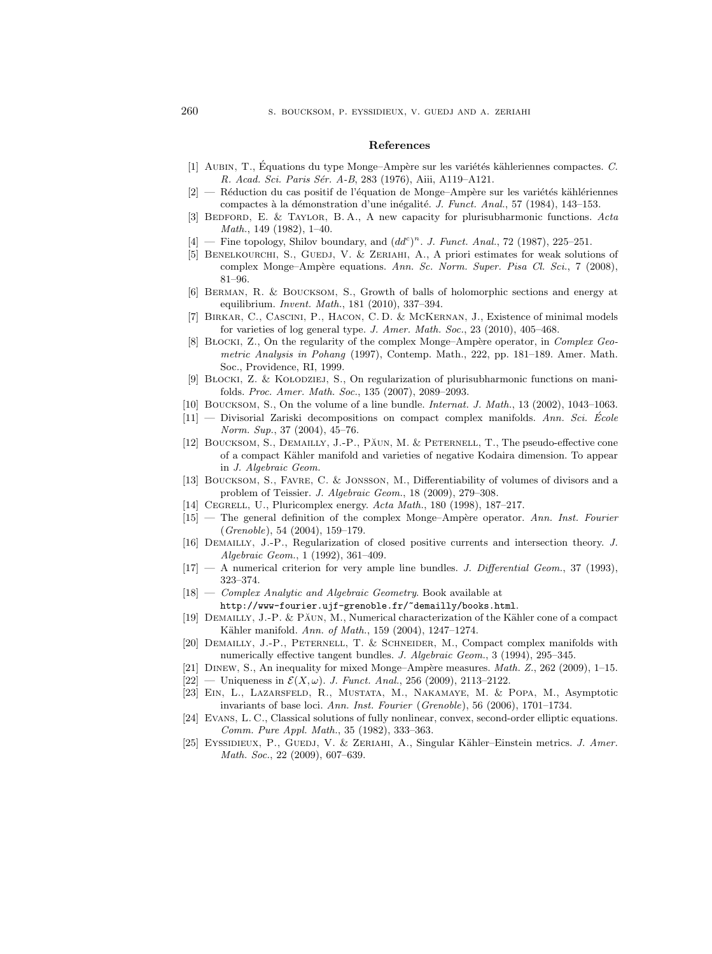#### References

- [1] AUBIN, T., Équations du type Monge–Ampère sur les variétés kähleriennes compactes. C. R. Acad. Sci. Paris Sér. A-B, 283 (1976), Aiii, A119-A121.
- $[2]$  Réduction du cas positif de l'équation de Monge–Ampère sur les variétés kählériennes compactes à la démonstration d'une inégalité. J. Funct. Anal., 57 (1984), 143–153.
- [3] BEDFORD, E. & TAYLOR, B.A., A new capacity for plurisubharmonic functions. Acta Math., 149 (1982), 1–40.
- $[4]$  Fine topology, Shilov boundary, and  $(dd^c)^n$ . J. Funct. Anal., 72 (1987), 225-251.
- [5] BENELKOURCHI, S., GUEDJ, V. & ZERIAHI, A., A priori estimates for weak solutions of complex Monge–Ampère equations. Ann. Sc. Norm. Super. Pisa Cl. Sci., 7 (2008), 81–96.
- [6] Berman, R. & Boucksom, S., Growth of balls of holomorphic sections and energy at equilibrium. Invent. Math., 181 (2010), 337–394.
- [7] Birkar, C., Cascini, P., Hacon, C. D. & McKernan, J., Existence of minimal models for varieties of log general type. J. Amer. Math. Soc., 23 (2010), 405–468.
- [8] BŁOCKI, Z., On the regularity of the complex Monge–Ampère operator, in Complex Geometric Analysis in Pohang (1997), Contemp. Math., 222, pp. 181–189. Amer. Math. Soc., Providence, RI, 1999.
- [9] BŁOCKI, Z. & KOŁODZIEJ, S., On regularization of plurisubharmonic functions on manifolds. Proc. Amer. Math. Soc., 135 (2007), 2089–2093.
- [10] BOUCKSOM, S., On the volume of a line bundle. *Internat. J. Math.*, 13 (2002), 1043–1063.
- $[11]$  Divisorial Zariski decompositions on compact complex manifolds. Ann. Sci. Ecole Norm. Sup., 37 (2004), 45–76.
- [12] BOUCKSOM, S., DEMAILLY, J.-P., PAUN, M. & PETERNELL, T., The pseudo-effective cone of a compact K¨ahler manifold and varieties of negative Kodaira dimension. To appear in J. Algebraic Geom.
- [13] Boucksom, S., Favre, C. & Jonsson, M., Differentiability of volumes of divisors and a problem of Teissier. J. Algebraic Geom., 18 (2009), 279–308.
- [14] CEGRELL, U., Pluricomplex energy. Acta Math., 180 (1998), 187–217.
- $[15]$  The general definition of the complex Monge–Ampère operator. Ann. Inst. Fourier (Grenoble), 54 (2004), 159–179.
- [16] Demailly, J.-P., Regularization of closed positive currents and intersection theory. J. Algebraic Geom., 1 (1992), 361–409.
- $[17]$  A numerical criterion for very ample line bundles. J. Differential Geom., 37 (1993), 323–374.
- [18] Complex Analytic and Algebraic Geometry. Book available at http://www-fourier.ujf-grenoble.fr/~demailly/books.html.
- [19] DEMAILLY, J.-P. & PĂUN, M., Numerical characterization of the Kähler cone of a compact Kähler manifold. Ann. of Math., 159 (2004), 1247-1274.
- [20] Demailly, J.-P., Peternell, T. & Schneider, M., Compact complex manifolds with numerically effective tangent bundles. J. Algebraic Geom., 3 (1994), 295-345.
- [21] DINEW, S., An inequality for mixed Monge–Ampère measures. *Math. Z.*, 262 (2009), 1–15.
- $[22]$  Uniqueness in  $\mathcal{E}(X,\omega)$ . J. Funct. Anal., 256 (2009), 2113-2122.
- [23] Ein, L., Lazarsfeld, R., Mustata, M., Nakamaye, M. & Popa, M., Asymptotic invariants of base loci. Ann. Inst. Fourier (Grenoble), 56 (2006), 1701–1734.
- [24] Evans, L. C., Classical solutions of fully nonlinear, convex, second-order elliptic equations. Comm. Pure Appl. Math., 35 (1982), 333–363.
- [25] EYSSIDIEUX, P., GUEDJ, V. & ZERIAHI, A., Singular Kähler–Einstein metrics. J. Amer. Math. Soc., 22 (2009), 607–639.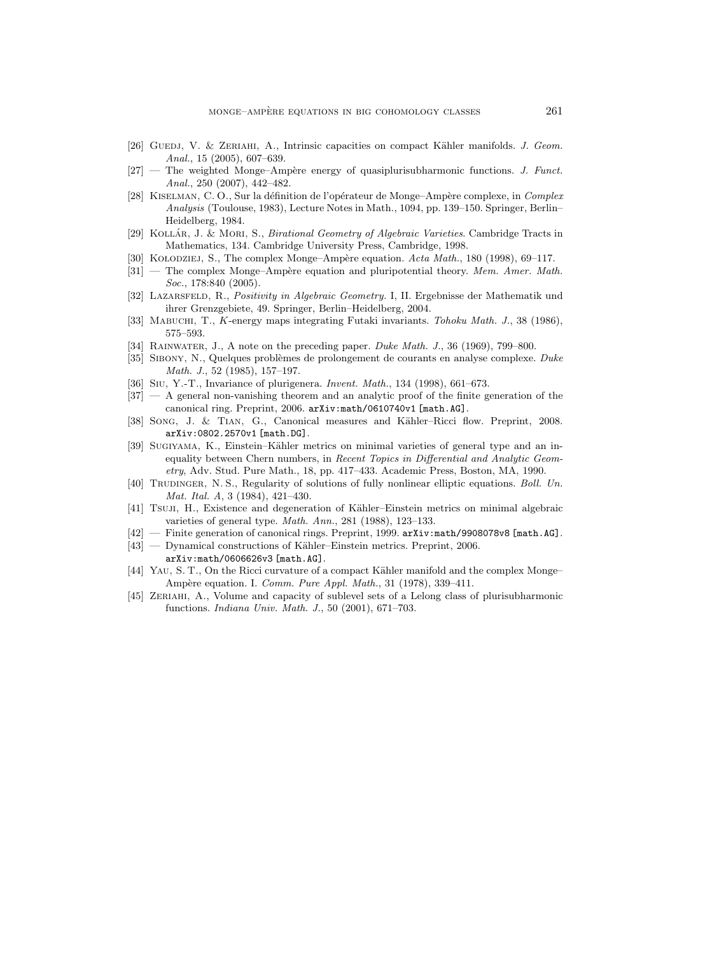- [26] GUEDJ, V. & ZERIAHI, A., Intrinsic capacities on compact Kähler manifolds. J. Geom. Anal., 15 (2005), 607–639.
- $[27]$  The weighted Monge–Ampère energy of quasiplurisubharmonic functions. J. Funct. Anal., 250 (2007), 442–482.
- [28] KISELMAN, C. O., Sur la définition de l'opérateur de Monge–Ampère complexe, in Complex Analysis (Toulouse, 1983), Lecture Notes in Math., 1094, pp. 139–150. Springer, Berlin– Heidelberg, 1984.
- [29] KOLLÁR, J. & MORI, S., *Birational Geometry of Algebraic Varieties*. Cambridge Tracts in Mathematics, 134. Cambridge University Press, Cambridge, 1998.
- [30] KOŁODZIEJ, S., The complex Monge–Ampère equation.  $Acta Math., 180$  (1998), 69–117.
- $[31]$  The complex Monge–Ampère equation and pluripotential theory. Mem. Amer. Math. Soc., 178:840 (2005).
- [32] LAZARSFELD, R., Positivity in Algebraic Geometry. I, II. Ergebnisse der Mathematik und ihrer Grenzgebiete, 49. Springer, Berlin–Heidelberg, 2004.
- [33] MABUCHI, T., K-energy maps integrating Futaki invariants. Tohoku Math. J., 38 (1986), 575–593.
- [34] RAINWATER, J., A note on the preceding paper. Duke Math. J., 36 (1969), 799–800.
- [35] SIBONY, N., Quelques problèmes de prolongement de courants en analyse complexe. Duke Math. J., 52 (1985), 157–197.
- [36] Siu, Y.-T., Invariance of plurigenera. Invent. Math., 134 (1998), 661–673.
- [37] A general non-vanishing theorem and an analytic proof of the finite generation of the canonical ring. Preprint, 2006. arXiv:math/0610740v1 [math.AG].
- [38] SONG, J. & TIAN, G., Canonical measures and Kähler–Ricci flow. Preprint, 2008. arXiv:0802.2570v1 [math.DG].
- [39] SUGIYAMA, K., Einstein–Kähler metrics on minimal varieties of general type and an inequality between Chern numbers, in Recent Topics in Differential and Analytic Geometry, Adv. Stud. Pure Math., 18, pp. 417–433. Academic Press, Boston, MA, 1990.
- [40] TRUDINGER, N. S., Regularity of solutions of fully nonlinear elliptic equations. Boll. Un. Mat. Ital. A, 3 (1984), 421–430.
- [41] Tsuji, H., Existence and degeneration of Kähler–Einstein metrics on minimal algebraic varieties of general type. Math. Ann., 281 (1988), 123–133.
- [42] Finite generation of canonical rings. Preprint, 1999. arXiv:math/9908078v8 [math.AG].
- [43] Dynamical constructions of Kähler–Einstein metrics. Preprint, 2006.
- arXiv:math/0606626v3 [math.AG].
- [44] YAU, S. T., On the Ricci curvature of a compact Kähler manifold and the complex Monge– Ampère equation. I. Comm. Pure Appl. Math., 31 (1978), 339-411.
- [45] Zeriahi, A., Volume and capacity of sublevel sets of a Lelong class of plurisubharmonic functions. Indiana Univ. Math. J., 50 (2001), 671–703.